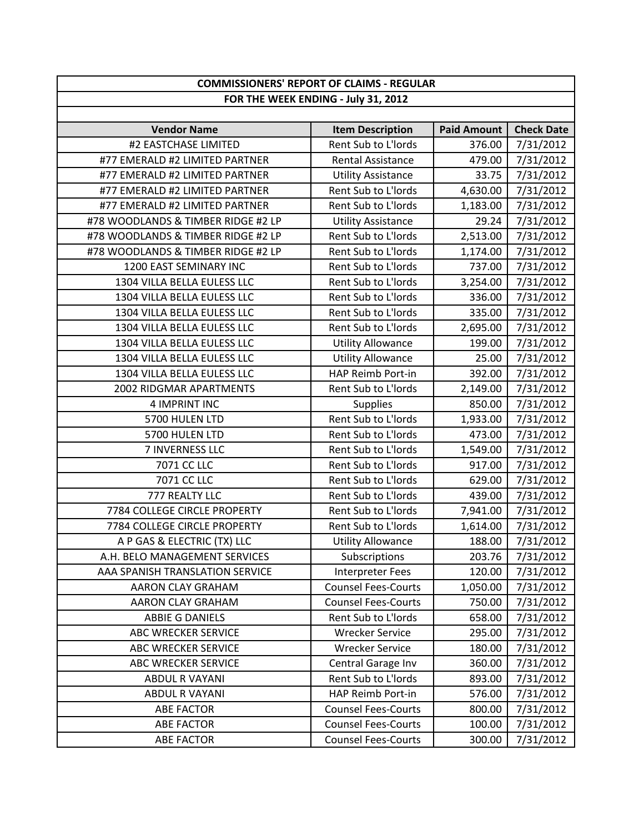| <b>COMMISSIONERS' REPORT OF CLAIMS - REGULAR</b> |                            |                    |                   |
|--------------------------------------------------|----------------------------|--------------------|-------------------|
| FOR THE WEEK ENDING - July 31, 2012              |                            |                    |                   |
|                                                  |                            |                    |                   |
| <b>Vendor Name</b>                               | <b>Item Description</b>    | <b>Paid Amount</b> | <b>Check Date</b> |
| #2 EASTCHASE LIMITED                             | Rent Sub to L'Iords        | 376.00             | 7/31/2012         |
| #77 EMERALD #2 LIMITED PARTNER                   | <b>Rental Assistance</b>   | 479.00             | 7/31/2012         |
| #77 EMERALD #2 LIMITED PARTNER                   | <b>Utility Assistance</b>  | 33.75              | 7/31/2012         |
| #77 EMERALD #2 LIMITED PARTNER                   | Rent Sub to L'Iords        | 4,630.00           | 7/31/2012         |
| #77 EMERALD #2 LIMITED PARTNER                   | Rent Sub to L'Iords        | 1,183.00           | 7/31/2012         |
| #78 WOODLANDS & TIMBER RIDGE #2 LP               | <b>Utility Assistance</b>  | 29.24              | 7/31/2012         |
| #78 WOODLANDS & TIMBER RIDGE #2 LP               | Rent Sub to L'Iords        | 2,513.00           | 7/31/2012         |
| #78 WOODLANDS & TIMBER RIDGE #2 LP               | Rent Sub to L'Iords        | 1,174.00           | 7/31/2012         |
| 1200 EAST SEMINARY INC                           | Rent Sub to L'Iords        | 737.00             | 7/31/2012         |
| 1304 VILLA BELLA EULESS LLC                      | Rent Sub to L'Iords        | 3,254.00           | 7/31/2012         |
| 1304 VILLA BELLA EULESS LLC                      | Rent Sub to L'Iords        | 336.00             | 7/31/2012         |
| 1304 VILLA BELLA EULESS LLC                      | Rent Sub to L'Iords        | 335.00             | 7/31/2012         |
| 1304 VILLA BELLA EULESS LLC                      | Rent Sub to L'Iords        | 2,695.00           | 7/31/2012         |
| 1304 VILLA BELLA EULESS LLC                      | <b>Utility Allowance</b>   | 199.00             | 7/31/2012         |
| 1304 VILLA BELLA EULESS LLC                      | <b>Utility Allowance</b>   | 25.00              | 7/31/2012         |
| 1304 VILLA BELLA EULESS LLC                      | HAP Reimb Port-in          | 392.00             | 7/31/2012         |
| 2002 RIDGMAR APARTMENTS                          | Rent Sub to L'Iords        | 2,149.00           | 7/31/2012         |
| 4 IMPRINT INC                                    | <b>Supplies</b>            | 850.00             | 7/31/2012         |
| 5700 HULEN LTD                                   | Rent Sub to L'Iords        | 1,933.00           | 7/31/2012         |
| 5700 HULEN LTD                                   | Rent Sub to L'Iords        | 473.00             | 7/31/2012         |
| 7 INVERNESS LLC                                  | Rent Sub to L'Iords        | 1,549.00           | 7/31/2012         |
| 7071 CC LLC                                      | Rent Sub to L'Iords        | 917.00             | 7/31/2012         |
| 7071 CC LLC                                      | Rent Sub to L'Iords        | 629.00             | 7/31/2012         |
| 777 REALTY LLC                                   | Rent Sub to L'Iords        | 439.00             | 7/31/2012         |
| 7784 COLLEGE CIRCLE PROPERTY                     | Rent Sub to L'Iords        | 7,941.00           | 7/31/2012         |
| 7784 COLLEGE CIRCLE PROPERTY                     | Rent Sub to L'Iords        | 1,614.00           | 7/31/2012         |
| A P GAS & ELECTRIC (TX) LLC                      | <b>Utility Allowance</b>   | 188.00             | 7/31/2012         |
| A.H. BELO MANAGEMENT SERVICES                    | Subscriptions              | 203.76             | 7/31/2012         |
| AAA SPANISH TRANSLATION SERVICE                  | <b>Interpreter Fees</b>    | 120.00             | 7/31/2012         |
| AARON CLAY GRAHAM                                | <b>Counsel Fees-Courts</b> | 1,050.00           | 7/31/2012         |
| <b>AARON CLAY GRAHAM</b>                         | <b>Counsel Fees-Courts</b> | 750.00             | 7/31/2012         |
| ABBIE G DANIELS                                  | Rent Sub to L'Iords        | 658.00             | 7/31/2012         |
| ABC WRECKER SERVICE                              | <b>Wrecker Service</b>     | 295.00             | 7/31/2012         |
| <b>ABC WRECKER SERVICE</b>                       | <b>Wrecker Service</b>     | 180.00             | 7/31/2012         |
| <b>ABC WRECKER SERVICE</b>                       | Central Garage Inv         | 360.00             | 7/31/2012         |
| <b>ABDUL R VAYANI</b>                            | Rent Sub to L'Iords        | 893.00             | 7/31/2012         |
| <b>ABDUL R VAYANI</b>                            | HAP Reimb Port-in          | 576.00             | 7/31/2012         |
| <b>ABE FACTOR</b>                                | <b>Counsel Fees-Courts</b> | 800.00             | 7/31/2012         |
| <b>ABE FACTOR</b>                                | <b>Counsel Fees-Courts</b> | 100.00             | 7/31/2012         |
| <b>ABE FACTOR</b>                                | <b>Counsel Fees-Courts</b> | 300.00             | 7/31/2012         |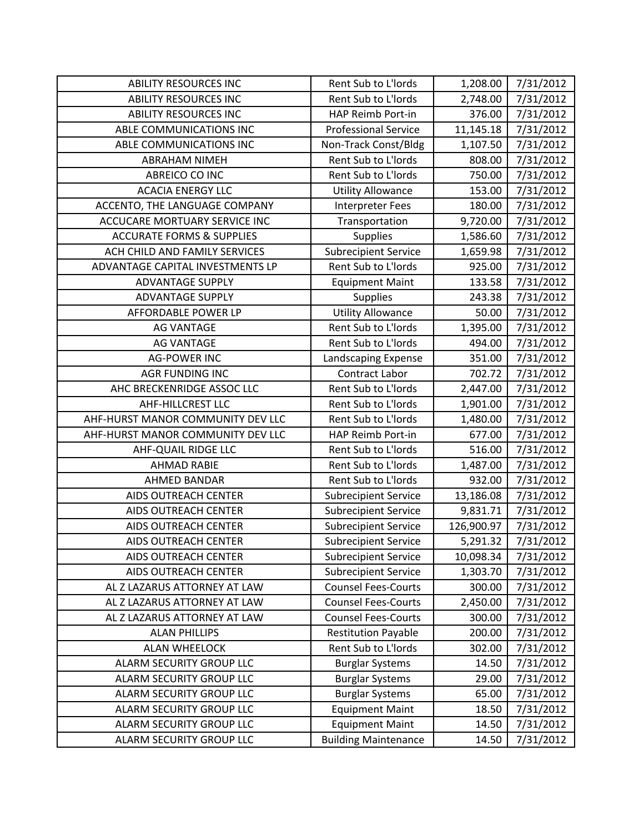| <b>ABILITY RESOURCES INC</b>         | Rent Sub to L'Iords         | 1,208.00   | 7/31/2012 |
|--------------------------------------|-----------------------------|------------|-----------|
| <b>ABILITY RESOURCES INC</b>         | Rent Sub to L'Iords         | 2,748.00   | 7/31/2012 |
| <b>ABILITY RESOURCES INC</b>         | HAP Reimb Port-in           | 376.00     | 7/31/2012 |
| ABLE COMMUNICATIONS INC              | <b>Professional Service</b> | 11,145.18  | 7/31/2012 |
| ABLE COMMUNICATIONS INC              | Non-Track Const/Bldg        | 1,107.50   | 7/31/2012 |
| <b>ABRAHAM NIMEH</b>                 | Rent Sub to L'Iords         | 808.00     | 7/31/2012 |
| ABREICO CO INC                       | Rent Sub to L'Iords         | 750.00     | 7/31/2012 |
| <b>ACACIA ENERGY LLC</b>             | <b>Utility Allowance</b>    | 153.00     | 7/31/2012 |
| ACCENTO, THE LANGUAGE COMPANY        | <b>Interpreter Fees</b>     | 180.00     | 7/31/2012 |
| ACCUCARE MORTUARY SERVICE INC        | Transportation              | 9,720.00   | 7/31/2012 |
| <b>ACCURATE FORMS &amp; SUPPLIES</b> | <b>Supplies</b>             | 1,586.60   | 7/31/2012 |
| ACH CHILD AND FAMILY SERVICES        | <b>Subrecipient Service</b> | 1,659.98   | 7/31/2012 |
| ADVANTAGE CAPITAL INVESTMENTS LP     | Rent Sub to L'Iords         | 925.00     | 7/31/2012 |
| <b>ADVANTAGE SUPPLY</b>              | <b>Equipment Maint</b>      | 133.58     | 7/31/2012 |
| <b>ADVANTAGE SUPPLY</b>              | <b>Supplies</b>             | 243.38     | 7/31/2012 |
| AFFORDABLE POWER LP                  | <b>Utility Allowance</b>    | 50.00      | 7/31/2012 |
| <b>AG VANTAGE</b>                    | Rent Sub to L'Iords         | 1,395.00   | 7/31/2012 |
| <b>AG VANTAGE</b>                    | Rent Sub to L'Iords         | 494.00     | 7/31/2012 |
| <b>AG-POWER INC</b>                  | Landscaping Expense         | 351.00     | 7/31/2012 |
| <b>AGR FUNDING INC</b>               | <b>Contract Labor</b>       | 702.72     | 7/31/2012 |
| AHC BRECKENRIDGE ASSOC LLC           | Rent Sub to L'Iords         | 2,447.00   | 7/31/2012 |
| <b>AHF-HILLCREST LLC</b>             | Rent Sub to L'Iords         | 1,901.00   | 7/31/2012 |
| AHF-HURST MANOR COMMUNITY DEV LLC    | Rent Sub to L'Iords         | 1,480.00   | 7/31/2012 |
| AHF-HURST MANOR COMMUNITY DEV LLC    | HAP Reimb Port-in           | 677.00     | 7/31/2012 |
| AHF-QUAIL RIDGE LLC                  | Rent Sub to L'Iords         | 516.00     | 7/31/2012 |
| <b>AHMAD RABIE</b>                   | Rent Sub to L'Iords         | 1,487.00   | 7/31/2012 |
| <b>AHMED BANDAR</b>                  | Rent Sub to L'Iords         | 932.00     | 7/31/2012 |
| AIDS OUTREACH CENTER                 | <b>Subrecipient Service</b> | 13,186.08  | 7/31/2012 |
| AIDS OUTREACH CENTER                 | <b>Subrecipient Service</b> | 9,831.71   | 7/31/2012 |
| <b>AIDS OUTREACH CENTER</b>          | <b>Subrecipient Service</b> | 126,900.97 | 7/31/2012 |
| AIDS OUTREACH CENTER                 | <b>Subrecipient Service</b> | 5,291.32   | 7/31/2012 |
| AIDS OUTREACH CENTER                 | <b>Subrecipient Service</b> | 10,098.34  | 7/31/2012 |
| AIDS OUTREACH CENTER                 | <b>Subrecipient Service</b> | 1,303.70   | 7/31/2012 |
| AL Z LAZARUS ATTORNEY AT LAW         | <b>Counsel Fees-Courts</b>  | 300.00     | 7/31/2012 |
| AL Z LAZARUS ATTORNEY AT LAW         | <b>Counsel Fees-Courts</b>  | 2,450.00   | 7/31/2012 |
| AL Z LAZARUS ATTORNEY AT LAW         | <b>Counsel Fees-Courts</b>  | 300.00     | 7/31/2012 |
| <b>ALAN PHILLIPS</b>                 | <b>Restitution Payable</b>  | 200.00     | 7/31/2012 |
| <b>ALAN WHEELOCK</b>                 | Rent Sub to L'Iords         | 302.00     | 7/31/2012 |
| ALARM SECURITY GROUP LLC             | <b>Burglar Systems</b>      | 14.50      | 7/31/2012 |
| ALARM SECURITY GROUP LLC             | <b>Burglar Systems</b>      | 29.00      | 7/31/2012 |
| ALARM SECURITY GROUP LLC             | <b>Burglar Systems</b>      | 65.00      | 7/31/2012 |
| ALARM SECURITY GROUP LLC             | <b>Equipment Maint</b>      | 18.50      | 7/31/2012 |
| ALARM SECURITY GROUP LLC             | <b>Equipment Maint</b>      | 14.50      | 7/31/2012 |
| ALARM SECURITY GROUP LLC             | <b>Building Maintenance</b> | 14.50      | 7/31/2012 |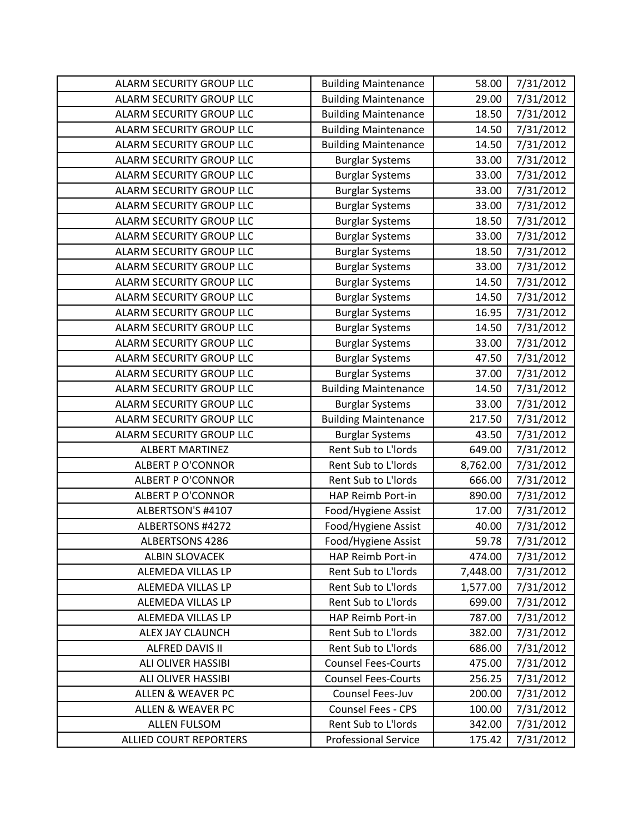| ALARM SECURITY GROUP LLC        | <b>Building Maintenance</b> | 58.00    | 7/31/2012 |
|---------------------------------|-----------------------------|----------|-----------|
| ALARM SECURITY GROUP LLC        | <b>Building Maintenance</b> | 29.00    | 7/31/2012 |
| ALARM SECURITY GROUP LLC        | <b>Building Maintenance</b> | 18.50    | 7/31/2012 |
| ALARM SECURITY GROUP LLC        | <b>Building Maintenance</b> | 14.50    | 7/31/2012 |
| ALARM SECURITY GROUP LLC        | <b>Building Maintenance</b> | 14.50    | 7/31/2012 |
| ALARM SECURITY GROUP LLC        | <b>Burglar Systems</b>      | 33.00    | 7/31/2012 |
| ALARM SECURITY GROUP LLC        | <b>Burglar Systems</b>      | 33.00    | 7/31/2012 |
| ALARM SECURITY GROUP LLC        | <b>Burglar Systems</b>      | 33.00    | 7/31/2012 |
| ALARM SECURITY GROUP LLC        | <b>Burglar Systems</b>      | 33.00    | 7/31/2012 |
| ALARM SECURITY GROUP LLC        | <b>Burglar Systems</b>      | 18.50    | 7/31/2012 |
| ALARM SECURITY GROUP LLC        | <b>Burglar Systems</b>      | 33.00    | 7/31/2012 |
| ALARM SECURITY GROUP LLC        | <b>Burglar Systems</b>      | 18.50    | 7/31/2012 |
| ALARM SECURITY GROUP LLC        | <b>Burglar Systems</b>      | 33.00    | 7/31/2012 |
| ALARM SECURITY GROUP LLC        | <b>Burglar Systems</b>      | 14.50    | 7/31/2012 |
| ALARM SECURITY GROUP LLC        | <b>Burglar Systems</b>      | 14.50    | 7/31/2012 |
| ALARM SECURITY GROUP LLC        | <b>Burglar Systems</b>      | 16.95    | 7/31/2012 |
| ALARM SECURITY GROUP LLC        | <b>Burglar Systems</b>      | 14.50    | 7/31/2012 |
| ALARM SECURITY GROUP LLC        | <b>Burglar Systems</b>      | 33.00    | 7/31/2012 |
| <b>ALARM SECURITY GROUP LLC</b> | <b>Burglar Systems</b>      | 47.50    | 7/31/2012 |
| ALARM SECURITY GROUP LLC        | <b>Burglar Systems</b>      | 37.00    | 7/31/2012 |
| ALARM SECURITY GROUP LLC        | <b>Building Maintenance</b> | 14.50    | 7/31/2012 |
| ALARM SECURITY GROUP LLC        | <b>Burglar Systems</b>      | 33.00    | 7/31/2012 |
| ALARM SECURITY GROUP LLC        | <b>Building Maintenance</b> | 217.50   | 7/31/2012 |
| ALARM SECURITY GROUP LLC        | <b>Burglar Systems</b>      | 43.50    | 7/31/2012 |
| <b>ALBERT MARTINEZ</b>          | Rent Sub to L'Iords         | 649.00   | 7/31/2012 |
| <b>ALBERT P O'CONNOR</b>        | Rent Sub to L'Iords         | 8,762.00 | 7/31/2012 |
| <b>ALBERT P O'CONNOR</b>        | Rent Sub to L'Iords         | 666.00   | 7/31/2012 |
| <b>ALBERT P O'CONNOR</b>        | HAP Reimb Port-in           | 890.00   | 7/31/2012 |
| ALBERTSON'S #4107               | Food/Hygiene Assist         | 17.00    | 7/31/2012 |
| ALBERTSONS #4272                | Food/Hygiene Assist         | 40.00    | 7/31/2012 |
| <b>ALBERTSONS 4286</b>          | Food/Hygiene Assist         | 59.78    | 7/31/2012 |
| ALBIN SLOVACEK                  | HAP Reimb Port-in           | 474.00   | 7/31/2012 |
| ALEMEDA VILLAS LP               | Rent Sub to L'Iords         | 7,448.00 | 7/31/2012 |
| ALEMEDA VILLAS LP               | Rent Sub to L'Iords         | 1,577.00 | 7/31/2012 |
| ALEMEDA VILLAS LP               | Rent Sub to L'Iords         | 699.00   | 7/31/2012 |
| ALEMEDA VILLAS LP               | HAP Reimb Port-in           | 787.00   | 7/31/2012 |
| ALEX JAY CLAUNCH                | Rent Sub to L'Iords         | 382.00   | 7/31/2012 |
| ALFRED DAVIS II                 | Rent Sub to L'Iords         | 686.00   | 7/31/2012 |
| ALI OLIVER HASSIBI              | <b>Counsel Fees-Courts</b>  | 475.00   | 7/31/2012 |
| ALI OLIVER HASSIBI              | <b>Counsel Fees-Courts</b>  | 256.25   | 7/31/2012 |
| <b>ALLEN &amp; WEAVER PC</b>    | Counsel Fees-Juv            | 200.00   | 7/31/2012 |
| <b>ALLEN &amp; WEAVER PC</b>    | <b>Counsel Fees - CPS</b>   | 100.00   | 7/31/2012 |
| <b>ALLEN FULSOM</b>             | Rent Sub to L'Iords         | 342.00   | 7/31/2012 |
| <b>ALLIED COURT REPORTERS</b>   | <b>Professional Service</b> | 175.42   | 7/31/2012 |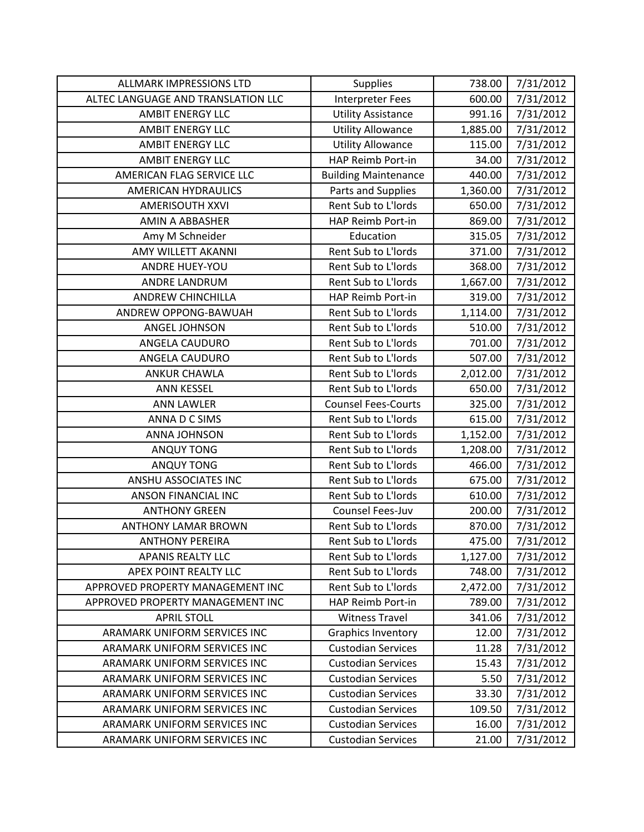| <b>ALLMARK IMPRESSIONS LTD</b>     | Supplies                    | 738.00   | 7/31/2012 |
|------------------------------------|-----------------------------|----------|-----------|
| ALTEC LANGUAGE AND TRANSLATION LLC | <b>Interpreter Fees</b>     | 600.00   | 7/31/2012 |
| <b>AMBIT ENERGY LLC</b>            | <b>Utility Assistance</b>   | 991.16   | 7/31/2012 |
| <b>AMBIT ENERGY LLC</b>            | <b>Utility Allowance</b>    | 1,885.00 | 7/31/2012 |
| <b>AMBIT ENERGY LLC</b>            | <b>Utility Allowance</b>    | 115.00   | 7/31/2012 |
| <b>AMBIT ENERGY LLC</b>            | HAP Reimb Port-in           | 34.00    | 7/31/2012 |
| AMERICAN FLAG SERVICE LLC          | <b>Building Maintenance</b> | 440.00   | 7/31/2012 |
| <b>AMERICAN HYDRAULICS</b>         | Parts and Supplies          | 1,360.00 | 7/31/2012 |
| <b>AMERISOUTH XXVI</b>             | Rent Sub to L'Iords         | 650.00   | 7/31/2012 |
| AMIN A ABBASHER                    | <b>HAP Reimb Port-in</b>    | 869.00   | 7/31/2012 |
| Amy M Schneider                    | Education                   | 315.05   | 7/31/2012 |
| AMY WILLETT AKANNI                 | Rent Sub to L'Iords         | 371.00   | 7/31/2012 |
| <b>ANDRE HUEY-YOU</b>              | Rent Sub to L'Iords         | 368.00   | 7/31/2012 |
| ANDRE LANDRUM                      | Rent Sub to L'Iords         | 1,667.00 | 7/31/2012 |
| ANDREW CHINCHILLA                  | HAP Reimb Port-in           | 319.00   | 7/31/2012 |
| ANDREW OPPONG-BAWUAH               | Rent Sub to L'Iords         | 1,114.00 | 7/31/2012 |
| ANGEL JOHNSON                      | Rent Sub to L'Iords         | 510.00   | 7/31/2012 |
| ANGELA CAUDURO                     | Rent Sub to L'Iords         | 701.00   | 7/31/2012 |
| ANGELA CAUDURO                     | Rent Sub to L'Iords         | 507.00   | 7/31/2012 |
| <b>ANKUR CHAWLA</b>                | Rent Sub to L'Iords         | 2,012.00 | 7/31/2012 |
| <b>ANN KESSEL</b>                  | Rent Sub to L'Iords         | 650.00   | 7/31/2012 |
| <b>ANN LAWLER</b>                  | <b>Counsel Fees-Courts</b>  | 325.00   | 7/31/2012 |
| ANNA D C SIMS                      | Rent Sub to L'Iords         | 615.00   | 7/31/2012 |
| <b>ANNA JOHNSON</b>                | Rent Sub to L'Iords         | 1,152.00 | 7/31/2012 |
| <b>ANQUY TONG</b>                  | Rent Sub to L'Iords         | 1,208.00 | 7/31/2012 |
| <b>ANQUY TONG</b>                  | Rent Sub to L'Iords         | 466.00   | 7/31/2012 |
| ANSHU ASSOCIATES INC               | Rent Sub to L'Iords         | 675.00   | 7/31/2012 |
| <b>ANSON FINANCIAL INC</b>         | Rent Sub to L'Iords         | 610.00   | 7/31/2012 |
| <b>ANTHONY GREEN</b>               | Counsel Fees-Juv            | 200.00   | 7/31/2012 |
| <b>ANTHONY LAMAR BROWN</b>         | Rent Sub to L'Iords         | 870.00   | 7/31/2012 |
| <b>ANTHONY PEREIRA</b>             | Rent Sub to L'Iords         | 475.00   | 7/31/2012 |
| <b>APANIS REALTY LLC</b>           | Rent Sub to L'Iords         | 1,127.00 | 7/31/2012 |
| APEX POINT REALTY LLC              | Rent Sub to L'Iords         | 748.00   | 7/31/2012 |
| APPROVED PROPERTY MANAGEMENT INC   | Rent Sub to L'Iords         | 2,472.00 | 7/31/2012 |
| APPROVED PROPERTY MANAGEMENT INC   | HAP Reimb Port-in           | 789.00   | 7/31/2012 |
| <b>APRIL STOLL</b>                 | <b>Witness Travel</b>       | 341.06   | 7/31/2012 |
| ARAMARK UNIFORM SERVICES INC       | <b>Graphics Inventory</b>   | 12.00    | 7/31/2012 |
| ARAMARK UNIFORM SERVICES INC       | <b>Custodian Services</b>   | 11.28    | 7/31/2012 |
| ARAMARK UNIFORM SERVICES INC       | <b>Custodian Services</b>   | 15.43    | 7/31/2012 |
| ARAMARK UNIFORM SERVICES INC       | <b>Custodian Services</b>   | 5.50     | 7/31/2012 |
| ARAMARK UNIFORM SERVICES INC       | <b>Custodian Services</b>   | 33.30    | 7/31/2012 |
| ARAMARK UNIFORM SERVICES INC       | <b>Custodian Services</b>   | 109.50   | 7/31/2012 |
| ARAMARK UNIFORM SERVICES INC       | <b>Custodian Services</b>   | 16.00    | 7/31/2012 |
| ARAMARK UNIFORM SERVICES INC       | <b>Custodian Services</b>   | 21.00    | 7/31/2012 |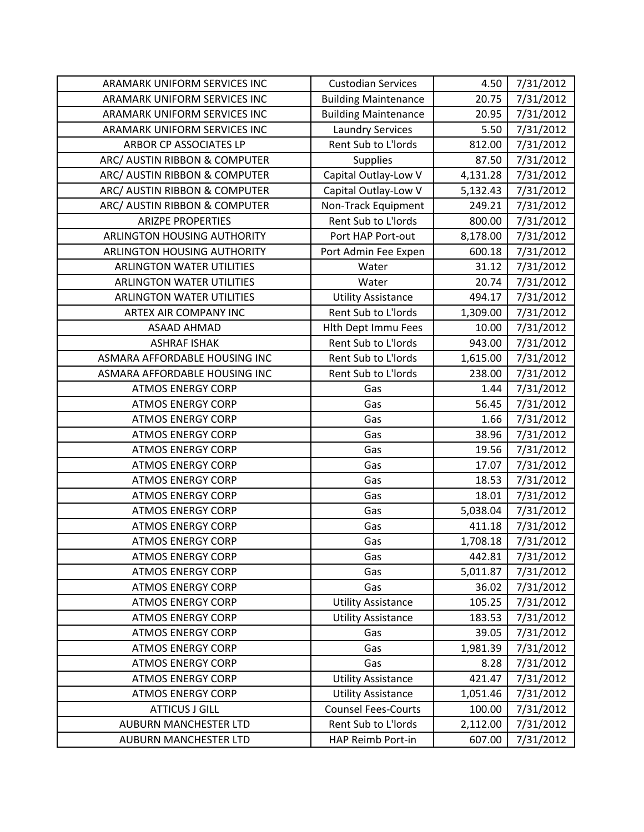| ARAMARK UNIFORM SERVICES INC     | <b>Custodian Services</b>   | 4.50     | 7/31/2012 |
|----------------------------------|-----------------------------|----------|-----------|
| ARAMARK UNIFORM SERVICES INC     | <b>Building Maintenance</b> | 20.75    | 7/31/2012 |
| ARAMARK UNIFORM SERVICES INC     | <b>Building Maintenance</b> | 20.95    | 7/31/2012 |
| ARAMARK UNIFORM SERVICES INC     | <b>Laundry Services</b>     | 5.50     | 7/31/2012 |
| ARBOR CP ASSOCIATES LP           | Rent Sub to L'Iords         | 812.00   | 7/31/2012 |
| ARC/ AUSTIN RIBBON & COMPUTER    | <b>Supplies</b>             | 87.50    | 7/31/2012 |
| ARC/ AUSTIN RIBBON & COMPUTER    | Capital Outlay-Low V        | 4,131.28 | 7/31/2012 |
| ARC/ AUSTIN RIBBON & COMPUTER    | Capital Outlay-Low V        | 5,132.43 | 7/31/2012 |
| ARC/ AUSTIN RIBBON & COMPUTER    | Non-Track Equipment         | 249.21   | 7/31/2012 |
| <b>ARIZPE PROPERTIES</b>         | Rent Sub to L'Iords         | 800.00   | 7/31/2012 |
| ARLINGTON HOUSING AUTHORITY      | Port HAP Port-out           | 8,178.00 | 7/31/2012 |
| ARLINGTON HOUSING AUTHORITY      | Port Admin Fee Expen        | 600.18   | 7/31/2012 |
| <b>ARLINGTON WATER UTILITIES</b> | Water                       | 31.12    | 7/31/2012 |
| <b>ARLINGTON WATER UTILITIES</b> | Water                       | 20.74    | 7/31/2012 |
| <b>ARLINGTON WATER UTILITIES</b> | <b>Utility Assistance</b>   | 494.17   | 7/31/2012 |
| ARTEX AIR COMPANY INC            | Rent Sub to L'Iords         | 1,309.00 | 7/31/2012 |
| <b>ASAAD AHMAD</b>               | <b>Hith Dept Immu Fees</b>  | 10.00    | 7/31/2012 |
| <b>ASHRAF ISHAK</b>              | Rent Sub to L'Iords         | 943.00   | 7/31/2012 |
| ASMARA AFFORDABLE HOUSING INC    | Rent Sub to L'Iords         | 1,615.00 | 7/31/2012 |
| ASMARA AFFORDABLE HOUSING INC    | Rent Sub to L'Iords         | 238.00   | 7/31/2012 |
| <b>ATMOS ENERGY CORP</b>         | Gas                         | 1.44     | 7/31/2012 |
| <b>ATMOS ENERGY CORP</b>         | Gas                         | 56.45    | 7/31/2012 |
| <b>ATMOS ENERGY CORP</b>         | Gas                         | 1.66     | 7/31/2012 |
| <b>ATMOS ENERGY CORP</b>         | Gas                         | 38.96    | 7/31/2012 |
| <b>ATMOS ENERGY CORP</b>         | Gas                         | 19.56    | 7/31/2012 |
| <b>ATMOS ENERGY CORP</b>         | Gas                         | 17.07    | 7/31/2012 |
| <b>ATMOS ENERGY CORP</b>         | Gas                         | 18.53    | 7/31/2012 |
| <b>ATMOS ENERGY CORP</b>         | Gas                         | 18.01    | 7/31/2012 |
| <b>ATMOS ENERGY CORP</b>         | Gas                         | 5,038.04 | 7/31/2012 |
| <b>ATMOS ENERGY CORP</b>         | Gas                         | 411.18   | 7/31/2012 |
| <b>ATMOS ENERGY CORP</b>         | Gas                         | 1,708.18 | 7/31/2012 |
| <b>ATMOS ENERGY CORP</b>         | Gas                         | 442.81   | 7/31/2012 |
| <b>ATMOS ENERGY CORP</b>         | Gas                         | 5,011.87 | 7/31/2012 |
| <b>ATMOS ENERGY CORP</b>         | Gas                         | 36.02    | 7/31/2012 |
| <b>ATMOS ENERGY CORP</b>         | <b>Utility Assistance</b>   | 105.25   | 7/31/2012 |
| <b>ATMOS ENERGY CORP</b>         | <b>Utility Assistance</b>   | 183.53   | 7/31/2012 |
| <b>ATMOS ENERGY CORP</b>         | Gas                         | 39.05    | 7/31/2012 |
| <b>ATMOS ENERGY CORP</b>         | Gas                         | 1,981.39 | 7/31/2012 |
| <b>ATMOS ENERGY CORP</b>         | Gas                         | 8.28     | 7/31/2012 |
| <b>ATMOS ENERGY CORP</b>         | <b>Utility Assistance</b>   | 421.47   | 7/31/2012 |
| <b>ATMOS ENERGY CORP</b>         | <b>Utility Assistance</b>   | 1,051.46 | 7/31/2012 |
| <b>ATTICUS J GILL</b>            | <b>Counsel Fees-Courts</b>  | 100.00   | 7/31/2012 |
| <b>AUBURN MANCHESTER LTD</b>     | Rent Sub to L'Iords         | 2,112.00 | 7/31/2012 |
| AUBURN MANCHESTER LTD            | HAP Reimb Port-in           | 607.00   | 7/31/2012 |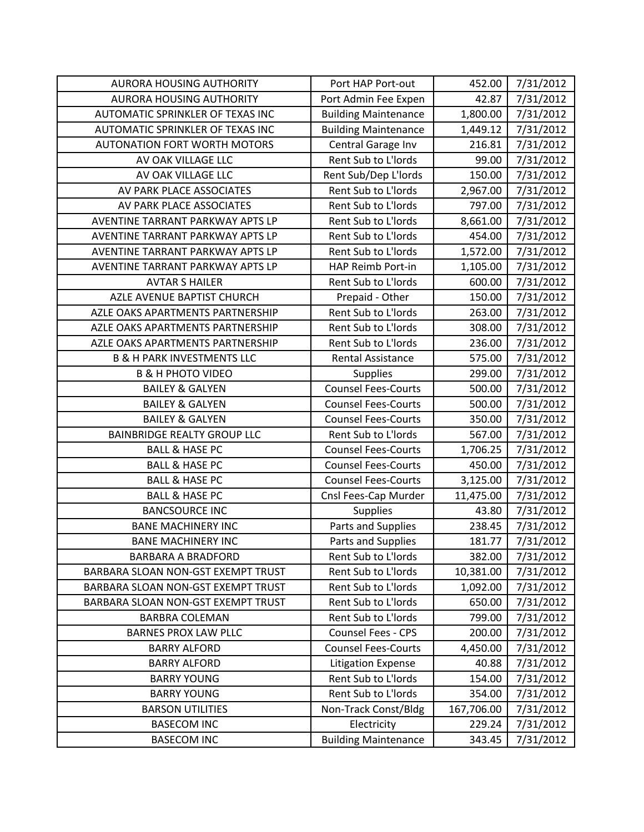| <b>AURORA HOUSING AUTHORITY</b>       | Port HAP Port-out           | 452.00     | 7/31/2012 |
|---------------------------------------|-----------------------------|------------|-----------|
| <b>AURORA HOUSING AUTHORITY</b>       | Port Admin Fee Expen        | 42.87      | 7/31/2012 |
| AUTOMATIC SPRINKLER OF TEXAS INC      | <b>Building Maintenance</b> | 1,800.00   | 7/31/2012 |
| AUTOMATIC SPRINKLER OF TEXAS INC      | <b>Building Maintenance</b> | 1,449.12   | 7/31/2012 |
| <b>AUTONATION FORT WORTH MOTORS</b>   | Central Garage Inv          | 216.81     | 7/31/2012 |
| AV OAK VILLAGE LLC                    | Rent Sub to L'Iords         | 99.00      | 7/31/2012 |
| AV OAK VILLAGE LLC                    | Rent Sub/Dep L'Iords        | 150.00     | 7/31/2012 |
| AV PARK PLACE ASSOCIATES              | Rent Sub to L'Iords         | 2,967.00   | 7/31/2012 |
| AV PARK PLACE ASSOCIATES              | Rent Sub to L'Iords         | 797.00     | 7/31/2012 |
| AVENTINE TARRANT PARKWAY APTS LP      | Rent Sub to L'Iords         | 8,661.00   | 7/31/2012 |
| AVENTINE TARRANT PARKWAY APTS LP      | Rent Sub to L'Iords         | 454.00     | 7/31/2012 |
| AVENTINE TARRANT PARKWAY APTS LP      | Rent Sub to L'Iords         | 1,572.00   | 7/31/2012 |
| AVENTINE TARRANT PARKWAY APTS LP      | HAP Reimb Port-in           | 1,105.00   | 7/31/2012 |
| <b>AVTAR S HAILER</b>                 | Rent Sub to L'Iords         | 600.00     | 7/31/2012 |
| AZLE AVENUE BAPTIST CHURCH            | Prepaid - Other             | 150.00     | 7/31/2012 |
| AZLE OAKS APARTMENTS PARTNERSHIP      | Rent Sub to L'Iords         | 263.00     | 7/31/2012 |
| AZLE OAKS APARTMENTS PARTNERSHIP      | Rent Sub to L'Iords         | 308.00     | 7/31/2012 |
| AZLE OAKS APARTMENTS PARTNERSHIP      | Rent Sub to L'Iords         | 236.00     | 7/31/2012 |
| <b>B &amp; H PARK INVESTMENTS LLC</b> | <b>Rental Assistance</b>    | 575.00     | 7/31/2012 |
| <b>B &amp; H PHOTO VIDEO</b>          | <b>Supplies</b>             | 299.00     | 7/31/2012 |
| <b>BAILEY &amp; GALYEN</b>            | <b>Counsel Fees-Courts</b>  | 500.00     | 7/31/2012 |
| <b>BAILEY &amp; GALYEN</b>            | <b>Counsel Fees-Courts</b>  | 500.00     | 7/31/2012 |
| <b>BAILEY &amp; GALYEN</b>            | <b>Counsel Fees-Courts</b>  | 350.00     | 7/31/2012 |
| <b>BAINBRIDGE REALTY GROUP LLC</b>    | Rent Sub to L'Iords         | 567.00     | 7/31/2012 |
| <b>BALL &amp; HASE PC</b>             | <b>Counsel Fees-Courts</b>  | 1,706.25   | 7/31/2012 |
| <b>BALL &amp; HASE PC</b>             | <b>Counsel Fees-Courts</b>  | 450.00     | 7/31/2012 |
| <b>BALL &amp; HASE PC</b>             | <b>Counsel Fees-Courts</b>  | 3,125.00   | 7/31/2012 |
| <b>BALL &amp; HASE PC</b>             | Cnsl Fees-Cap Murder        | 11,475.00  | 7/31/2012 |
| <b>BANCSOURCE INC</b>                 | <b>Supplies</b>             | 43.80      | 7/31/2012 |
| <b>BANE MACHINERY INC</b>             | Parts and Supplies          | 238.45     | 7/31/2012 |
| <b>BANE MACHINERY INC</b>             | Parts and Supplies          | 181.77     | 7/31/2012 |
| <b>BARBARA A BRADFORD</b>             | Rent Sub to L'Iords         | 382.00     | 7/31/2012 |
| BARBARA SLOAN NON-GST EXEMPT TRUST    | Rent Sub to L'Iords         | 10,381.00  | 7/31/2012 |
| BARBARA SLOAN NON-GST EXEMPT TRUST    | Rent Sub to L'Iords         | 1,092.00   | 7/31/2012 |
| BARBARA SLOAN NON-GST EXEMPT TRUST    | Rent Sub to L'Iords         | 650.00     | 7/31/2012 |
| <b>BARBRA COLEMAN</b>                 | Rent Sub to L'Iords         | 799.00     | 7/31/2012 |
| <b>BARNES PROX LAW PLLC</b>           | Counsel Fees - CPS          | 200.00     | 7/31/2012 |
| <b>BARRY ALFORD</b>                   | <b>Counsel Fees-Courts</b>  | 4,450.00   | 7/31/2012 |
| <b>BARRY ALFORD</b>                   | <b>Litigation Expense</b>   | 40.88      | 7/31/2012 |
| <b>BARRY YOUNG</b>                    | Rent Sub to L'Iords         | 154.00     | 7/31/2012 |
| <b>BARRY YOUNG</b>                    | Rent Sub to L'Iords         | 354.00     | 7/31/2012 |
| <b>BARSON UTILITIES</b>               | Non-Track Const/Bldg        | 167,706.00 | 7/31/2012 |
| <b>BASECOM INC</b>                    | Electricity                 | 229.24     | 7/31/2012 |
| <b>BASECOM INC</b>                    | <b>Building Maintenance</b> | 343.45     | 7/31/2012 |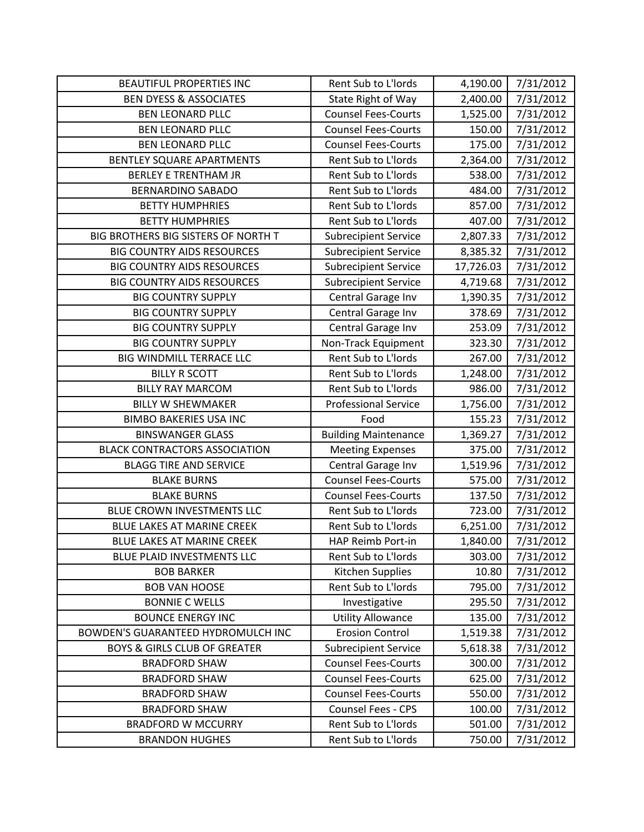| <b>BEAUTIFUL PROPERTIES INC</b>         | Rent Sub to L'Iords         | 4,190.00  | 7/31/2012 |
|-----------------------------------------|-----------------------------|-----------|-----------|
| <b>BEN DYESS &amp; ASSOCIATES</b>       | State Right of Way          | 2,400.00  | 7/31/2012 |
| <b>BEN LEONARD PLLC</b>                 | <b>Counsel Fees-Courts</b>  | 1,525.00  | 7/31/2012 |
| <b>BEN LEONARD PLLC</b>                 | <b>Counsel Fees-Courts</b>  | 150.00    | 7/31/2012 |
| <b>BEN LEONARD PLLC</b>                 | <b>Counsel Fees-Courts</b>  | 175.00    | 7/31/2012 |
| BENTLEY SQUARE APARTMENTS               | Rent Sub to L'Iords         | 2,364.00  | 7/31/2012 |
| <b>BERLEY E TRENTHAM JR</b>             | Rent Sub to L'Iords         | 538.00    | 7/31/2012 |
| <b>BERNARDINO SABADO</b>                | Rent Sub to L'Iords         | 484.00    | 7/31/2012 |
| <b>BETTY HUMPHRIES</b>                  | Rent Sub to L'Iords         | 857.00    | 7/31/2012 |
| <b>BETTY HUMPHRIES</b>                  | Rent Sub to L'Iords         | 407.00    | 7/31/2012 |
| BIG BROTHERS BIG SISTERS OF NORTH T     | <b>Subrecipient Service</b> | 2,807.33  | 7/31/2012 |
| <b>BIG COUNTRY AIDS RESOURCES</b>       | <b>Subrecipient Service</b> | 8,385.32  | 7/31/2012 |
| <b>BIG COUNTRY AIDS RESOURCES</b>       | <b>Subrecipient Service</b> | 17,726.03 | 7/31/2012 |
| <b>BIG COUNTRY AIDS RESOURCES</b>       | <b>Subrecipient Service</b> | 4,719.68  | 7/31/2012 |
| <b>BIG COUNTRY SUPPLY</b>               | Central Garage Inv          | 1,390.35  | 7/31/2012 |
| <b>BIG COUNTRY SUPPLY</b>               | Central Garage Inv          | 378.69    | 7/31/2012 |
| <b>BIG COUNTRY SUPPLY</b>               | Central Garage Inv          | 253.09    | 7/31/2012 |
| <b>BIG COUNTRY SUPPLY</b>               | Non-Track Equipment         | 323.30    | 7/31/2012 |
| BIG WINDMILL TERRACE LLC                | Rent Sub to L'Iords         | 267.00    | 7/31/2012 |
| <b>BILLY R SCOTT</b>                    | Rent Sub to L'Iords         | 1,248.00  | 7/31/2012 |
| <b>BILLY RAY MARCOM</b>                 | Rent Sub to L'Iords         | 986.00    | 7/31/2012 |
| <b>BILLY W SHEWMAKER</b>                | <b>Professional Service</b> | 1,756.00  | 7/31/2012 |
| <b>BIMBO BAKERIES USA INC</b>           | Food                        | 155.23    | 7/31/2012 |
| <b>BINSWANGER GLASS</b>                 | <b>Building Maintenance</b> | 1,369.27  | 7/31/2012 |
| <b>BLACK CONTRACTORS ASSOCIATION</b>    | <b>Meeting Expenses</b>     | 375.00    | 7/31/2012 |
| <b>BLAGG TIRE AND SERVICE</b>           | Central Garage Inv          | 1,519.96  | 7/31/2012 |
| <b>BLAKE BURNS</b>                      | <b>Counsel Fees-Courts</b>  | 575.00    | 7/31/2012 |
| <b>BLAKE BURNS</b>                      | <b>Counsel Fees-Courts</b>  |           |           |
|                                         |                             | 137.50    | 7/31/2012 |
| BLUE CROWN INVESTMENTS LLC              | Rent Sub to L'Iords         | 723.00    | 7/31/2012 |
| BLUE LAKES AT MARINE CREEK              | Rent Sub to L'Iords         | 6,251.00  | 7/31/2012 |
| BLUE LAKES AT MARINE CREEK              | HAP Reimb Port-in           | 1,840.00  | 7/31/2012 |
| BLUE PLAID INVESTMENTS LLC              | Rent Sub to L'Iords         | 303.00    | 7/31/2012 |
| <b>BOB BARKER</b>                       | Kitchen Supplies            | 10.80     | 7/31/2012 |
| <b>BOB VAN HOOSE</b>                    | Rent Sub to L'Iords         | 795.00    | 7/31/2012 |
| <b>BONNIE C WELLS</b>                   | Investigative               | 295.50    | 7/31/2012 |
| <b>BOUNCE ENERGY INC</b>                | <b>Utility Allowance</b>    | 135.00    | 7/31/2012 |
| BOWDEN'S GUARANTEED HYDROMULCH INC      | <b>Erosion Control</b>      | 1,519.38  | 7/31/2012 |
| <b>BOYS &amp; GIRLS CLUB OF GREATER</b> | <b>Subrecipient Service</b> | 5,618.38  | 7/31/2012 |
| <b>BRADFORD SHAW</b>                    | <b>Counsel Fees-Courts</b>  | 300.00    | 7/31/2012 |
| <b>BRADFORD SHAW</b>                    | <b>Counsel Fees-Courts</b>  | 625.00    | 7/31/2012 |
| <b>BRADFORD SHAW</b>                    | <b>Counsel Fees-Courts</b>  | 550.00    | 7/31/2012 |
| <b>BRADFORD SHAW</b>                    | Counsel Fees - CPS          | 100.00    | 7/31/2012 |
| <b>BRADFORD W MCCURRY</b>               | Rent Sub to L'Iords         | 501.00    | 7/31/2012 |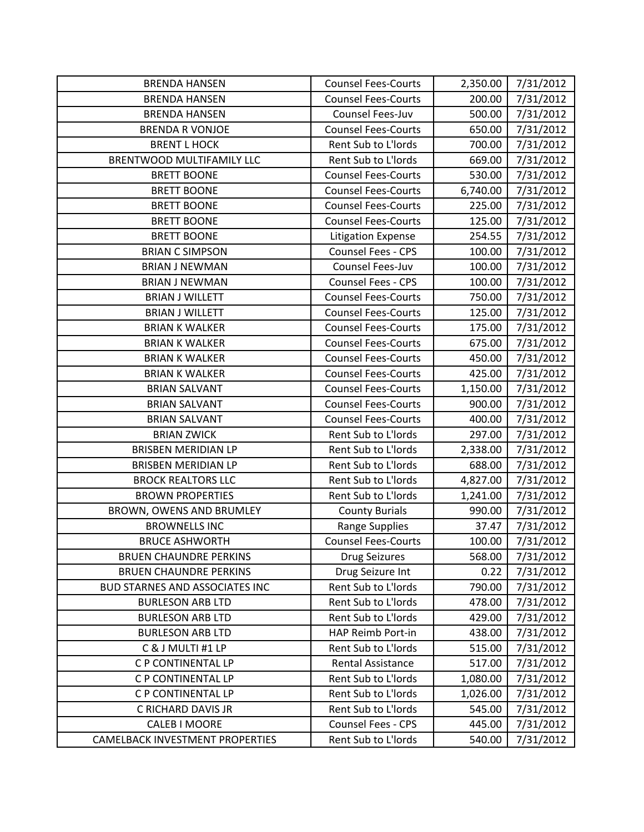| <b>BRENDA HANSEN</b>                   | <b>Counsel Fees-Courts</b> | 2,350.00 | 7/31/2012 |
|----------------------------------------|----------------------------|----------|-----------|
| <b>BRENDA HANSEN</b>                   | <b>Counsel Fees-Courts</b> | 200.00   | 7/31/2012 |
| <b>BRENDA HANSEN</b>                   | Counsel Fees-Juv           | 500.00   | 7/31/2012 |
| <b>BRENDA R VONJOE</b>                 | <b>Counsel Fees-Courts</b> | 650.00   | 7/31/2012 |
| <b>BRENT L HOCK</b>                    | Rent Sub to L'Iords        | 700.00   | 7/31/2012 |
| BRENTWOOD MULTIFAMILY LLC              | Rent Sub to L'Iords        | 669.00   | 7/31/2012 |
| <b>BRETT BOONE</b>                     | <b>Counsel Fees-Courts</b> | 530.00   | 7/31/2012 |
| <b>BRETT BOONE</b>                     | <b>Counsel Fees-Courts</b> | 6,740.00 | 7/31/2012 |
| <b>BRETT BOONE</b>                     | <b>Counsel Fees-Courts</b> | 225.00   | 7/31/2012 |
| <b>BRETT BOONE</b>                     | <b>Counsel Fees-Courts</b> | 125.00   | 7/31/2012 |
| <b>BRETT BOONE</b>                     | <b>Litigation Expense</b>  | 254.55   | 7/31/2012 |
| <b>BRIAN C SIMPSON</b>                 | <b>Counsel Fees - CPS</b>  | 100.00   | 7/31/2012 |
| <b>BRIAN J NEWMAN</b>                  | Counsel Fees-Juv           | 100.00   | 7/31/2012 |
| <b>BRIAN J NEWMAN</b>                  | <b>Counsel Fees - CPS</b>  | 100.00   | 7/31/2012 |
| <b>BRIAN J WILLETT</b>                 | <b>Counsel Fees-Courts</b> | 750.00   | 7/31/2012 |
| <b>BRIAN J WILLETT</b>                 | <b>Counsel Fees-Courts</b> | 125.00   | 7/31/2012 |
| <b>BRIAN K WALKER</b>                  | <b>Counsel Fees-Courts</b> | 175.00   | 7/31/2012 |
| <b>BRIAN K WALKER</b>                  | <b>Counsel Fees-Courts</b> | 675.00   | 7/31/2012 |
| <b>BRIAN K WALKER</b>                  | <b>Counsel Fees-Courts</b> | 450.00   | 7/31/2012 |
| <b>BRIAN K WALKER</b>                  | <b>Counsel Fees-Courts</b> | 425.00   | 7/31/2012 |
| <b>BRIAN SALVANT</b>                   | <b>Counsel Fees-Courts</b> | 1,150.00 | 7/31/2012 |
| <b>BRIAN SALVANT</b>                   | <b>Counsel Fees-Courts</b> | 900.00   | 7/31/2012 |
| <b>BRIAN SALVANT</b>                   | <b>Counsel Fees-Courts</b> | 400.00   | 7/31/2012 |
| <b>BRIAN ZWICK</b>                     | Rent Sub to L'Iords        | 297.00   | 7/31/2012 |
| <b>BRISBEN MERIDIAN LP</b>             | Rent Sub to L'Iords        | 2,338.00 | 7/31/2012 |
| <b>BRISBEN MERIDIAN LP</b>             | Rent Sub to L'Iords        | 688.00   | 7/31/2012 |
| <b>BROCK REALTORS LLC</b>              | Rent Sub to L'Iords        | 4,827.00 | 7/31/2012 |
| <b>BROWN PROPERTIES</b>                | Rent Sub to L'Iords        | 1,241.00 | 7/31/2012 |
| BROWN, OWENS AND BRUMLEY               | <b>County Burials</b>      | 990.00   | 7/31/2012 |
| <b>BROWNELLS INC</b>                   | <b>Range Supplies</b>      | 37.47    | 7/31/2012 |
| <b>BRUCE ASHWORTH</b>                  | <b>Counsel Fees-Courts</b> | 100.00   | 7/31/2012 |
| <b>BRUEN CHAUNDRE PERKINS</b>          | <b>Drug Seizures</b>       | 568.00   | 7/31/2012 |
| <b>BRUEN CHAUNDRE PERKINS</b>          | Drug Seizure Int           | 0.22     | 7/31/2012 |
| <b>BUD STARNES AND ASSOCIATES INC</b>  | Rent Sub to L'Iords        | 790.00   | 7/31/2012 |
| <b>BURLESON ARB LTD</b>                | Rent Sub to L'Iords        | 478.00   | 7/31/2012 |
| <b>BURLESON ARB LTD</b>                | Rent Sub to L'Iords        | 429.00   | 7/31/2012 |
| <b>BURLESON ARB LTD</b>                | HAP Reimb Port-in          | 438.00   | 7/31/2012 |
| C & J MULTI #1 LP                      | Rent Sub to L'Iords        | 515.00   | 7/31/2012 |
| C P CONTINENTAL LP                     | <b>Rental Assistance</b>   | 517.00   | 7/31/2012 |
| C P CONTINENTAL LP                     | Rent Sub to L'Iords        | 1,080.00 | 7/31/2012 |
| C P CONTINENTAL LP                     | Rent Sub to L'Iords        | 1,026.00 | 7/31/2012 |
| C RICHARD DAVIS JR                     | Rent Sub to L'Iords        | 545.00   | 7/31/2012 |
| <b>CALEB I MOORE</b>                   | <b>Counsel Fees - CPS</b>  | 445.00   | 7/31/2012 |
| <b>CAMELBACK INVESTMENT PROPERTIES</b> | Rent Sub to L'Iords        | 540.00   | 7/31/2012 |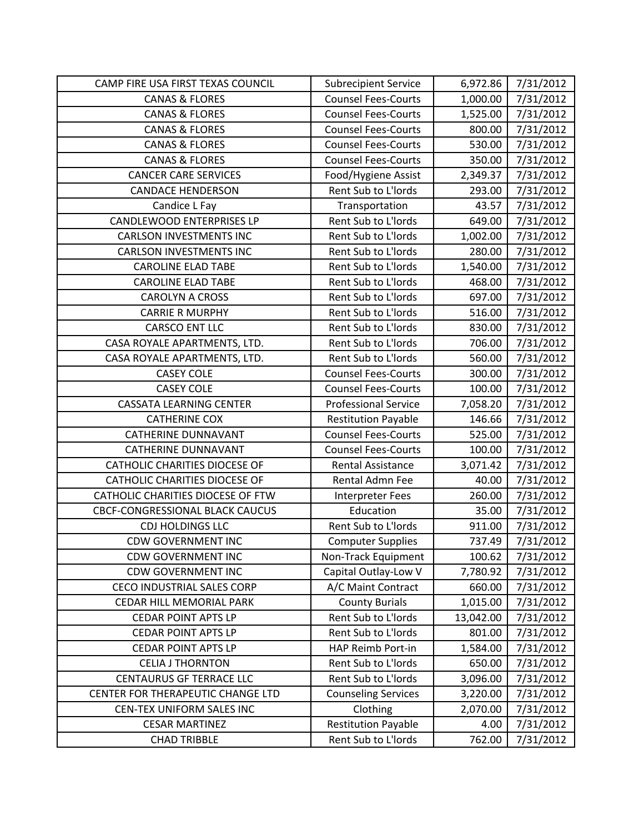| CAMP FIRE USA FIRST TEXAS COUNCIL      | <b>Subrecipient Service</b> | 6,972.86  | 7/31/2012 |
|----------------------------------------|-----------------------------|-----------|-----------|
| <b>CANAS &amp; FLORES</b>              | <b>Counsel Fees-Courts</b>  | 1,000.00  | 7/31/2012 |
| <b>CANAS &amp; FLORES</b>              | <b>Counsel Fees-Courts</b>  | 1,525.00  | 7/31/2012 |
| <b>CANAS &amp; FLORES</b>              | <b>Counsel Fees-Courts</b>  | 800.00    | 7/31/2012 |
| <b>CANAS &amp; FLORES</b>              | <b>Counsel Fees-Courts</b>  | 530.00    | 7/31/2012 |
| <b>CANAS &amp; FLORES</b>              | <b>Counsel Fees-Courts</b>  | 350.00    | 7/31/2012 |
| <b>CANCER CARE SERVICES</b>            | Food/Hygiene Assist         | 2,349.37  | 7/31/2012 |
| <b>CANDACE HENDERSON</b>               | Rent Sub to L'Iords         | 293.00    | 7/31/2012 |
| Candice L Fay                          | Transportation              | 43.57     | 7/31/2012 |
| <b>CANDLEWOOD ENTERPRISES LP</b>       | Rent Sub to L'Iords         | 649.00    | 7/31/2012 |
| <b>CARLSON INVESTMENTS INC</b>         | Rent Sub to L'Iords         | 1,002.00  | 7/31/2012 |
| <b>CARLSON INVESTMENTS INC</b>         | Rent Sub to L'Iords         | 280.00    | 7/31/2012 |
| <b>CAROLINE ELAD TABE</b>              | Rent Sub to L'Iords         | 1,540.00  | 7/31/2012 |
| <b>CAROLINE ELAD TABE</b>              | Rent Sub to L'Iords         | 468.00    | 7/31/2012 |
| <b>CAROLYN A CROSS</b>                 | Rent Sub to L'Iords         | 697.00    | 7/31/2012 |
| <b>CARRIE R MURPHY</b>                 | Rent Sub to L'Iords         | 516.00    | 7/31/2012 |
| <b>CARSCO ENT LLC</b>                  | Rent Sub to L'Iords         | 830.00    | 7/31/2012 |
| CASA ROYALE APARTMENTS, LTD.           | Rent Sub to L'Iords         | 706.00    | 7/31/2012 |
| CASA ROYALE APARTMENTS, LTD.           | Rent Sub to L'Iords         | 560.00    | 7/31/2012 |
| <b>CASEY COLE</b>                      | <b>Counsel Fees-Courts</b>  | 300.00    | 7/31/2012 |
| <b>CASEY COLE</b>                      | <b>Counsel Fees-Courts</b>  | 100.00    | 7/31/2012 |
| <b>CASSATA LEARNING CENTER</b>         | <b>Professional Service</b> | 7,058.20  | 7/31/2012 |
| <b>CATHERINE COX</b>                   | <b>Restitution Payable</b>  | 146.66    | 7/31/2012 |
| <b>CATHERINE DUNNAVANT</b>             | <b>Counsel Fees-Courts</b>  | 525.00    | 7/31/2012 |
| <b>CATHERINE DUNNAVANT</b>             | <b>Counsel Fees-Courts</b>  | 100.00    | 7/31/2012 |
| CATHOLIC CHARITIES DIOCESE OF          | <b>Rental Assistance</b>    | 3,071.42  | 7/31/2012 |
| <b>CATHOLIC CHARITIES DIOCESE OF</b>   | Rental Admn Fee             | 40.00     | 7/31/2012 |
| CATHOLIC CHARITIES DIOCESE OF FTW      | <b>Interpreter Fees</b>     | 260.00    | 7/31/2012 |
| <b>CBCF-CONGRESSIONAL BLACK CAUCUS</b> | Education                   | 35.00     | 7/31/2012 |
| CDJ HOLDINGS LLC                       | Rent Sub to L'Iords         | 911.00    | 7/31/2012 |
| <b>CDW GOVERNMENT INC</b>              | <b>Computer Supplies</b>    | 737.49    | 7/31/2012 |
| <b>CDW GOVERNMENT INC</b>              | Non-Track Equipment         | 100.62    | 7/31/2012 |
| <b>CDW GOVERNMENT INC</b>              | Capital Outlay-Low V        | 7,780.92  | 7/31/2012 |
| CECO INDUSTRIAL SALES CORP             | A/C Maint Contract          | 660.00    | 7/31/2012 |
| CEDAR HILL MEMORIAL PARK               | <b>County Burials</b>       | 1,015.00  | 7/31/2012 |
| <b>CEDAR POINT APTS LP</b>             | Rent Sub to L'Iords         | 13,042.00 | 7/31/2012 |
| <b>CEDAR POINT APTS LP</b>             | Rent Sub to L'Iords         | 801.00    | 7/31/2012 |
| <b>CEDAR POINT APTS LP</b>             | HAP Reimb Port-in           | 1,584.00  | 7/31/2012 |
| <b>CELIA J THORNTON</b>                | Rent Sub to L'Iords         | 650.00    | 7/31/2012 |
| <b>CENTAURUS GF TERRACE LLC</b>        | Rent Sub to L'Iords         | 3,096.00  | 7/31/2012 |
| CENTER FOR THERAPEUTIC CHANGE LTD      | <b>Counseling Services</b>  | 3,220.00  | 7/31/2012 |
| CEN-TEX UNIFORM SALES INC              | Clothing                    | 2,070.00  | 7/31/2012 |
| <b>CESAR MARTINEZ</b>                  | <b>Restitution Payable</b>  | 4.00      | 7/31/2012 |
| <b>CHAD TRIBBLE</b>                    | Rent Sub to L'Iords         | 762.00    | 7/31/2012 |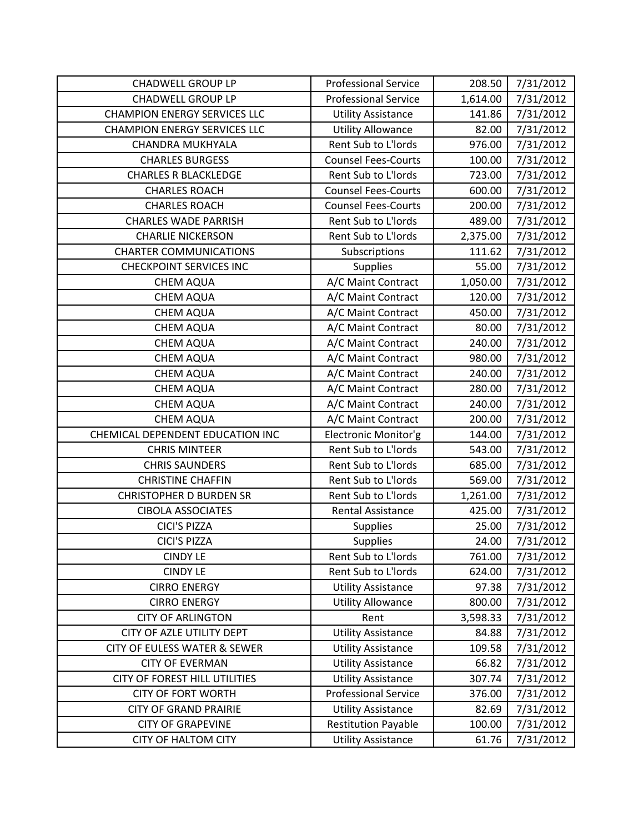| <b>CHADWELL GROUP LP</b>                | <b>Professional Service</b> | 208.50   | 7/31/2012 |
|-----------------------------------------|-----------------------------|----------|-----------|
| <b>CHADWELL GROUP LP</b>                | <b>Professional Service</b> | 1,614.00 | 7/31/2012 |
| <b>CHAMPION ENERGY SERVICES LLC</b>     | <b>Utility Assistance</b>   | 141.86   | 7/31/2012 |
| <b>CHAMPION ENERGY SERVICES LLC</b>     | <b>Utility Allowance</b>    | 82.00    | 7/31/2012 |
| <b>CHANDRA MUKHYALA</b>                 | Rent Sub to L'Iords         | 976.00   | 7/31/2012 |
| <b>CHARLES BURGESS</b>                  | <b>Counsel Fees-Courts</b>  | 100.00   | 7/31/2012 |
| <b>CHARLES R BLACKLEDGE</b>             | Rent Sub to L'Iords         | 723.00   | 7/31/2012 |
| <b>CHARLES ROACH</b>                    | <b>Counsel Fees-Courts</b>  | 600.00   | 7/31/2012 |
| <b>CHARLES ROACH</b>                    | <b>Counsel Fees-Courts</b>  | 200.00   | 7/31/2012 |
| <b>CHARLES WADE PARRISH</b>             | Rent Sub to L'Iords         | 489.00   | 7/31/2012 |
| <b>CHARLIE NICKERSON</b>                | Rent Sub to L'Iords         | 2,375.00 | 7/31/2012 |
| <b>CHARTER COMMUNICATIONS</b>           | Subscriptions               | 111.62   | 7/31/2012 |
| <b>CHECKPOINT SERVICES INC</b>          | <b>Supplies</b>             | 55.00    | 7/31/2012 |
| <b>CHEM AQUA</b>                        | A/C Maint Contract          | 1,050.00 | 7/31/2012 |
| <b>CHEM AQUA</b>                        | A/C Maint Contract          | 120.00   | 7/31/2012 |
| <b>CHEM AQUA</b>                        | A/C Maint Contract          | 450.00   | 7/31/2012 |
| <b>CHEM AQUA</b>                        | A/C Maint Contract          | 80.00    | 7/31/2012 |
| <b>CHEM AQUA</b>                        | A/C Maint Contract          | 240.00   | 7/31/2012 |
| <b>CHEM AQUA</b>                        | A/C Maint Contract          | 980.00   | 7/31/2012 |
| <b>CHEM AQUA</b>                        | A/C Maint Contract          | 240.00   | 7/31/2012 |
| <b>CHEM AQUA</b>                        | A/C Maint Contract          | 280.00   | 7/31/2012 |
| <b>CHEM AQUA</b>                        | A/C Maint Contract          | 240.00   | 7/31/2012 |
| <b>CHEM AQUA</b>                        | A/C Maint Contract          | 200.00   | 7/31/2012 |
| CHEMICAL DEPENDENT EDUCATION INC        | Electronic Monitor'g        | 144.00   | 7/31/2012 |
| <b>CHRIS MINTEER</b>                    | Rent Sub to L'Iords         | 543.00   | 7/31/2012 |
| <b>CHRIS SAUNDERS</b>                   | Rent Sub to L'Iords         | 685.00   | 7/31/2012 |
| <b>CHRISTINE CHAFFIN</b>                | Rent Sub to L'Iords         | 569.00   | 7/31/2012 |
| <b>CHRISTOPHER D BURDEN SR</b>          | Rent Sub to L'Iords         | 1,261.00 | 7/31/2012 |
| <b>CIBOLA ASSOCIATES</b>                | <b>Rental Assistance</b>    | 425.00   | 7/31/2012 |
| <b>CICI'S PIZZA</b>                     | <b>Supplies</b>             | 25.00    | 7/31/2012 |
| <b>CICI'S PIZZA</b>                     | <b>Supplies</b>             | 24.00    | 7/31/2012 |
| <b>CINDY LE</b>                         | Rent Sub to L'Iords         | 761.00   | 7/31/2012 |
| <b>CINDY LE</b>                         | Rent Sub to L'Iords         | 624.00   | 7/31/2012 |
| <b>CIRRO ENERGY</b>                     | <b>Utility Assistance</b>   | 97.38    | 7/31/2012 |
| <b>CIRRO ENERGY</b>                     | <b>Utility Allowance</b>    | 800.00   | 7/31/2012 |
| <b>CITY OF ARLINGTON</b>                | Rent                        | 3,598.33 | 7/31/2012 |
| CITY OF AZLE UTILITY DEPT               | <b>Utility Assistance</b>   | 84.88    | 7/31/2012 |
| <b>CITY OF EULESS WATER &amp; SEWER</b> | <b>Utility Assistance</b>   | 109.58   | 7/31/2012 |
| <b>CITY OF EVERMAN</b>                  | <b>Utility Assistance</b>   | 66.82    | 7/31/2012 |
| CITY OF FOREST HILL UTILITIES           | <b>Utility Assistance</b>   | 307.74   | 7/31/2012 |
| <b>CITY OF FORT WORTH</b>               | <b>Professional Service</b> | 376.00   | 7/31/2012 |
| <b>CITY OF GRAND PRAIRIE</b>            | <b>Utility Assistance</b>   | 82.69    | 7/31/2012 |
| <b>CITY OF GRAPEVINE</b>                | <b>Restitution Payable</b>  | 100.00   | 7/31/2012 |
| <b>CITY OF HALTOM CITY</b>              | <b>Utility Assistance</b>   | 61.76    | 7/31/2012 |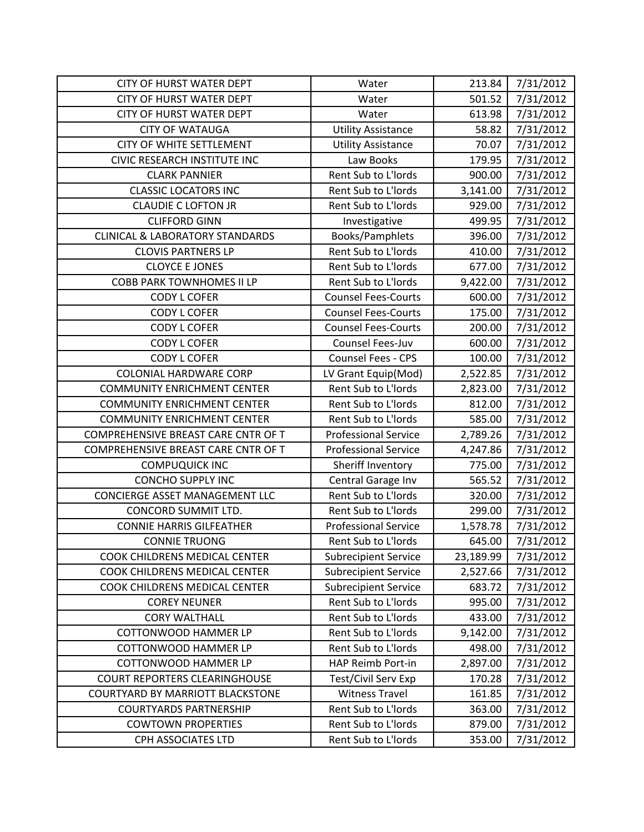| <b>CITY OF HURST WATER DEPT</b>            | Water                       | 213.84    | 7/31/2012 |
|--------------------------------------------|-----------------------------|-----------|-----------|
| <b>CITY OF HURST WATER DEPT</b>            | Water                       | 501.52    | 7/31/2012 |
| <b>CITY OF HURST WATER DEPT</b>            | Water                       | 613.98    | 7/31/2012 |
| <b>CITY OF WATAUGA</b>                     | <b>Utility Assistance</b>   | 58.82     | 7/31/2012 |
| <b>CITY OF WHITE SETTLEMENT</b>            | <b>Utility Assistance</b>   | 70.07     | 7/31/2012 |
| CIVIC RESEARCH INSTITUTE INC               | Law Books                   | 179.95    | 7/31/2012 |
| <b>CLARK PANNIER</b>                       | Rent Sub to L'Iords         | 900.00    | 7/31/2012 |
| <b>CLASSIC LOCATORS INC</b>                | Rent Sub to L'Iords         | 3,141.00  | 7/31/2012 |
| <b>CLAUDIE C LOFTON JR</b>                 | Rent Sub to L'Iords         | 929.00    | 7/31/2012 |
| <b>CLIFFORD GINN</b>                       | Investigative               | 499.95    | 7/31/2012 |
| <b>CLINICAL &amp; LABORATORY STANDARDS</b> | Books/Pamphlets             | 396.00    | 7/31/2012 |
| <b>CLOVIS PARTNERS LP</b>                  | Rent Sub to L'Iords         | 410.00    | 7/31/2012 |
| <b>CLOYCE E JONES</b>                      | Rent Sub to L'Iords         | 677.00    | 7/31/2012 |
| <b>COBB PARK TOWNHOMES II LP</b>           | Rent Sub to L'Iords         | 9,422.00  | 7/31/2012 |
| <b>CODY L COFER</b>                        | <b>Counsel Fees-Courts</b>  | 600.00    | 7/31/2012 |
| <b>CODY L COFER</b>                        | <b>Counsel Fees-Courts</b>  | 175.00    | 7/31/2012 |
| <b>CODY L COFER</b>                        | <b>Counsel Fees-Courts</b>  | 200.00    | 7/31/2012 |
| <b>CODY L COFER</b>                        | Counsel Fees-Juv            | 600.00    | 7/31/2012 |
| <b>CODY L COFER</b>                        | Counsel Fees - CPS          | 100.00    | 7/31/2012 |
| <b>COLONIAL HARDWARE CORP</b>              | LV Grant Equip(Mod)         | 2,522.85  | 7/31/2012 |
| <b>COMMUNITY ENRICHMENT CENTER</b>         | Rent Sub to L'Iords         | 2,823.00  | 7/31/2012 |
| <b>COMMUNITY ENRICHMENT CENTER</b>         | Rent Sub to L'Iords         | 812.00    | 7/31/2012 |
| <b>COMMUNITY ENRICHMENT CENTER</b>         | Rent Sub to L'Iords         | 585.00    | 7/31/2012 |
| COMPREHENSIVE BREAST CARE CNTR OF T        | <b>Professional Service</b> | 2,789.26  | 7/31/2012 |
| COMPREHENSIVE BREAST CARE CNTR OF T        | <b>Professional Service</b> | 4,247.86  | 7/31/2012 |
| <b>COMPUQUICK INC</b>                      | Sheriff Inventory           | 775.00    | 7/31/2012 |
| <b>CONCHO SUPPLY INC</b>                   | Central Garage Inv          | 565.52    | 7/31/2012 |
| CONCIERGE ASSET MANAGEMENT LLC             | Rent Sub to L'Iords         | 320.00    | 7/31/2012 |
| CONCORD SUMMIT LTD.                        | Rent Sub to L'Iords         | 299.00    | 7/31/2012 |
| <b>CONNIE HARRIS GILFEATHER</b>            | <b>Professional Service</b> | 1,578.78  | 7/31/2012 |
| <b>CONNIE TRUONG</b>                       | Rent Sub to L'Iords         | 645.00    | 7/31/2012 |
| COOK CHILDRENS MEDICAL CENTER              | <b>Subrecipient Service</b> | 23,189.99 | 7/31/2012 |
| COOK CHILDRENS MEDICAL CENTER              | <b>Subrecipient Service</b> | 2,527.66  | 7/31/2012 |
| COOK CHILDRENS MEDICAL CENTER              | <b>Subrecipient Service</b> | 683.72    | 7/31/2012 |
| <b>COREY NEUNER</b>                        | Rent Sub to L'Iords         | 995.00    | 7/31/2012 |
| <b>CORY WALTHALL</b>                       | Rent Sub to L'Iords         | 433.00    | 7/31/2012 |
| <b>COTTONWOOD HAMMER LP</b>                | Rent Sub to L'Iords         | 9,142.00  | 7/31/2012 |
| COTTONWOOD HAMMER LP                       | Rent Sub to L'Iords         | 498.00    | 7/31/2012 |
| <b>COTTONWOOD HAMMER LP</b>                | HAP Reimb Port-in           | 2,897.00  | 7/31/2012 |
| <b>COURT REPORTERS CLEARINGHOUSE</b>       | Test/Civil Serv Exp         | 170.28    | 7/31/2012 |
| <b>COURTYARD BY MARRIOTT BLACKSTONE</b>    | <b>Witness Travel</b>       | 161.85    | 7/31/2012 |
| <b>COURTYARDS PARTNERSHIP</b>              | Rent Sub to L'Iords         | 363.00    | 7/31/2012 |
| <b>COWTOWN PROPERTIES</b>                  | Rent Sub to L'Iords         | 879.00    | 7/31/2012 |
| CPH ASSOCIATES LTD                         | Rent Sub to L'Iords         | 353.00    | 7/31/2012 |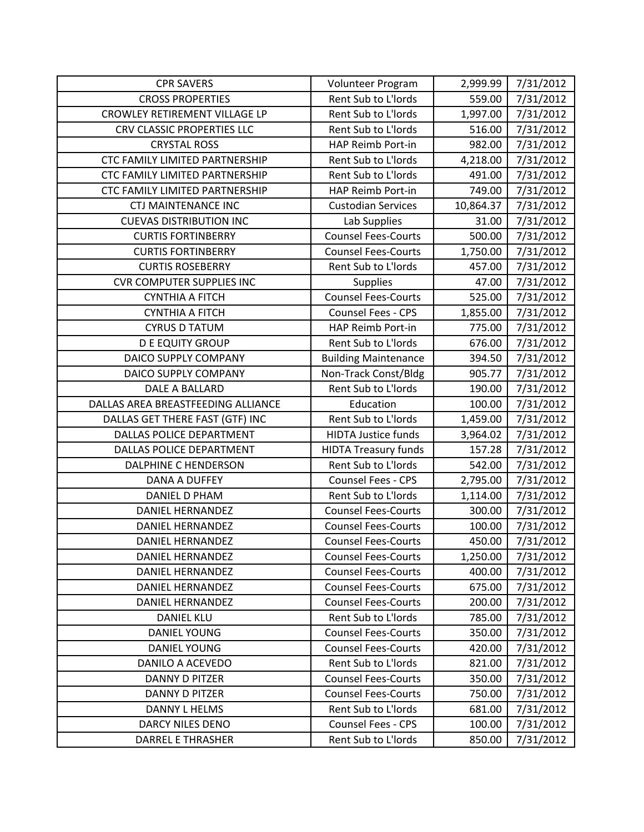| <b>CPR SAVERS</b>                  | Volunteer Program           | 2,999.99  | 7/31/2012 |
|------------------------------------|-----------------------------|-----------|-----------|
| <b>CROSS PROPERTIES</b>            | Rent Sub to L'Iords         | 559.00    | 7/31/2012 |
| CROWLEY RETIREMENT VILLAGE LP      | Rent Sub to L'Iords         | 1,997.00  | 7/31/2012 |
| CRV CLASSIC PROPERTIES LLC         | Rent Sub to L'Iords         | 516.00    | 7/31/2012 |
| <b>CRYSTAL ROSS</b>                | HAP Reimb Port-in           | 982.00    | 7/31/2012 |
| CTC FAMILY LIMITED PARTNERSHIP     | Rent Sub to L'Iords         | 4,218.00  | 7/31/2012 |
| CTC FAMILY LIMITED PARTNERSHIP     | Rent Sub to L'Iords         | 491.00    | 7/31/2012 |
| CTC FAMILY LIMITED PARTNERSHIP     | HAP Reimb Port-in           | 749.00    | 7/31/2012 |
| <b>CTJ MAINTENANCE INC</b>         | <b>Custodian Services</b>   | 10,864.37 | 7/31/2012 |
| <b>CUEVAS DISTRIBUTION INC</b>     | Lab Supplies                | 31.00     | 7/31/2012 |
| <b>CURTIS FORTINBERRY</b>          | <b>Counsel Fees-Courts</b>  | 500.00    | 7/31/2012 |
| <b>CURTIS FORTINBERRY</b>          | <b>Counsel Fees-Courts</b>  | 1,750.00  | 7/31/2012 |
| <b>CURTIS ROSEBERRY</b>            | Rent Sub to L'Iords         | 457.00    | 7/31/2012 |
| <b>CVR COMPUTER SUPPLIES INC</b>   | <b>Supplies</b>             | 47.00     | 7/31/2012 |
| <b>CYNTHIA A FITCH</b>             | <b>Counsel Fees-Courts</b>  | 525.00    | 7/31/2012 |
| <b>CYNTHIA A FITCH</b>             | Counsel Fees - CPS          | 1,855.00  | 7/31/2012 |
| <b>CYRUS D TATUM</b>               | HAP Reimb Port-in           | 775.00    | 7/31/2012 |
| <b>D E EQUITY GROUP</b>            | Rent Sub to L'Iords         | 676.00    | 7/31/2012 |
| DAICO SUPPLY COMPANY               | <b>Building Maintenance</b> | 394.50    | 7/31/2012 |
| DAICO SUPPLY COMPANY               | Non-Track Const/Bldg        | 905.77    | 7/31/2012 |
| DALE A BALLARD                     | Rent Sub to L'Iords         | 190.00    | 7/31/2012 |
| DALLAS AREA BREASTFEEDING ALLIANCE | Education                   | 100.00    | 7/31/2012 |
| DALLAS GET THERE FAST (GTF) INC    | Rent Sub to L'Iords         | 1,459.00  | 7/31/2012 |
| <b>DALLAS POLICE DEPARTMENT</b>    | <b>HIDTA Justice funds</b>  | 3,964.02  | 7/31/2012 |
| DALLAS POLICE DEPARTMENT           | <b>HIDTA Treasury funds</b> | 157.28    | 7/31/2012 |
| DALPHINE C HENDERSON               | Rent Sub to L'Iords         | 542.00    | 7/31/2012 |
| DANA A DUFFEY                      | Counsel Fees - CPS          | 2,795.00  | 7/31/2012 |
| <b>DANIEL D PHAM</b>               | Rent Sub to L'Iords         | 1,114.00  | 7/31/2012 |
| <b>DANIEL HERNANDEZ</b>            | <b>Counsel Fees-Courts</b>  | 300.00    | 7/31/2012 |
| <b>DANIEL HERNANDEZ</b>            | <b>Counsel Fees-Courts</b>  | 100.00    | 7/31/2012 |
| <b>DANIEL HERNANDEZ</b>            | <b>Counsel Fees-Courts</b>  | 450.00    | 7/31/2012 |
| DANIEL HERNANDEZ                   | <b>Counsel Fees-Courts</b>  | 1,250.00  | 7/31/2012 |
| <b>DANIEL HERNANDEZ</b>            | <b>Counsel Fees-Courts</b>  | 400.00    | 7/31/2012 |
| DANIEL HERNANDEZ                   | <b>Counsel Fees-Courts</b>  | 675.00    | 7/31/2012 |
| <b>DANIEL HERNANDEZ</b>            | <b>Counsel Fees-Courts</b>  | 200.00    | 7/31/2012 |
| <b>DANIEL KLU</b>                  | Rent Sub to L'Iords         | 785.00    | 7/31/2012 |
| DANIEL YOUNG                       | <b>Counsel Fees-Courts</b>  | 350.00    | 7/31/2012 |
| DANIEL YOUNG                       | <b>Counsel Fees-Courts</b>  | 420.00    | 7/31/2012 |
| <b>DANILO A ACEVEDO</b>            | Rent Sub to L'Iords         | 821.00    | 7/31/2012 |
| <b>DANNY D PITZER</b>              | <b>Counsel Fees-Courts</b>  | 350.00    | 7/31/2012 |
| DANNY D PITZER                     | <b>Counsel Fees-Courts</b>  | 750.00    | 7/31/2012 |
| DANNY L HELMS                      | Rent Sub to L'Iords         | 681.00    | 7/31/2012 |
| DARCY NILES DENO                   | <b>Counsel Fees - CPS</b>   | 100.00    | 7/31/2012 |
| <b>DARREL E THRASHER</b>           | Rent Sub to L'Iords         | 850.00    | 7/31/2012 |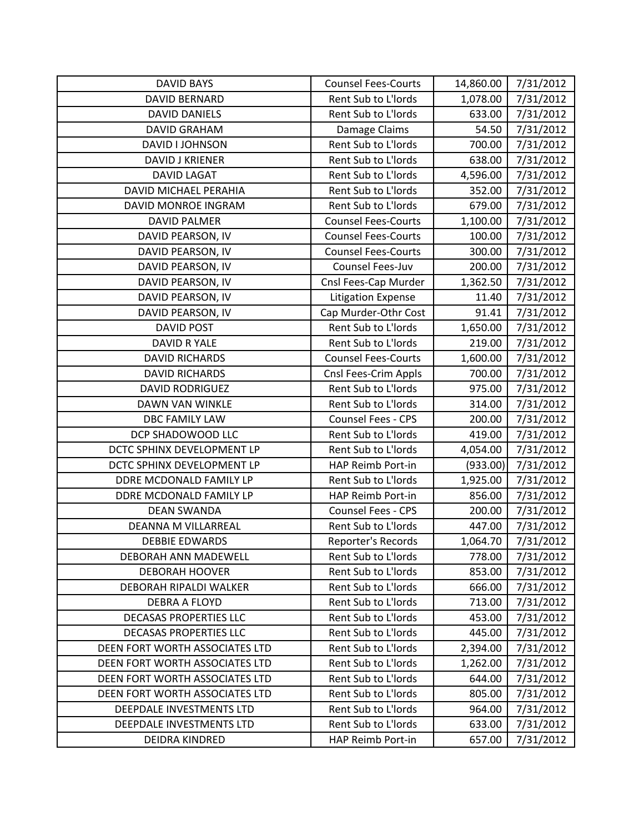| <b>DAVID BAYS</b>              | <b>Counsel Fees-Courts</b> | 14,860.00 | 7/31/2012 |
|--------------------------------|----------------------------|-----------|-----------|
| <b>DAVID BERNARD</b>           | Rent Sub to L'Iords        | 1,078.00  | 7/31/2012 |
| <b>DAVID DANIELS</b>           | Rent Sub to L'Iords        | 633.00    | 7/31/2012 |
| <b>DAVID GRAHAM</b>            | Damage Claims              | 54.50     | 7/31/2012 |
| DAVID I JOHNSON                | Rent Sub to L'Iords        | 700.00    | 7/31/2012 |
| <b>DAVID J KRIENER</b>         | Rent Sub to L'Iords        | 638.00    | 7/31/2012 |
| <b>DAVID LAGAT</b>             | Rent Sub to L'Iords        | 4,596.00  | 7/31/2012 |
| <b>DAVID MICHAEL PERAHIA</b>   | Rent Sub to L'Iords        | 352.00    | 7/31/2012 |
| DAVID MONROE INGRAM            | Rent Sub to L'Iords        | 679.00    | 7/31/2012 |
| <b>DAVID PALMER</b>            | <b>Counsel Fees-Courts</b> | 1,100.00  | 7/31/2012 |
| DAVID PEARSON, IV              | <b>Counsel Fees-Courts</b> | 100.00    | 7/31/2012 |
| DAVID PEARSON, IV              | <b>Counsel Fees-Courts</b> | 300.00    | 7/31/2012 |
| DAVID PEARSON, IV              | Counsel Fees-Juv           | 200.00    | 7/31/2012 |
| DAVID PEARSON, IV              | Cnsl Fees-Cap Murder       | 1,362.50  | 7/31/2012 |
| DAVID PEARSON, IV              | <b>Litigation Expense</b>  | 11.40     | 7/31/2012 |
| DAVID PEARSON, IV              | Cap Murder-Othr Cost       | 91.41     | 7/31/2012 |
| <b>DAVID POST</b>              | Rent Sub to L'Iords        | 1,650.00  | 7/31/2012 |
| DAVID R YALE                   | Rent Sub to L'Iords        | 219.00    | 7/31/2012 |
| <b>DAVID RICHARDS</b>          | <b>Counsel Fees-Courts</b> | 1,600.00  | 7/31/2012 |
| <b>DAVID RICHARDS</b>          | Cnsl Fees-Crim Appls       | 700.00    | 7/31/2012 |
| <b>DAVID RODRIGUEZ</b>         | Rent Sub to L'Iords        | 975.00    | 7/31/2012 |
| DAWN VAN WINKLE                | Rent Sub to L'Iords        | 314.00    | 7/31/2012 |
| <b>DBC FAMILY LAW</b>          | Counsel Fees - CPS         | 200.00    | 7/31/2012 |
| DCP SHADOWOOD LLC              | Rent Sub to L'Iords        | 419.00    | 7/31/2012 |
| DCTC SPHINX DEVELOPMENT LP     | Rent Sub to L'Iords        | 4,054.00  | 7/31/2012 |
| DCTC SPHINX DEVELOPMENT LP     | HAP Reimb Port-in          | (933.00)  | 7/31/2012 |
| DDRE MCDONALD FAMILY LP        | Rent Sub to L'Iords        | 1,925.00  | 7/31/2012 |
| DDRE MCDONALD FAMILY LP        | HAP Reimb Port-in          | 856.00    | 7/31/2012 |
| <b>DEAN SWANDA</b>             | Counsel Fees - CPS         | 200.00    | 7/31/2012 |
| DEANNA M VILLARREAL            | Rent Sub to L'Iords        | 447.00    | 7/31/2012 |
| <b>DEBBIE EDWARDS</b>          | Reporter's Records         | 1,064.70  | 7/31/2012 |
| DEBORAH ANN MADEWELL           | Rent Sub to L'Iords        | 778.00    | 7/31/2012 |
| <b>DEBORAH HOOVER</b>          | Rent Sub to L'Iords        | 853.00    | 7/31/2012 |
| DEBORAH RIPALDI WALKER         | Rent Sub to L'Iords        | 666.00    | 7/31/2012 |
| <b>DEBRA A FLOYD</b>           | Rent Sub to L'Iords        | 713.00    | 7/31/2012 |
| <b>DECASAS PROPERTIES LLC</b>  | <b>Rent Sub to L'Iords</b> | 453.00    | 7/31/2012 |
| DECASAS PROPERTIES LLC         | Rent Sub to L'Iords        | 445.00    | 7/31/2012 |
| DEEN FORT WORTH ASSOCIATES LTD | Rent Sub to L'Iords        | 2,394.00  | 7/31/2012 |
| DEEN FORT WORTH ASSOCIATES LTD | Rent Sub to L'Iords        | 1,262.00  | 7/31/2012 |
| DEEN FORT WORTH ASSOCIATES LTD | Rent Sub to L'Iords        | 644.00    | 7/31/2012 |
| DEEN FORT WORTH ASSOCIATES LTD | Rent Sub to L'Iords        | 805.00    | 7/31/2012 |
| DEEPDALE INVESTMENTS LTD       | Rent Sub to L'Iords        | 964.00    | 7/31/2012 |
| DEEPDALE INVESTMENTS LTD       | Rent Sub to L'Iords        | 633.00    | 7/31/2012 |
| DEIDRA KINDRED                 | HAP Reimb Port-in          | 657.00    | 7/31/2012 |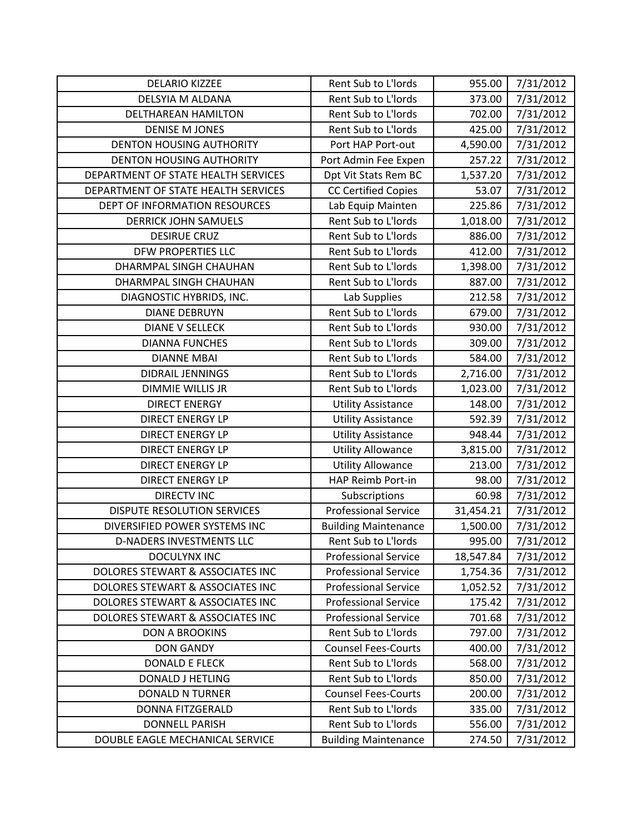| <b>DELARIO KIZZEE</b>               | Rent Sub to L'Iords         | 955.00    | 7/31/2012 |
|-------------------------------------|-----------------------------|-----------|-----------|
| DELSYIA M ALDANA                    | Rent Sub to L'Iords         | 373.00    | 7/31/2012 |
| DELTHAREAN HAMILTON                 | Rent Sub to L'Iords         | 702.00    | 7/31/2012 |
| <b>DENISE M JONES</b>               | Rent Sub to L'Iords         | 425.00    | 7/31/2012 |
| <b>DENTON HOUSING AUTHORITY</b>     | Port HAP Port-out           | 4,590.00  | 7/31/2012 |
| <b>DENTON HOUSING AUTHORITY</b>     | Port Admin Fee Expen        | 257.22    | 7/31/2012 |
| DEPARTMENT OF STATE HEALTH SERVICES | Dpt Vit Stats Rem BC        | 1,537.20  | 7/31/2012 |
| DEPARTMENT OF STATE HEALTH SERVICES | <b>CC Certified Copies</b>  | 53.07     | 7/31/2012 |
| DEPT OF INFORMATION RESOURCES       | Lab Equip Mainten           | 225.86    | 7/31/2012 |
| <b>DERRICK JOHN SAMUELS</b>         | Rent Sub to L'Iords         | 1,018.00  | 7/31/2012 |
| <b>DESIRUE CRUZ</b>                 | Rent Sub to L'Iords         | 886.00    | 7/31/2012 |
| DFW PROPERTIES LLC                  | Rent Sub to L'Iords         | 412.00    | 7/31/2012 |
| DHARMPAL SINGH CHAUHAN              | Rent Sub to L'Iords         | 1,398.00  | 7/31/2012 |
| DHARMPAL SINGH CHAUHAN              | Rent Sub to L'Iords         | 887.00    | 7/31/2012 |
| DIAGNOSTIC HYBRIDS, INC.            | Lab Supplies                | 212.58    | 7/31/2012 |
| <b>DIANE DEBRUYN</b>                | Rent Sub to L'Iords         | 679.00    | 7/31/2012 |
| <b>DIANE V SELLECK</b>              | Rent Sub to L'Iords         | 930.00    | 7/31/2012 |
| <b>DIANNA FUNCHES</b>               | Rent Sub to L'Iords         | 309.00    | 7/31/2012 |
| <b>DIANNE MBAI</b>                  | Rent Sub to L'Iords         | 584.00    | 7/31/2012 |
| DIDRAIL JENNINGS                    | Rent Sub to L'Iords         | 2,716.00  | 7/31/2012 |
| <b>DIMMIE WILLIS JR</b>             | Rent Sub to L'Iords         | 1,023.00  | 7/31/2012 |
| <b>DIRECT ENERGY</b>                | <b>Utility Assistance</b>   | 148.00    | 7/31/2012 |
| <b>DIRECT ENERGY LP</b>             | <b>Utility Assistance</b>   | 592.39    | 7/31/2012 |
| <b>DIRECT ENERGY LP</b>             | <b>Utility Assistance</b>   | 948.44    | 7/31/2012 |
| <b>DIRECT ENERGY LP</b>             | <b>Utility Allowance</b>    | 3,815.00  | 7/31/2012 |
| <b>DIRECT ENERGY LP</b>             | <b>Utility Allowance</b>    | 213.00    | 7/31/2012 |
| <b>DIRECT ENERGY LP</b>             | HAP Reimb Port-in           | 98.00     | 7/31/2012 |
| <b>DIRECTV INC</b>                  | Subscriptions               | 60.98     | 7/31/2012 |
| <b>DISPUTE RESOLUTION SERVICES</b>  | <b>Professional Service</b> | 31,454.21 | 7/31/2012 |
| DIVERSIFIED POWER SYSTEMS INC       | <b>Building Maintenance</b> | 1,500.00  | 7/31/2012 |
| D-NADERS INVESTMENTS LLC            | Rent Sub to L'Iords         | 995.00    | 7/31/2012 |
| <b>DOCULYNX INC</b>                 | <b>Professional Service</b> | 18,547.84 | 7/31/2012 |
| DOLORES STEWART & ASSOCIATES INC    | <b>Professional Service</b> | 1,754.36  | 7/31/2012 |
| DOLORES STEWART & ASSOCIATES INC    | <b>Professional Service</b> | 1,052.52  | 7/31/2012 |
| DOLORES STEWART & ASSOCIATES INC    | <b>Professional Service</b> | 175.42    | 7/31/2012 |
| DOLORES STEWART & ASSOCIATES INC    | <b>Professional Service</b> | 701.68    | 7/31/2012 |
| <b>DON A BROOKINS</b>               | Rent Sub to L'Iords         | 797.00    | 7/31/2012 |
| <b>DON GANDY</b>                    | <b>Counsel Fees-Courts</b>  | 400.00    | 7/31/2012 |
| <b>DONALD E FLECK</b>               | Rent Sub to L'Iords         | 568.00    | 7/31/2012 |
| <b>DONALD J HETLING</b>             | Rent Sub to L'Iords         | 850.00    | 7/31/2012 |
| <b>DONALD N TURNER</b>              | <b>Counsel Fees-Courts</b>  | 200.00    | 7/31/2012 |
| <b>DONNA FITZGERALD</b>             | Rent Sub to L'Iords         | 335.00    | 7/31/2012 |
| <b>DONNELL PARISH</b>               | Rent Sub to L'Iords         | 556.00    | 7/31/2012 |
| DOUBLE EAGLE MECHANICAL SERVICE     | <b>Building Maintenance</b> | 274.50    | 7/31/2012 |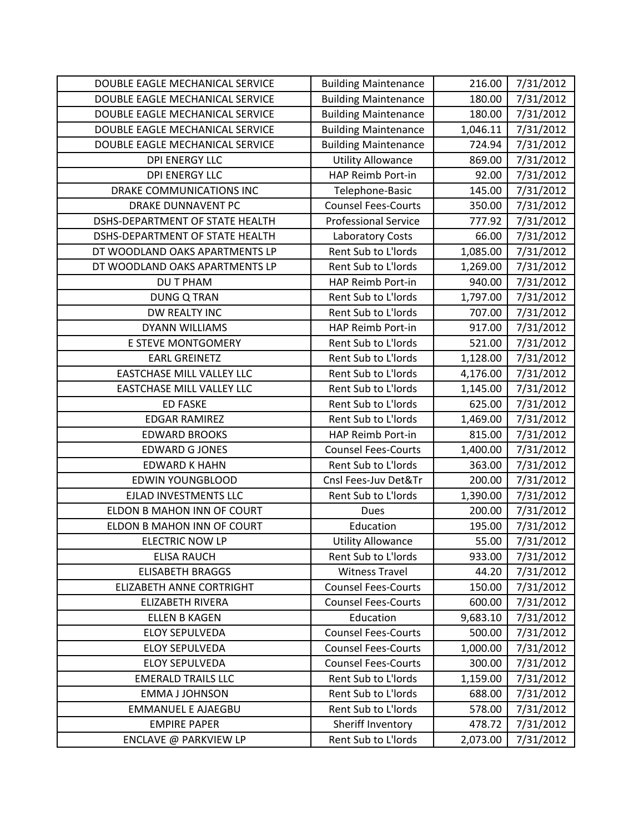| DOUBLE EAGLE MECHANICAL SERVICE  | <b>Building Maintenance</b> | 216.00   | 7/31/2012 |
|----------------------------------|-----------------------------|----------|-----------|
| DOUBLE EAGLE MECHANICAL SERVICE  | <b>Building Maintenance</b> | 180.00   | 7/31/2012 |
| DOUBLE EAGLE MECHANICAL SERVICE  | <b>Building Maintenance</b> | 180.00   | 7/31/2012 |
| DOUBLE EAGLE MECHANICAL SERVICE  | <b>Building Maintenance</b> | 1,046.11 | 7/31/2012 |
| DOUBLE EAGLE MECHANICAL SERVICE  | <b>Building Maintenance</b> | 724.94   | 7/31/2012 |
| <b>DPI ENERGY LLC</b>            | <b>Utility Allowance</b>    | 869.00   | 7/31/2012 |
| <b>DPI ENERGY LLC</b>            | HAP Reimb Port-in           | 92.00    | 7/31/2012 |
| DRAKE COMMUNICATIONS INC         | Telephone-Basic             | 145.00   | 7/31/2012 |
| <b>DRAKE DUNNAVENT PC</b>        | <b>Counsel Fees-Courts</b>  | 350.00   | 7/31/2012 |
| DSHS-DEPARTMENT OF STATE HEALTH  | <b>Professional Service</b> | 777.92   | 7/31/2012 |
| DSHS-DEPARTMENT OF STATE HEALTH  | Laboratory Costs            | 66.00    | 7/31/2012 |
| DT WOODLAND OAKS APARTMENTS LP   | Rent Sub to L'Iords         | 1,085.00 | 7/31/2012 |
| DT WOODLAND OAKS APARTMENTS LP   | Rent Sub to L'Iords         | 1,269.00 | 7/31/2012 |
| <b>DU T PHAM</b>                 | <b>HAP Reimb Port-in</b>    | 940.00   | 7/31/2012 |
| <b>DUNG Q TRAN</b>               | Rent Sub to L'Iords         | 1,797.00 | 7/31/2012 |
| DW REALTY INC                    | Rent Sub to L'Iords         | 707.00   | 7/31/2012 |
| <b>DYANN WILLIAMS</b>            | HAP Reimb Port-in           | 917.00   | 7/31/2012 |
| E STEVE MONTGOMERY               | Rent Sub to L'Iords         | 521.00   | 7/31/2012 |
| <b>EARL GREINETZ</b>             | Rent Sub to L'Iords         | 1,128.00 | 7/31/2012 |
| <b>EASTCHASE MILL VALLEY LLC</b> | Rent Sub to L'Iords         | 4,176.00 | 7/31/2012 |
| <b>EASTCHASE MILL VALLEY LLC</b> | Rent Sub to L'Iords         | 1,145.00 | 7/31/2012 |
| <b>ED FASKE</b>                  | Rent Sub to L'Iords         | 625.00   | 7/31/2012 |
| <b>EDGAR RAMIREZ</b>             | Rent Sub to L'Iords         | 1,469.00 | 7/31/2012 |
| <b>EDWARD BROOKS</b>             | HAP Reimb Port-in           | 815.00   | 7/31/2012 |
| <b>EDWARD G JONES</b>            | <b>Counsel Fees-Courts</b>  | 1,400.00 | 7/31/2012 |
| <b>EDWARD K HAHN</b>             | Rent Sub to L'Iords         | 363.00   | 7/31/2012 |
| <b>EDWIN YOUNGBLOOD</b>          | Cnsl Fees-Juv Det&Tr        | 200.00   | 7/31/2012 |
| <b>EJLAD INVESTMENTS LLC</b>     | Rent Sub to L'Iords         | 1,390.00 | 7/31/2012 |
| ELDON B MAHON INN OF COURT       | <b>Dues</b>                 | 200.00   | 7/31/2012 |
| ELDON B MAHON INN OF COURT       | Education                   | 195.00   | 7/31/2012 |
| <b>ELECTRIC NOW LP</b>           | <b>Utility Allowance</b>    | 55.00    | 7/31/2012 |
| <b>ELISA RAUCH</b>               | Rent Sub to L'Iords         | 933.00   | 7/31/2012 |
| <b>ELISABETH BRAGGS</b>          | <b>Witness Travel</b>       | 44.20    | 7/31/2012 |
| <b>ELIZABETH ANNE CORTRIGHT</b>  | <b>Counsel Fees-Courts</b>  | 150.00   | 7/31/2012 |
| <b>ELIZABETH RIVERA</b>          | <b>Counsel Fees-Courts</b>  | 600.00   | 7/31/2012 |
| <b>ELLEN B KAGEN</b>             | Education                   | 9,683.10 | 7/31/2012 |
| <b>ELOY SEPULVEDA</b>            | <b>Counsel Fees-Courts</b>  | 500.00   | 7/31/2012 |
| <b>ELOY SEPULVEDA</b>            | <b>Counsel Fees-Courts</b>  | 1,000.00 | 7/31/2012 |
| <b>ELOY SEPULVEDA</b>            | <b>Counsel Fees-Courts</b>  | 300.00   | 7/31/2012 |
| <b>EMERALD TRAILS LLC</b>        | Rent Sub to L'Iords         | 1,159.00 | 7/31/2012 |
| <b>EMMA J JOHNSON</b>            | Rent Sub to L'Iords         | 688.00   | 7/31/2012 |
| <b>EMMANUEL E AJAEGBU</b>        | Rent Sub to L'Iords         | 578.00   | 7/31/2012 |
| <b>EMPIRE PAPER</b>              | Sheriff Inventory           | 478.72   | 7/31/2012 |
| ENCLAVE @ PARKVIEW LP            | Rent Sub to L'Iords         | 2,073.00 | 7/31/2012 |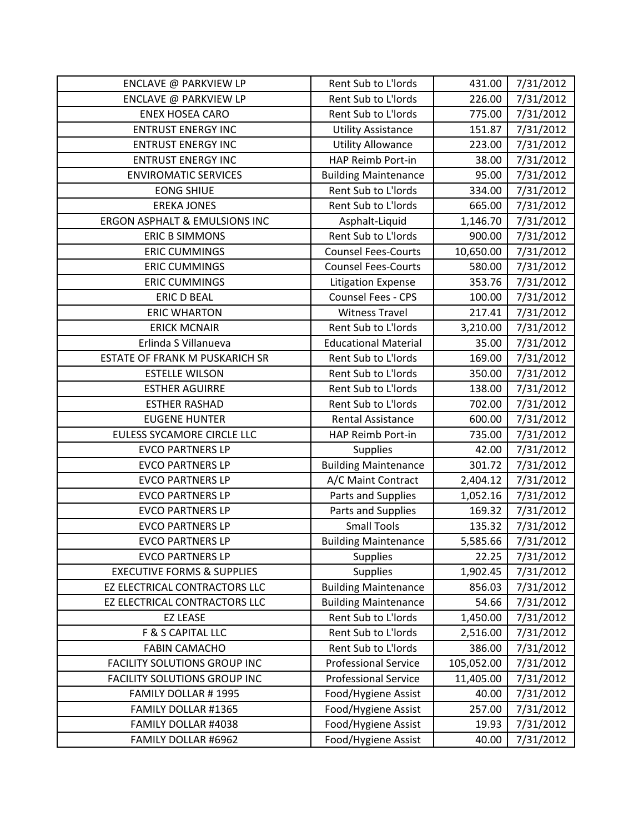| ENCLAVE @ PARKVIEW LP                    | Rent Sub to L'Iords         | 431.00     | 7/31/2012 |
|------------------------------------------|-----------------------------|------------|-----------|
| ENCLAVE @ PARKVIEW LP                    | Rent Sub to L'Iords         | 226.00     | 7/31/2012 |
| <b>ENEX HOSEA CARO</b>                   | Rent Sub to L'Iords         | 775.00     | 7/31/2012 |
| <b>ENTRUST ENERGY INC</b>                | <b>Utility Assistance</b>   | 151.87     | 7/31/2012 |
| <b>ENTRUST ENERGY INC</b>                | <b>Utility Allowance</b>    | 223.00     | 7/31/2012 |
| <b>ENTRUST ENERGY INC</b>                | HAP Reimb Port-in           | 38.00      | 7/31/2012 |
| <b>ENVIROMATIC SERVICES</b>              | <b>Building Maintenance</b> | 95.00      | 7/31/2012 |
| <b>EONG SHIUE</b>                        | Rent Sub to L'Iords         | 334.00     | 7/31/2012 |
| <b>EREKA JONES</b>                       | Rent Sub to L'Iords         | 665.00     | 7/31/2012 |
| <b>ERGON ASPHALT &amp; EMULSIONS INC</b> | Asphalt-Liquid              | 1,146.70   | 7/31/2012 |
| <b>ERIC B SIMMONS</b>                    | Rent Sub to L'Iords         | 900.00     | 7/31/2012 |
| <b>ERIC CUMMINGS</b>                     | <b>Counsel Fees-Courts</b>  | 10,650.00  | 7/31/2012 |
| <b>ERIC CUMMINGS</b>                     | <b>Counsel Fees-Courts</b>  | 580.00     | 7/31/2012 |
| <b>ERIC CUMMINGS</b>                     | <b>Litigation Expense</b>   | 353.76     | 7/31/2012 |
| <b>ERIC D BEAL</b>                       | <b>Counsel Fees - CPS</b>   | 100.00     | 7/31/2012 |
| <b>ERIC WHARTON</b>                      | <b>Witness Travel</b>       | 217.41     | 7/31/2012 |
| <b>ERICK MCNAIR</b>                      | Rent Sub to L'Iords         | 3,210.00   | 7/31/2012 |
| Erlinda S Villanueva                     | <b>Educational Material</b> | 35.00      | 7/31/2012 |
| ESTATE OF FRANK M PUSKARICH SR           | Rent Sub to L'Iords         | 169.00     | 7/31/2012 |
| <b>ESTELLE WILSON</b>                    | Rent Sub to L'Iords         | 350.00     | 7/31/2012 |
| <b>ESTHER AGUIRRE</b>                    | Rent Sub to L'Iords         | 138.00     | 7/31/2012 |
| <b>ESTHER RASHAD</b>                     | Rent Sub to L'Iords         | 702.00     | 7/31/2012 |
| <b>EUGENE HUNTER</b>                     | <b>Rental Assistance</b>    | 600.00     | 7/31/2012 |
| EULESS SYCAMORE CIRCLE LLC               | HAP Reimb Port-in           | 735.00     | 7/31/2012 |
| <b>EVCO PARTNERS LP</b>                  | <b>Supplies</b>             | 42.00      | 7/31/2012 |
| <b>EVCO PARTNERS LP</b>                  | <b>Building Maintenance</b> | 301.72     | 7/31/2012 |
| <b>EVCO PARTNERS LP</b>                  | A/C Maint Contract          | 2,404.12   | 7/31/2012 |
| <b>EVCO PARTNERS LP</b>                  | Parts and Supplies          | 1,052.16   | 7/31/2012 |
| <b>EVCO PARTNERS LP</b>                  | Parts and Supplies          | 169.32     | 7/31/2012 |
| <b>EVCO PARTNERS LP</b>                  | <b>Small Tools</b>          | 135.32     | 7/31/2012 |
| <b>EVCO PARTNERS LP</b>                  | <b>Building Maintenance</b> | 5,585.66   | 7/31/2012 |
| <b>EVCO PARTNERS LP</b>                  | <b>Supplies</b>             | 22.25      | 7/31/2012 |
| <b>EXECUTIVE FORMS &amp; SUPPLIES</b>    | <b>Supplies</b>             | 1,902.45   | 7/31/2012 |
| EZ ELECTRICAL CONTRACTORS LLC            | <b>Building Maintenance</b> | 856.03     | 7/31/2012 |
| EZ ELECTRICAL CONTRACTORS LLC            | <b>Building Maintenance</b> | 54.66      | 7/31/2012 |
| <b>EZ LEASE</b>                          | Rent Sub to L'Iords         | 1,450.00   | 7/31/2012 |
| F & S CAPITAL LLC                        | Rent Sub to L'Iords         | 2,516.00   | 7/31/2012 |
| <b>FABIN CAMACHO</b>                     | Rent Sub to L'Iords         | 386.00     | 7/31/2012 |
| <b>FACILITY SOLUTIONS GROUP INC</b>      | <b>Professional Service</b> | 105,052.00 | 7/31/2012 |
| <b>FACILITY SOLUTIONS GROUP INC</b>      | <b>Professional Service</b> | 11,405.00  | 7/31/2012 |
| FAMILY DOLLAR #1995                      | Food/Hygiene Assist         | 40.00      | 7/31/2012 |
| FAMILY DOLLAR #1365                      | Food/Hygiene Assist         | 257.00     | 7/31/2012 |
| FAMILY DOLLAR #4038                      | Food/Hygiene Assist         | 19.93      | 7/31/2012 |
| FAMILY DOLLAR #6962                      | Food/Hygiene Assist         | 40.00      | 7/31/2012 |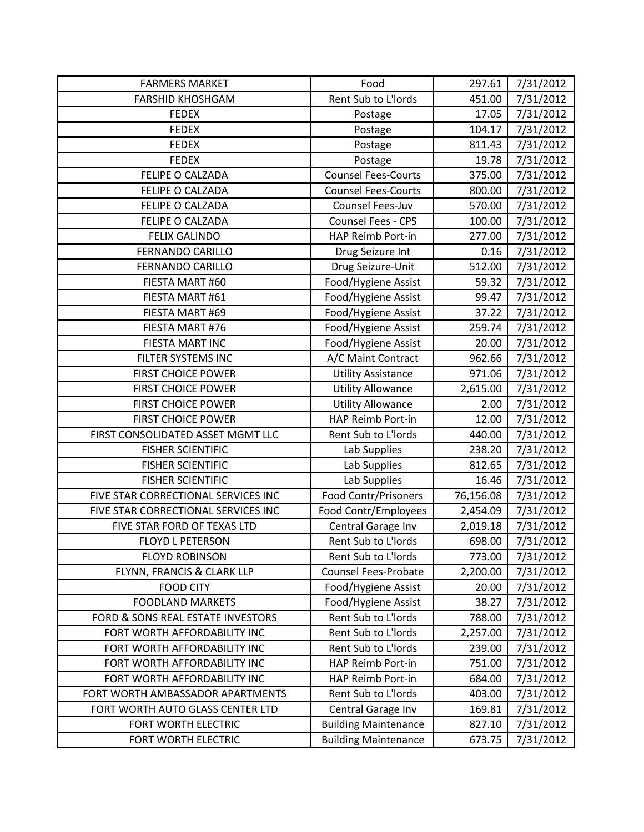| <b>FARMERS MARKET</b>               | Food                        | 297.61    | 7/31/2012 |
|-------------------------------------|-----------------------------|-----------|-----------|
| <b>FARSHID KHOSHGAM</b>             | Rent Sub to L'Iords         | 451.00    | 7/31/2012 |
| <b>FEDEX</b>                        | Postage                     | 17.05     | 7/31/2012 |
| <b>FEDEX</b>                        | Postage                     | 104.17    | 7/31/2012 |
| <b>FEDEX</b>                        | Postage                     | 811.43    | 7/31/2012 |
| <b>FEDEX</b>                        | Postage                     | 19.78     | 7/31/2012 |
| FELIPE O CALZADA                    | <b>Counsel Fees-Courts</b>  | 375.00    | 7/31/2012 |
| FELIPE O CALZADA                    | <b>Counsel Fees-Courts</b>  | 800.00    | 7/31/2012 |
| FELIPE O CALZADA                    | Counsel Fees-Juv            | 570.00    | 7/31/2012 |
| <b>FELIPE O CALZADA</b>             | <b>Counsel Fees - CPS</b>   | 100.00    | 7/31/2012 |
| <b>FELIX GALINDO</b>                | HAP Reimb Port-in           | 277.00    | 7/31/2012 |
| FERNANDO CARILLO                    | Drug Seizure Int            | 0.16      | 7/31/2012 |
| FERNANDO CARILLO                    | Drug Seizure-Unit           | 512.00    | 7/31/2012 |
| FIESTA MART #60                     | Food/Hygiene Assist         | 59.32     | 7/31/2012 |
| FIESTA MART #61                     | Food/Hygiene Assist         | 99.47     | 7/31/2012 |
| FIESTA MART #69                     | Food/Hygiene Assist         | 37.22     | 7/31/2012 |
| FIESTA MART #76                     | Food/Hygiene Assist         | 259.74    | 7/31/2012 |
| <b>FIESTA MART INC</b>              | Food/Hygiene Assist         | 20.00     | 7/31/2012 |
| FILTER SYSTEMS INC                  | A/C Maint Contract          | 962.66    | 7/31/2012 |
| <b>FIRST CHOICE POWER</b>           | <b>Utility Assistance</b>   | 971.06    | 7/31/2012 |
| <b>FIRST CHOICE POWER</b>           | <b>Utility Allowance</b>    | 2,615.00  | 7/31/2012 |
| <b>FIRST CHOICE POWER</b>           | <b>Utility Allowance</b>    | 2.00      | 7/31/2012 |
| <b>FIRST CHOICE POWER</b>           | HAP Reimb Port-in           | 12.00     | 7/31/2012 |
| FIRST CONSOLIDATED ASSET MGMT LLC   | Rent Sub to L'Iords         | 440.00    | 7/31/2012 |
| <b>FISHER SCIENTIFIC</b>            | Lab Supplies                | 238.20    | 7/31/2012 |
| <b>FISHER SCIENTIFIC</b>            | Lab Supplies                | 812.65    | 7/31/2012 |
| <b>FISHER SCIENTIFIC</b>            | Lab Supplies                | 16.46     | 7/31/2012 |
| FIVE STAR CORRECTIONAL SERVICES INC | <b>Food Contr/Prisoners</b> | 76,156.08 | 7/31/2012 |
| FIVE STAR CORRECTIONAL SERVICES INC | Food Contr/Employees        | 2,454.09  | 7/31/2012 |
| FIVE STAR FORD OF TEXAS LTD         | Central Garage Inv          | 2,019.18  | 7/31/2012 |
| <b>FLOYD L PETERSON</b>             | Rent Sub to L'Iords         | 698.00    | 7/31/2012 |
| <b>FLOYD ROBINSON</b>               | Rent Sub to L'Iords         | 773.00    | 7/31/2012 |
| FLYNN, FRANCIS & CLARK LLP          | <b>Counsel Fees-Probate</b> | 2,200.00  | 7/31/2012 |
| <b>FOOD CITY</b>                    | Food/Hygiene Assist         | 20.00     | 7/31/2012 |
| <b>FOODLAND MARKETS</b>             | Food/Hygiene Assist         | 38.27     | 7/31/2012 |
| FORD & SONS REAL ESTATE INVESTORS   | Rent Sub to L'Iords         | 788.00    | 7/31/2012 |
| FORT WORTH AFFORDABILITY INC        | Rent Sub to L'Iords         | 2,257.00  | 7/31/2012 |
| FORT WORTH AFFORDABILITY INC        | Rent Sub to L'Iords         | 239.00    | 7/31/2012 |
| FORT WORTH AFFORDABILITY INC        | HAP Reimb Port-in           | 751.00    | 7/31/2012 |
| FORT WORTH AFFORDABILITY INC        | <b>HAP Reimb Port-in</b>    | 684.00    | 7/31/2012 |
| FORT WORTH AMBASSADOR APARTMENTS    | Rent Sub to L'Iords         | 403.00    | 7/31/2012 |
| FORT WORTH AUTO GLASS CENTER LTD    | Central Garage Inv          | 169.81    | 7/31/2012 |
| FORT WORTH ELECTRIC                 | <b>Building Maintenance</b> | 827.10    | 7/31/2012 |
| FORT WORTH ELECTRIC                 | <b>Building Maintenance</b> | 673.75    | 7/31/2012 |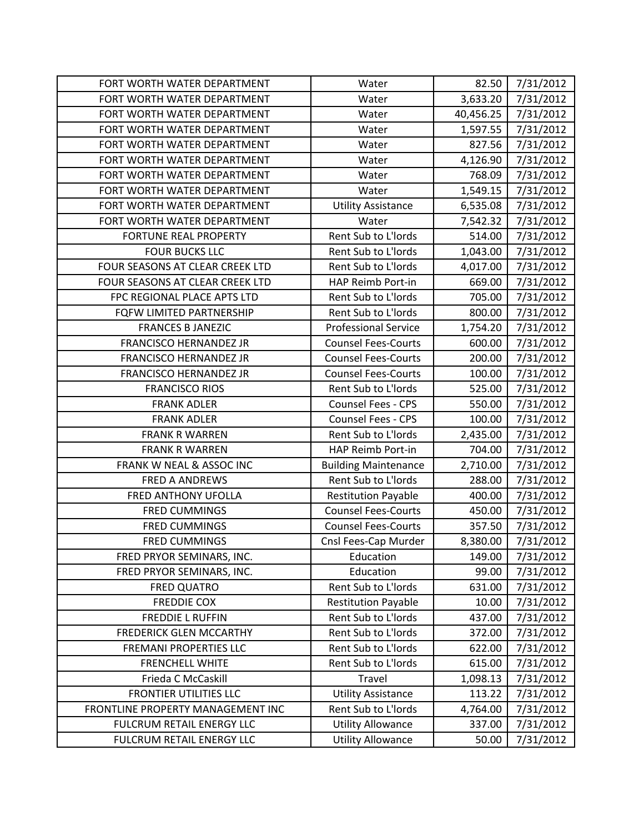| FORT WORTH WATER DEPARTMENT       | Water                       | 82.50     | 7/31/2012 |
|-----------------------------------|-----------------------------|-----------|-----------|
| FORT WORTH WATER DEPARTMENT       | Water                       | 3,633.20  | 7/31/2012 |
| FORT WORTH WATER DEPARTMENT       | Water                       | 40,456.25 | 7/31/2012 |
| FORT WORTH WATER DEPARTMENT       | Water                       | 1,597.55  | 7/31/2012 |
| FORT WORTH WATER DEPARTMENT       | Water                       | 827.56    | 7/31/2012 |
| FORT WORTH WATER DEPARTMENT       | Water                       | 4,126.90  | 7/31/2012 |
| FORT WORTH WATER DEPARTMENT       | Water                       | 768.09    | 7/31/2012 |
| FORT WORTH WATER DEPARTMENT       | Water                       | 1,549.15  | 7/31/2012 |
| FORT WORTH WATER DEPARTMENT       | <b>Utility Assistance</b>   | 6,535.08  | 7/31/2012 |
| FORT WORTH WATER DEPARTMENT       | Water                       | 7,542.32  | 7/31/2012 |
| <b>FORTUNE REAL PROPERTY</b>      | Rent Sub to L'Iords         | 514.00    | 7/31/2012 |
| <b>FOUR BUCKS LLC</b>             | Rent Sub to L'Iords         | 1,043.00  | 7/31/2012 |
| FOUR SEASONS AT CLEAR CREEK LTD   | Rent Sub to L'Iords         | 4,017.00  | 7/31/2012 |
| FOUR SEASONS AT CLEAR CREEK LTD   | <b>HAP Reimb Port-in</b>    | 669.00    | 7/31/2012 |
| FPC REGIONAL PLACE APTS LTD       | Rent Sub to L'Iords         | 705.00    | 7/31/2012 |
| FQFW LIMITED PARTNERSHIP          | Rent Sub to L'Iords         | 800.00    | 7/31/2012 |
| <b>FRANCES B JANEZIC</b>          | <b>Professional Service</b> | 1,754.20  | 7/31/2012 |
| <b>FRANCISCO HERNANDEZ JR</b>     | <b>Counsel Fees-Courts</b>  | 600.00    | 7/31/2012 |
| <b>FRANCISCO HERNANDEZ JR</b>     | <b>Counsel Fees-Courts</b>  | 200.00    | 7/31/2012 |
| <b>FRANCISCO HERNANDEZ JR</b>     | <b>Counsel Fees-Courts</b>  | 100.00    | 7/31/2012 |
| <b>FRANCISCO RIOS</b>             | Rent Sub to L'Iords         | 525.00    | 7/31/2012 |
| <b>FRANK ADLER</b>                | <b>Counsel Fees - CPS</b>   | 550.00    | 7/31/2012 |
| <b>FRANK ADLER</b>                | Counsel Fees - CPS          | 100.00    | 7/31/2012 |
| <b>FRANK R WARREN</b>             | Rent Sub to L'Iords         | 2,435.00  | 7/31/2012 |
| <b>FRANK R WARREN</b>             | <b>HAP Reimb Port-in</b>    | 704.00    | 7/31/2012 |
| FRANK W NEAL & ASSOC INC          | <b>Building Maintenance</b> | 2,710.00  | 7/31/2012 |
| <b>FRED A ANDREWS</b>             | Rent Sub to L'Iords         | 288.00    | 7/31/2012 |
| FRED ANTHONY UFOLLA               | <b>Restitution Payable</b>  | 400.00    | 7/31/2012 |
| <b>FRED CUMMINGS</b>              | <b>Counsel Fees-Courts</b>  | 450.00    | 7/31/2012 |
| <b>FRED CUMMINGS</b>              | <b>Counsel Fees-Courts</b>  | 357.50    | 7/31/2012 |
| <b>FRED CUMMINGS</b>              | Cnsl Fees-Cap Murder        | 8,380.00  | 7/31/2012 |
| FRED PRYOR SEMINARS, INC.         | Education                   | 149.00    | 7/31/2012 |
| FRED PRYOR SEMINARS, INC.         | Education                   | 99.00     | 7/31/2012 |
| FRED QUATRO                       | Rent Sub to L'Iords         | 631.00    | 7/31/2012 |
| <b>FREDDIE COX</b>                | <b>Restitution Payable</b>  | 10.00     | 7/31/2012 |
| <b>FREDDIE L RUFFIN</b>           | Rent Sub to L'Iords         | 437.00    | 7/31/2012 |
| <b>FREDERICK GLEN MCCARTHY</b>    | Rent Sub to L'Iords         | 372.00    | 7/31/2012 |
| FREMANI PROPERTIES LLC            | Rent Sub to L'Iords         | 622.00    | 7/31/2012 |
| <b>FRENCHELL WHITE</b>            | Rent Sub to L'Iords         | 615.00    | 7/31/2012 |
| Frieda C McCaskill                | <b>Travel</b>               | 1,098.13  | 7/31/2012 |
| <b>FRONTIER UTILITIES LLC</b>     | <b>Utility Assistance</b>   | 113.22    | 7/31/2012 |
| FRONTLINE PROPERTY MANAGEMENT INC | Rent Sub to L'Iords         | 4,764.00  | 7/31/2012 |
| FULCRUM RETAIL ENERGY LLC         | <b>Utility Allowance</b>    | 337.00    | 7/31/2012 |
| FULCRUM RETAIL ENERGY LLC         | <b>Utility Allowance</b>    | 50.00     | 7/31/2012 |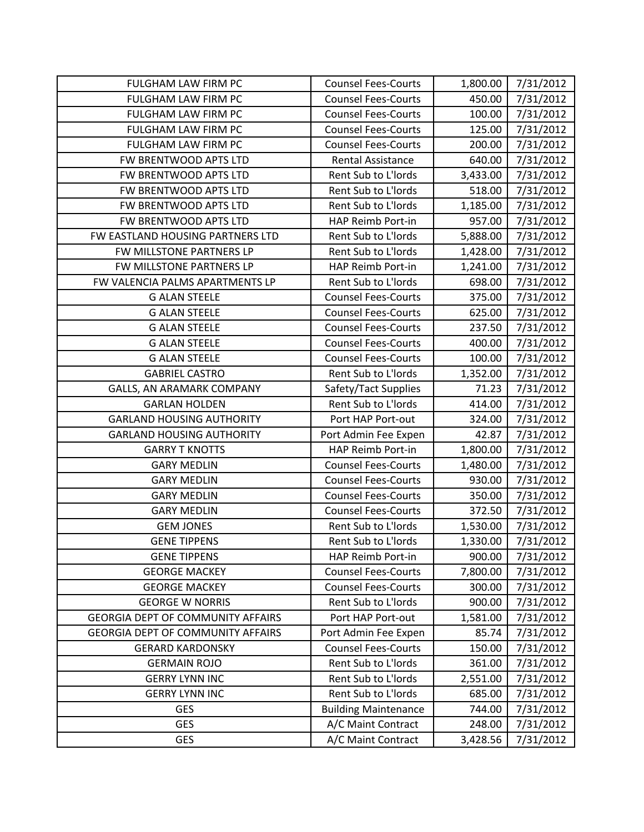| FULGHAM LAW FIRM PC                      | <b>Counsel Fees-Courts</b>  | 1,800.00 | 7/31/2012 |
|------------------------------------------|-----------------------------|----------|-----------|
| FULGHAM LAW FIRM PC                      | <b>Counsel Fees-Courts</b>  | 450.00   | 7/31/2012 |
| FULGHAM LAW FIRM PC                      | <b>Counsel Fees-Courts</b>  | 100.00   | 7/31/2012 |
| FULGHAM LAW FIRM PC                      | <b>Counsel Fees-Courts</b>  | 125.00   | 7/31/2012 |
| FULGHAM LAW FIRM PC                      | <b>Counsel Fees-Courts</b>  | 200.00   | 7/31/2012 |
| FW BRENTWOOD APTS LTD                    | Rental Assistance           | 640.00   | 7/31/2012 |
| FW BRENTWOOD APTS LTD                    | Rent Sub to L'Iords         | 3,433.00 | 7/31/2012 |
| FW BRENTWOOD APTS LTD                    | Rent Sub to L'Iords         | 518.00   | 7/31/2012 |
| FW BRENTWOOD APTS LTD                    | Rent Sub to L'Iords         | 1,185.00 | 7/31/2012 |
| FW BRENTWOOD APTS LTD                    | HAP Reimb Port-in           | 957.00   | 7/31/2012 |
| FW EASTLAND HOUSING PARTNERS LTD         | Rent Sub to L'Iords         | 5,888.00 | 7/31/2012 |
| FW MILLSTONE PARTNERS LP                 | Rent Sub to L'Iords         | 1,428.00 | 7/31/2012 |
| FW MILLSTONE PARTNERS LP                 | HAP Reimb Port-in           | 1,241.00 | 7/31/2012 |
| FW VALENCIA PALMS APARTMENTS LP          | Rent Sub to L'Iords         | 698.00   | 7/31/2012 |
| <b>G ALAN STEELE</b>                     | <b>Counsel Fees-Courts</b>  | 375.00   | 7/31/2012 |
| <b>G ALAN STEELE</b>                     | <b>Counsel Fees-Courts</b>  | 625.00   | 7/31/2012 |
| <b>G ALAN STEELE</b>                     | <b>Counsel Fees-Courts</b>  | 237.50   | 7/31/2012 |
| <b>G ALAN STEELE</b>                     | <b>Counsel Fees-Courts</b>  | 400.00   | 7/31/2012 |
| <b>G ALAN STEELE</b>                     | <b>Counsel Fees-Courts</b>  | 100.00   | 7/31/2012 |
| <b>GABRIEL CASTRO</b>                    | Rent Sub to L'Iords         | 1,352.00 | 7/31/2012 |
| GALLS, AN ARAMARK COMPANY                | Safety/Tact Supplies        | 71.23    | 7/31/2012 |
| <b>GARLAN HOLDEN</b>                     | Rent Sub to L'Iords         | 414.00   | 7/31/2012 |
| <b>GARLAND HOUSING AUTHORITY</b>         | Port HAP Port-out           | 324.00   | 7/31/2012 |
| <b>GARLAND HOUSING AUTHORITY</b>         | Port Admin Fee Expen        | 42.87    | 7/31/2012 |
| <b>GARRY T KNOTTS</b>                    | HAP Reimb Port-in           | 1,800.00 | 7/31/2012 |
| <b>GARY MEDLIN</b>                       | <b>Counsel Fees-Courts</b>  | 1,480.00 | 7/31/2012 |
| <b>GARY MEDLIN</b>                       | <b>Counsel Fees-Courts</b>  | 930.00   | 7/31/2012 |
| <b>GARY MEDLIN</b>                       | <b>Counsel Fees-Courts</b>  | 350.00   | 7/31/2012 |
| <b>GARY MEDLIN</b>                       | <b>Counsel Fees-Courts</b>  | 372.50   | 7/31/2012 |
| <b>GEM JONES</b>                         | Rent Sub to L'Iords         | 1,530.00 | 7/31/2012 |
| <b>GENE TIPPENS</b>                      | Rent Sub to L'Iords         | 1,330.00 | 7/31/2012 |
| <b>GENE TIPPENS</b>                      | HAP Reimb Port-in           | 900.00   | 7/31/2012 |
| <b>GEORGE MACKEY</b>                     | <b>Counsel Fees-Courts</b>  | 7,800.00 | 7/31/2012 |
| <b>GEORGE MACKEY</b>                     | <b>Counsel Fees-Courts</b>  | 300.00   | 7/31/2012 |
| <b>GEORGE W NORRIS</b>                   | Rent Sub to L'Iords         | 900.00   | 7/31/2012 |
| <b>GEORGIA DEPT OF COMMUNITY AFFAIRS</b> | Port HAP Port-out           | 1,581.00 | 7/31/2012 |
| GEORGIA DEPT OF COMMUNITY AFFAIRS        | Port Admin Fee Expen        | 85.74    | 7/31/2012 |
| <b>GERARD KARDONSKY</b>                  | <b>Counsel Fees-Courts</b>  | 150.00   | 7/31/2012 |
| <b>GERMAIN ROJO</b>                      | Rent Sub to L'Iords         | 361.00   | 7/31/2012 |
| <b>GERRY LYNN INC</b>                    | Rent Sub to L'Iords         | 2,551.00 | 7/31/2012 |
| <b>GERRY LYNN INC</b>                    | Rent Sub to L'Iords         | 685.00   | 7/31/2012 |
| <b>GES</b>                               | <b>Building Maintenance</b> | 744.00   | 7/31/2012 |
| <b>GES</b>                               |                             |          |           |
|                                          | A/C Maint Contract          | 248.00   | 7/31/2012 |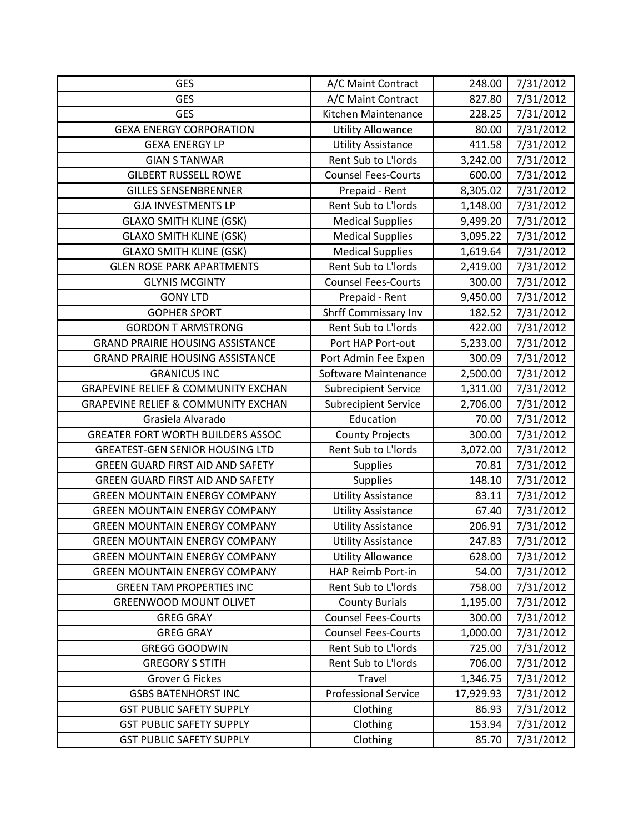| <b>GES</b>                                     | A/C Maint Contract          | 248.00    | 7/31/2012 |
|------------------------------------------------|-----------------------------|-----------|-----------|
| <b>GES</b>                                     | A/C Maint Contract          | 827.80    | 7/31/2012 |
| <b>GES</b>                                     | Kitchen Maintenance         | 228.25    | 7/31/2012 |
| <b>GEXA ENERGY CORPORATION</b>                 | <b>Utility Allowance</b>    | 80.00     | 7/31/2012 |
| <b>GEXA ENERGY LP</b>                          | <b>Utility Assistance</b>   | 411.58    | 7/31/2012 |
| <b>GIAN S TANWAR</b>                           | Rent Sub to L'Iords         | 3,242.00  | 7/31/2012 |
| <b>GILBERT RUSSELL ROWE</b>                    | <b>Counsel Fees-Courts</b>  | 600.00    | 7/31/2012 |
| <b>GILLES SENSENBRENNER</b>                    | Prepaid - Rent              | 8,305.02  | 7/31/2012 |
| <b>GJA INVESTMENTS LP</b>                      | Rent Sub to L'Iords         | 1,148.00  | 7/31/2012 |
| <b>GLAXO SMITH KLINE (GSK)</b>                 | <b>Medical Supplies</b>     | 9,499.20  | 7/31/2012 |
| <b>GLAXO SMITH KLINE (GSK)</b>                 | <b>Medical Supplies</b>     | 3,095.22  | 7/31/2012 |
| <b>GLAXO SMITH KLINE (GSK)</b>                 | <b>Medical Supplies</b>     | 1,619.64  | 7/31/2012 |
| <b>GLEN ROSE PARK APARTMENTS</b>               | Rent Sub to L'Iords         | 2,419.00  | 7/31/2012 |
| <b>GLYNIS MCGINTY</b>                          | <b>Counsel Fees-Courts</b>  | 300.00    | 7/31/2012 |
| <b>GONY LTD</b>                                | Prepaid - Rent              | 9,450.00  | 7/31/2012 |
| <b>GOPHER SPORT</b>                            | <b>Shrff Commissary Inv</b> | 182.52    | 7/31/2012 |
| <b>GORDON T ARMSTRONG</b>                      | Rent Sub to L'Iords         | 422.00    | 7/31/2012 |
| <b>GRAND PRAIRIE HOUSING ASSISTANCE</b>        | Port HAP Port-out           | 5,233.00  | 7/31/2012 |
| <b>GRAND PRAIRIE HOUSING ASSISTANCE</b>        | Port Admin Fee Expen        | 300.09    | 7/31/2012 |
| <b>GRANICUS INC</b>                            | Software Maintenance        | 2,500.00  | 7/31/2012 |
| <b>GRAPEVINE RELIEF &amp; COMMUNITY EXCHAN</b> | <b>Subrecipient Service</b> | 1,311.00  | 7/31/2012 |
| <b>GRAPEVINE RELIEF &amp; COMMUNITY EXCHAN</b> | <b>Subrecipient Service</b> | 2,706.00  | 7/31/2012 |
| Grasiela Alvarado                              | Education                   | 70.00     | 7/31/2012 |
| <b>GREATER FORT WORTH BUILDERS ASSOC</b>       | <b>County Projects</b>      | 300.00    | 7/31/2012 |
| <b>GREATEST-GEN SENIOR HOUSING LTD</b>         | Rent Sub to L'Iords         | 3,072.00  | 7/31/2012 |
| GREEN GUARD FIRST AID AND SAFETY               | <b>Supplies</b>             | 70.81     | 7/31/2012 |
| <b>GREEN GUARD FIRST AID AND SAFETY</b>        | <b>Supplies</b>             | 148.10    | 7/31/2012 |
| <b>GREEN MOUNTAIN ENERGY COMPANY</b>           | <b>Utility Assistance</b>   | 83.11     | 7/31/2012 |
| <b>GREEN MOUNTAIN ENERGY COMPANY</b>           | <b>Utility Assistance</b>   | 67.40     | 7/31/2012 |
| <b>GREEN MOUNTAIN ENERGY COMPANY</b>           | <b>Utility Assistance</b>   | 206.91    | 7/31/2012 |
| <b>GREEN MOUNTAIN ENERGY COMPANY</b>           | <b>Utility Assistance</b>   | 247.83    | 7/31/2012 |
| <b>GREEN MOUNTAIN ENERGY COMPANY</b>           | <b>Utility Allowance</b>    | 628.00    | 7/31/2012 |
| <b>GREEN MOUNTAIN ENERGY COMPANY</b>           | HAP Reimb Port-in           | 54.00     | 7/31/2012 |
| <b>GREEN TAM PROPERTIES INC</b>                | Rent Sub to L'Iords         | 758.00    | 7/31/2012 |
| <b>GREENWOOD MOUNT OLIVET</b>                  | <b>County Burials</b>       | 1,195.00  | 7/31/2012 |
| <b>GREG GRAY</b>                               | <b>Counsel Fees-Courts</b>  | 300.00    | 7/31/2012 |
| <b>GREG GRAY</b>                               | <b>Counsel Fees-Courts</b>  | 1,000.00  | 7/31/2012 |
| <b>GREGG GOODWIN</b>                           | Rent Sub to L'Iords         | 725.00    | 7/31/2012 |
| <b>GREGORY S STITH</b>                         | Rent Sub to L'Iords         | 706.00    | 7/31/2012 |
| <b>Grover G Fickes</b>                         | Travel                      | 1,346.75  | 7/31/2012 |
| <b>GSBS BATENHORST INC</b>                     | <b>Professional Service</b> | 17,929.93 | 7/31/2012 |
| <b>GST PUBLIC SAFETY SUPPLY</b>                | Clothing                    | 86.93     | 7/31/2012 |
| <b>GST PUBLIC SAFETY SUPPLY</b>                | Clothing                    | 153.94    | 7/31/2012 |
| <b>GST PUBLIC SAFETY SUPPLY</b>                | Clothing                    | 85.70     | 7/31/2012 |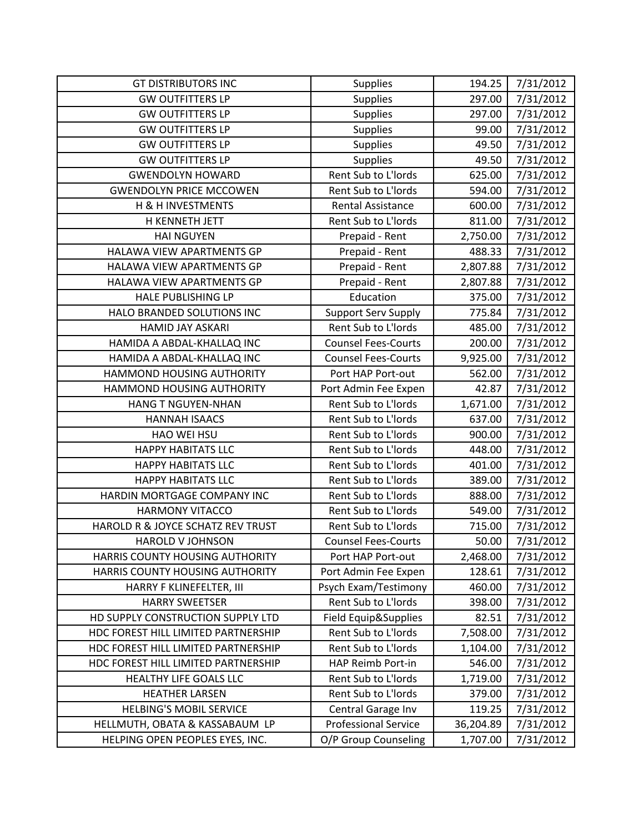| <b>GT DISTRIBUTORS INC</b>          | <b>Supplies</b>             | 194.25    | 7/31/2012 |
|-------------------------------------|-----------------------------|-----------|-----------|
| <b>GW OUTFITTERS LP</b>             | <b>Supplies</b>             | 297.00    | 7/31/2012 |
| <b>GW OUTFITTERS LP</b>             | <b>Supplies</b>             | 297.00    | 7/31/2012 |
| <b>GW OUTFITTERS LP</b>             | <b>Supplies</b>             | 99.00     | 7/31/2012 |
| <b>GW OUTFITTERS LP</b>             | <b>Supplies</b>             | 49.50     | 7/31/2012 |
| <b>GW OUTFITTERS LP</b>             | <b>Supplies</b>             | 49.50     | 7/31/2012 |
| <b>GWENDOLYN HOWARD</b>             | Rent Sub to L'Iords         | 625.00    | 7/31/2012 |
| <b>GWENDOLYN PRICE MCCOWEN</b>      | Rent Sub to L'Iords         | 594.00    | 7/31/2012 |
| H & H INVESTMENTS                   | <b>Rental Assistance</b>    | 600.00    | 7/31/2012 |
| H KENNETH JETT                      | Rent Sub to L'Iords         | 811.00    | 7/31/2012 |
| <b>HAI NGUYEN</b>                   | Prepaid - Rent              | 2,750.00  | 7/31/2012 |
| HALAWA VIEW APARTMENTS GP           | Prepaid - Rent              | 488.33    | 7/31/2012 |
| HALAWA VIEW APARTMENTS GP           | Prepaid - Rent              | 2,807.88  | 7/31/2012 |
| HALAWA VIEW APARTMENTS GP           | Prepaid - Rent              | 2,807.88  | 7/31/2012 |
| <b>HALE PUBLISHING LP</b>           | Education                   | 375.00    | 7/31/2012 |
| HALO BRANDED SOLUTIONS INC          | <b>Support Serv Supply</b>  | 775.84    | 7/31/2012 |
| <b>HAMID JAY ASKARI</b>             | <b>Rent Sub to L'Iords</b>  | 485.00    | 7/31/2012 |
| HAMIDA A ABDAL-KHALLAQ INC          | <b>Counsel Fees-Courts</b>  | 200.00    | 7/31/2012 |
| HAMIDA A ABDAL-KHALLAQ INC          | <b>Counsel Fees-Courts</b>  | 9,925.00  | 7/31/2012 |
| HAMMOND HOUSING AUTHORITY           | Port HAP Port-out           | 562.00    | 7/31/2012 |
| HAMMOND HOUSING AUTHORITY           | Port Admin Fee Expen        | 42.87     | 7/31/2012 |
| <b>HANG T NGUYEN-NHAN</b>           | Rent Sub to L'Iords         | 1,671.00  | 7/31/2012 |
| <b>HANNAH ISAACS</b>                | Rent Sub to L'Iords         | 637.00    | 7/31/2012 |
| <b>HAO WEI HSU</b>                  | Rent Sub to L'Iords         | 900.00    | 7/31/2012 |
| <b>HAPPY HABITATS LLC</b>           | Rent Sub to L'Iords         | 448.00    | 7/31/2012 |
| <b>HAPPY HABITATS LLC</b>           | Rent Sub to L'Iords         | 401.00    | 7/31/2012 |
| <b>HAPPY HABITATS LLC</b>           | Rent Sub to L'Iords         | 389.00    | 7/31/2012 |
| HARDIN MORTGAGE COMPANY INC         | Rent Sub to L'Iords         | 888.00    | 7/31/2012 |
| <b>HARMONY VITACCO</b>              | Rent Sub to L'Iords         | 549.00    | 7/31/2012 |
| HAROLD R & JOYCE SCHATZ REV TRUST   | Rent Sub to L'Iords         | 715.00    | 7/31/2012 |
| <b>HAROLD V JOHNSON</b>             | <b>Counsel Fees-Courts</b>  | 50.00     | 7/31/2012 |
| HARRIS COUNTY HOUSING AUTHORITY     | Port HAP Port-out           | 2,468.00  | 7/31/2012 |
| HARRIS COUNTY HOUSING AUTHORITY     | Port Admin Fee Expen        | 128.61    | 7/31/2012 |
| HARRY F KLINEFELTER, III            | Psych Exam/Testimony        | 460.00    | 7/31/2012 |
| <b>HARRY SWEETSER</b>               | Rent Sub to L'Iords         | 398.00    | 7/31/2012 |
| HD SUPPLY CONSTRUCTION SUPPLY LTD   | Field Equip&Supplies        | 82.51     | 7/31/2012 |
| HDC FOREST HILL LIMITED PARTNERSHIP | Rent Sub to L'Iords         | 7,508.00  | 7/31/2012 |
| HDC FOREST HILL LIMITED PARTNERSHIP | Rent Sub to L'Iords         | 1,104.00  | 7/31/2012 |
| HDC FOREST HILL LIMITED PARTNERSHIP | HAP Reimb Port-in           | 546.00    | 7/31/2012 |
| HEALTHY LIFE GOALS LLC              | Rent Sub to L'Iords         | 1,719.00  | 7/31/2012 |
| <b>HEATHER LARSEN</b>               | Rent Sub to L'Iords         | 379.00    | 7/31/2012 |
| <b>HELBING'S MOBIL SERVICE</b>      | Central Garage Inv          | 119.25    | 7/31/2012 |
| HELLMUTH, OBATA & KASSABAUM LP      | <b>Professional Service</b> | 36,204.89 | 7/31/2012 |
| HELPING OPEN PEOPLES EYES, INC.     | O/P Group Counseling        | 1,707.00  | 7/31/2012 |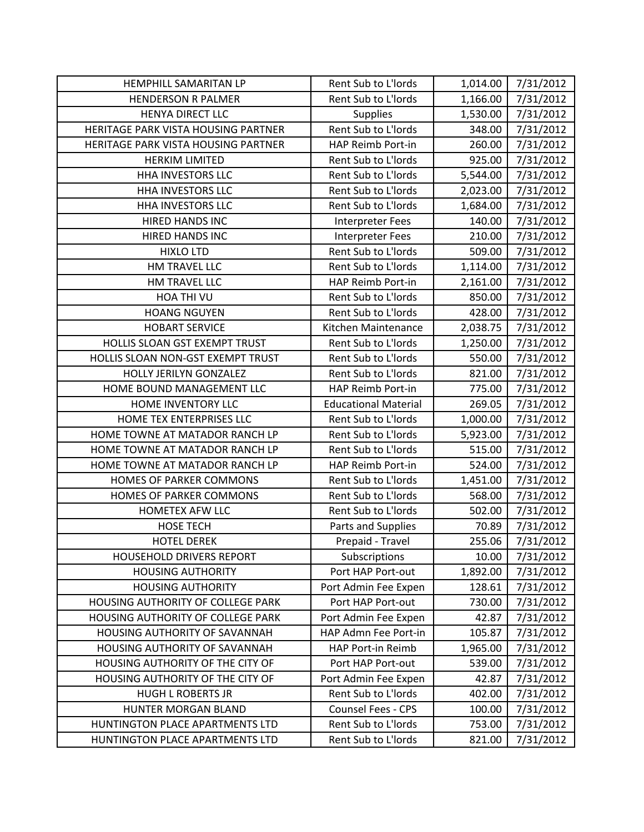| HEMPHILL SAMARITAN LP               | Rent Sub to L'Iords         | 1,014.00 | 7/31/2012 |
|-------------------------------------|-----------------------------|----------|-----------|
| <b>HENDERSON R PALMER</b>           | Rent Sub to L'Iords         | 1,166.00 | 7/31/2012 |
| <b>HENYA DIRECT LLC</b>             | <b>Supplies</b>             | 1,530.00 | 7/31/2012 |
| HERITAGE PARK VISTA HOUSING PARTNER | Rent Sub to L'Iords         | 348.00   | 7/31/2012 |
| HERITAGE PARK VISTA HOUSING PARTNER | HAP Reimb Port-in           | 260.00   | 7/31/2012 |
| <b>HERKIM LIMITED</b>               | Rent Sub to L'Iords         | 925.00   | 7/31/2012 |
| <b>HHA INVESTORS LLC</b>            | Rent Sub to L'Iords         | 5,544.00 | 7/31/2012 |
| <b>HHA INVESTORS LLC</b>            | Rent Sub to L'Iords         | 2,023.00 | 7/31/2012 |
| <b>HHA INVESTORS LLC</b>            | Rent Sub to L'Iords         | 1,684.00 | 7/31/2012 |
| HIRED HANDS INC                     | <b>Interpreter Fees</b>     | 140.00   | 7/31/2012 |
| HIRED HANDS INC                     | <b>Interpreter Fees</b>     | 210.00   | 7/31/2012 |
| <b>HIXLO LTD</b>                    | Rent Sub to L'Iords         | 509.00   | 7/31/2012 |
| HM TRAVEL LLC                       | Rent Sub to L'Iords         | 1,114.00 | 7/31/2012 |
| HM TRAVEL LLC                       | HAP Reimb Port-in           | 2,161.00 | 7/31/2012 |
| HOA THI VU                          | Rent Sub to L'Iords         | 850.00   | 7/31/2012 |
| <b>HOANG NGUYEN</b>                 | Rent Sub to L'Iords         | 428.00   | 7/31/2012 |
| <b>HOBART SERVICE</b>               | Kitchen Maintenance         | 2,038.75 | 7/31/2012 |
| HOLLIS SLOAN GST EXEMPT TRUST       | Rent Sub to L'Iords         | 1,250.00 | 7/31/2012 |
| HOLLIS SLOAN NON-GST EXEMPT TRUST   | Rent Sub to L'Iords         | 550.00   | 7/31/2012 |
| HOLLY JERILYN GONZALEZ              | Rent Sub to L'Iords         | 821.00   | 7/31/2012 |
| HOME BOUND MANAGEMENT LLC           | HAP Reimb Port-in           | 775.00   | 7/31/2012 |
| HOME INVENTORY LLC                  | <b>Educational Material</b> | 269.05   | 7/31/2012 |
| HOME TEX ENTERPRISES LLC            | Rent Sub to L'Iords         | 1,000.00 | 7/31/2012 |
| HOME TOWNE AT MATADOR RANCH LP      | Rent Sub to L'Iords         | 5,923.00 | 7/31/2012 |
| HOME TOWNE AT MATADOR RANCH LP      | Rent Sub to L'Iords         | 515.00   | 7/31/2012 |
| HOME TOWNE AT MATADOR RANCH LP      | HAP Reimb Port-in           | 524.00   | 7/31/2012 |
| HOMES OF PARKER COMMONS             | Rent Sub to L'Iords         | 1,451.00 | 7/31/2012 |
| HOMES OF PARKER COMMONS             | Rent Sub to L'Iords         | 568.00   | 7/31/2012 |
| <b>HOMETEX AFW LLC</b>              | Rent Sub to L'Iords         | 502.00   | 7/31/2012 |
| <b>HOSE TECH</b>                    | Parts and Supplies          | 70.89    | 7/31/2012 |
| <b>HOTEL DEREK</b>                  | Prepaid - Travel            | 255.06   | 7/31/2012 |
| <b>HOUSEHOLD DRIVERS REPORT</b>     | Subscriptions               | 10.00    | 7/31/2012 |
| <b>HOUSING AUTHORITY</b>            | Port HAP Port-out           | 1,892.00 | 7/31/2012 |
| <b>HOUSING AUTHORITY</b>            | Port Admin Fee Expen        | 128.61   | 7/31/2012 |
| HOUSING AUTHORITY OF COLLEGE PARK   | Port HAP Port-out           | 730.00   | 7/31/2012 |
| HOUSING AUTHORITY OF COLLEGE PARK   | Port Admin Fee Expen        | 42.87    | 7/31/2012 |
| HOUSING AUTHORITY OF SAVANNAH       | HAP Admn Fee Port-in        | 105.87   | 7/31/2012 |
| HOUSING AUTHORITY OF SAVANNAH       | HAP Port-in Reimb           | 1,965.00 | 7/31/2012 |
| HOUSING AUTHORITY OF THE CITY OF    | Port HAP Port-out           | 539.00   | 7/31/2012 |
| HOUSING AUTHORITY OF THE CITY OF    | Port Admin Fee Expen        | 42.87    | 7/31/2012 |
| <b>HUGH L ROBERTS JR</b>            | Rent Sub to L'Iords         | 402.00   | 7/31/2012 |
| HUNTER MORGAN BLAND                 | Counsel Fees - CPS          | 100.00   | 7/31/2012 |
| HUNTINGTON PLACE APARTMENTS LTD     | Rent Sub to L'Iords         | 753.00   | 7/31/2012 |
| HUNTINGTON PLACE APARTMENTS LTD     | Rent Sub to L'Iords         | 821.00   | 7/31/2012 |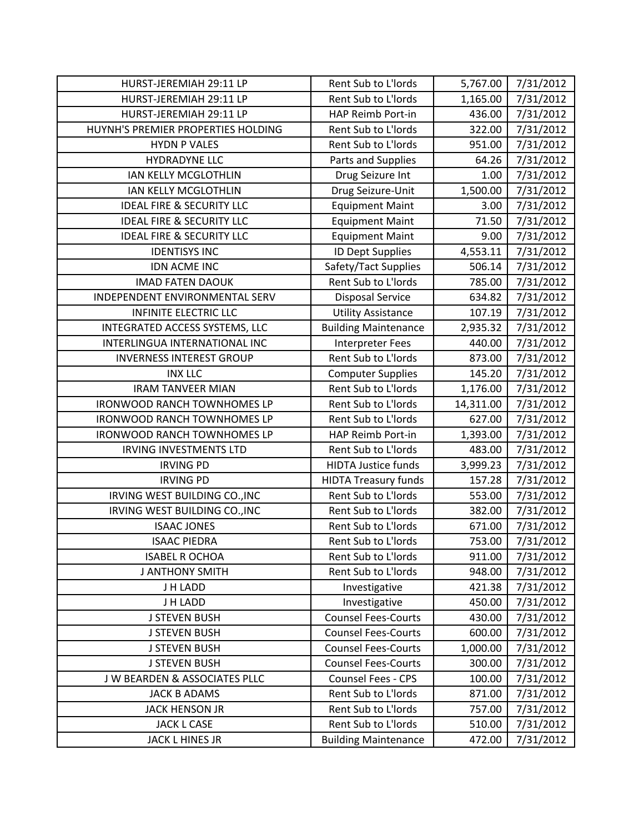| HURST-JEREMIAH 29:11 LP                  | Rent Sub to L'Iords         | 5,767.00  | 7/31/2012 |
|------------------------------------------|-----------------------------|-----------|-----------|
| HURST-JEREMIAH 29:11 LP                  | Rent Sub to L'Iords         | 1,165.00  | 7/31/2012 |
| HURST-JEREMIAH 29:11 LP                  | HAP Reimb Port-in           | 436.00    | 7/31/2012 |
| HUYNH'S PREMIER PROPERTIES HOLDING       | Rent Sub to L'Iords         | 322.00    | 7/31/2012 |
| <b>HYDN P VALES</b>                      | Rent Sub to L'Iords         | 951.00    | 7/31/2012 |
| <b>HYDRADYNE LLC</b>                     | Parts and Supplies          | 64.26     | 7/31/2012 |
| IAN KELLY MCGLOTHLIN                     | Drug Seizure Int            | 1.00      | 7/31/2012 |
| IAN KELLY MCGLOTHLIN                     | Drug Seizure-Unit           | 1,500.00  | 7/31/2012 |
| <b>IDEAL FIRE &amp; SECURITY LLC</b>     | <b>Equipment Maint</b>      | 3.00      | 7/31/2012 |
| <b>IDEAL FIRE &amp; SECURITY LLC</b>     | <b>Equipment Maint</b>      | 71.50     | 7/31/2012 |
| <b>IDEAL FIRE &amp; SECURITY LLC</b>     | <b>Equipment Maint</b>      | 9.00      | 7/31/2012 |
| <b>IDENTISYS INC</b>                     | <b>ID Dept Supplies</b>     | 4,553.11  | 7/31/2012 |
| IDN ACME INC                             | Safety/Tact Supplies        | 506.14    | 7/31/2012 |
| <b>IMAD FATEN DAOUK</b>                  | Rent Sub to L'Iords         | 785.00    | 7/31/2012 |
| INDEPENDENT ENVIRONMENTAL SERV           | <b>Disposal Service</b>     | 634.82    | 7/31/2012 |
| <b>INFINITE ELECTRIC LLC</b>             | <b>Utility Assistance</b>   | 107.19    | 7/31/2012 |
| INTEGRATED ACCESS SYSTEMS, LLC           | <b>Building Maintenance</b> | 2,935.32  | 7/31/2012 |
| INTERLINGUA INTERNATIONAL INC            | <b>Interpreter Fees</b>     | 440.00    | 7/31/2012 |
| <b>INVERNESS INTEREST GROUP</b>          | Rent Sub to L'Iords         | 873.00    | 7/31/2012 |
| <b>INX LLC</b>                           | <b>Computer Supplies</b>    | 145.20    | 7/31/2012 |
| <b>IRAM TANVEER MIAN</b>                 | Rent Sub to L'Iords         | 1,176.00  | 7/31/2012 |
| <b>IRONWOOD RANCH TOWNHOMES LP</b>       | Rent Sub to L'Iords         | 14,311.00 | 7/31/2012 |
| <b>IRONWOOD RANCH TOWNHOMES LP</b>       | Rent Sub to L'Iords         | 627.00    | 7/31/2012 |
| <b>IRONWOOD RANCH TOWNHOMES LP</b>       | HAP Reimb Port-in           | 1,393.00  | 7/31/2012 |
| <b>IRVING INVESTMENTS LTD</b>            | Rent Sub to L'Iords         | 483.00    | 7/31/2012 |
| <b>IRVING PD</b>                         | <b>HIDTA Justice funds</b>  | 3,999.23  | 7/31/2012 |
| <b>IRVING PD</b>                         | <b>HIDTA Treasury funds</b> | 157.28    | 7/31/2012 |
| IRVING WEST BUILDING CO., INC            | Rent Sub to L'Iords         | 553.00    | 7/31/2012 |
| IRVING WEST BUILDING CO., INC            | Rent Sub to L'Iords         | 382.00    | 7/31/2012 |
| <b>ISAAC JONES</b>                       | Rent Sub to L'Iords         | 671.00    | 7/31/2012 |
| <b>ISAAC PIEDRA</b>                      | Rent Sub to L'Iords         | 753.00    | 7/31/2012 |
| <b>ISABEL R OCHOA</b>                    | Rent Sub to L'Iords         | 911.00    | 7/31/2012 |
| <b>J ANTHONY SMITH</b>                   | Rent Sub to L'Iords         | 948.00    | 7/31/2012 |
| J H LADD                                 | Investigative               | 421.38    | 7/31/2012 |
| J H LADD                                 | Investigative               | 450.00    | 7/31/2012 |
| <b>J STEVEN BUSH</b>                     | <b>Counsel Fees-Courts</b>  | 430.00    | 7/31/2012 |
| <b>J STEVEN BUSH</b>                     | <b>Counsel Fees-Courts</b>  | 600.00    | 7/31/2012 |
| <b>J STEVEN BUSH</b>                     | <b>Counsel Fees-Courts</b>  | 1,000.00  | 7/31/2012 |
| <b>J STEVEN BUSH</b>                     | <b>Counsel Fees-Courts</b>  | 300.00    | 7/31/2012 |
| <b>J W BEARDEN &amp; ASSOCIATES PLLC</b> | Counsel Fees - CPS          | 100.00    | 7/31/2012 |
| <b>JACK B ADAMS</b>                      | Rent Sub to L'Iords         | 871.00    | 7/31/2012 |
| <b>JACK HENSON JR</b>                    | Rent Sub to L'Iords         | 757.00    | 7/31/2012 |
| <b>JACK L CASE</b>                       | Rent Sub to L'Iords         | 510.00    | 7/31/2012 |
| JACK L HINES JR                          | <b>Building Maintenance</b> | 472.00    | 7/31/2012 |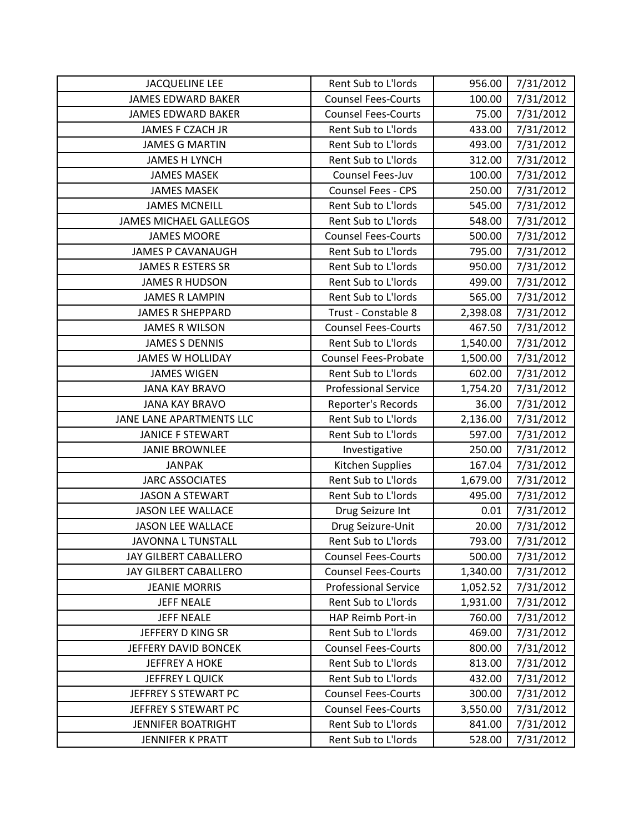| <b>JACQUELINE LEE</b>         | Rent Sub to L'Iords         | 956.00   | 7/31/2012 |
|-------------------------------|-----------------------------|----------|-----------|
| <b>JAMES EDWARD BAKER</b>     | <b>Counsel Fees-Courts</b>  | 100.00   | 7/31/2012 |
| <b>JAMES EDWARD BAKER</b>     | <b>Counsel Fees-Courts</b>  | 75.00    | 7/31/2012 |
| JAMES F CZACH JR              | Rent Sub to L'Iords         | 433.00   | 7/31/2012 |
| <b>JAMES G MARTIN</b>         | Rent Sub to L'Iords         | 493.00   | 7/31/2012 |
| <b>JAMES H LYNCH</b>          | Rent Sub to L'Iords         | 312.00   | 7/31/2012 |
| <b>JAMES MASEK</b>            | Counsel Fees-Juv            | 100.00   | 7/31/2012 |
| <b>JAMES MASEK</b>            | Counsel Fees - CPS          | 250.00   | 7/31/2012 |
| <b>JAMES MCNEILL</b>          | Rent Sub to L'Iords         | 545.00   | 7/31/2012 |
| <b>JAMES MICHAEL GALLEGOS</b> | Rent Sub to L'Iords         | 548.00   | 7/31/2012 |
| <b>JAMES MOORE</b>            | <b>Counsel Fees-Courts</b>  | 500.00   | 7/31/2012 |
| <b>JAMES P CAVANAUGH</b>      | Rent Sub to L'Iords         | 795.00   | 7/31/2012 |
| <b>JAMES R ESTERS SR</b>      | Rent Sub to L'Iords         | 950.00   | 7/31/2012 |
| <b>JAMES R HUDSON</b>         | Rent Sub to L'Iords         | 499.00   | 7/31/2012 |
| <b>JAMES R LAMPIN</b>         | Rent Sub to L'Iords         | 565.00   | 7/31/2012 |
| <b>JAMES R SHEPPARD</b>       | Trust - Constable 8         | 2,398.08 | 7/31/2012 |
| <b>JAMES R WILSON</b>         | <b>Counsel Fees-Courts</b>  | 467.50   | 7/31/2012 |
| <b>JAMES S DENNIS</b>         | Rent Sub to L'Iords         | 1,540.00 | 7/31/2012 |
| <b>JAMES W HOLLIDAY</b>       | <b>Counsel Fees-Probate</b> | 1,500.00 | 7/31/2012 |
| <b>JAMES WIGEN</b>            | Rent Sub to L'Iords         | 602.00   | 7/31/2012 |
| <b>JANA KAY BRAVO</b>         | <b>Professional Service</b> | 1,754.20 | 7/31/2012 |
| <b>JANA KAY BRAVO</b>         | Reporter's Records          | 36.00    | 7/31/2012 |
| JANE LANE APARTMENTS LLC      | Rent Sub to L'Iords         | 2,136.00 | 7/31/2012 |
| <b>JANICE F STEWART</b>       | Rent Sub to L'Iords         | 597.00   | 7/31/2012 |
| <b>JANIE BROWNLEE</b>         | Investigative               | 250.00   | 7/31/2012 |
| <b>JANPAK</b>                 | Kitchen Supplies            | 167.04   | 7/31/2012 |
| <b>JARC ASSOCIATES</b>        | Rent Sub to L'Iords         | 1,679.00 | 7/31/2012 |
| <b>JASON A STEWART</b>        | Rent Sub to L'Iords         | 495.00   | 7/31/2012 |
| <b>JASON LEE WALLACE</b>      | Drug Seizure Int            | 0.01     | 7/31/2012 |
| <b>JASON LEE WALLACE</b>      | Drug Seizure-Unit           | 20.00    | 7/31/2012 |
| JAVONNA L TUNSTALL            | Rent Sub to L'Iords         | 793.00   | 7/31/2012 |
| <b>JAY GILBERT CABALLERO</b>  | <b>Counsel Fees-Courts</b>  | 500.00   | 7/31/2012 |
| JAY GILBERT CABALLERO         | <b>Counsel Fees-Courts</b>  | 1,340.00 | 7/31/2012 |
| <b>JEANIE MORRIS</b>          | <b>Professional Service</b> | 1,052.52 | 7/31/2012 |
| <b>JEFF NEALE</b>             | Rent Sub to L'Iords         | 1,931.00 | 7/31/2012 |
| <b>JEFF NEALE</b>             | HAP Reimb Port-in           | 760.00   | 7/31/2012 |
| JEFFERY D KING SR             | Rent Sub to L'Iords         | 469.00   | 7/31/2012 |
| JEFFERY DAVID BONCEK          | <b>Counsel Fees-Courts</b>  | 800.00   | 7/31/2012 |
| <b>JEFFREY A HOKE</b>         | Rent Sub to L'Iords         | 813.00   | 7/31/2012 |
| <b>JEFFREY L QUICK</b>        | Rent Sub to L'Iords         | 432.00   | 7/31/2012 |
| JEFFREY S STEWART PC          | <b>Counsel Fees-Courts</b>  | 300.00   | 7/31/2012 |
| JEFFREY S STEWART PC          | <b>Counsel Fees-Courts</b>  | 3,550.00 | 7/31/2012 |
| <b>JENNIFER BOATRIGHT</b>     | Rent Sub to L'Iords         | 841.00   | 7/31/2012 |
| JENNIFER K PRATT              | Rent Sub to L'Iords         | 528.00   | 7/31/2012 |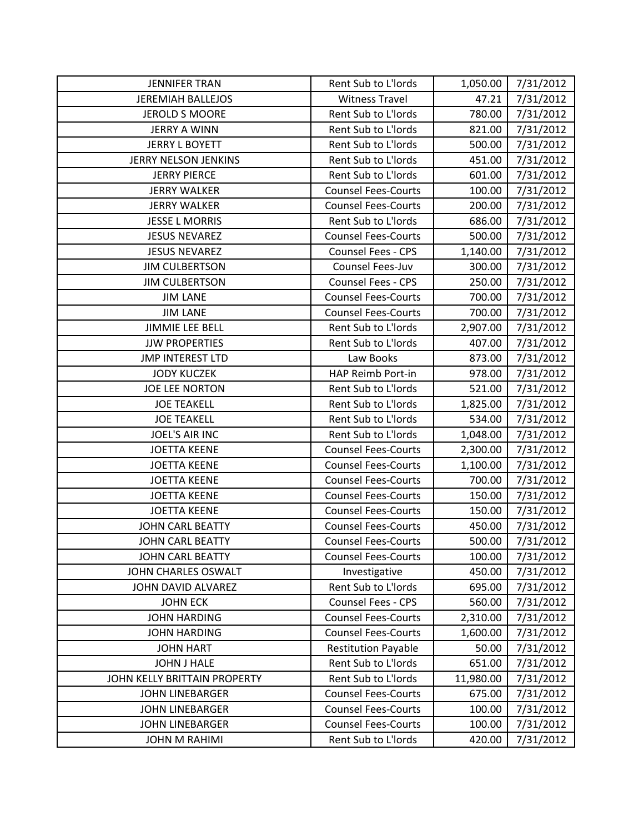| <b>JENNIFER TRAN</b>         | Rent Sub to L'Iords        | 1,050.00  | 7/31/2012 |
|------------------------------|----------------------------|-----------|-----------|
| <b>JEREMIAH BALLEJOS</b>     | <b>Witness Travel</b>      | 47.21     | 7/31/2012 |
| <b>JEROLD S MOORE</b>        | Rent Sub to L'Iords        | 780.00    | 7/31/2012 |
| <b>JERRY A WINN</b>          | Rent Sub to L'Iords        | 821.00    | 7/31/2012 |
| <b>JERRY L BOYETT</b>        | Rent Sub to L'Iords        | 500.00    | 7/31/2012 |
| <b>JERRY NELSON JENKINS</b>  | Rent Sub to L'Iords        | 451.00    | 7/31/2012 |
| <b>JERRY PIERCE</b>          | Rent Sub to L'Iords        | 601.00    | 7/31/2012 |
| <b>JERRY WALKER</b>          | <b>Counsel Fees-Courts</b> | 100.00    | 7/31/2012 |
| <b>JERRY WALKER</b>          | <b>Counsel Fees-Courts</b> | 200.00    | 7/31/2012 |
| <b>JESSE L MORRIS</b>        | Rent Sub to L'Iords        | 686.00    | 7/31/2012 |
| <b>JESUS NEVAREZ</b>         | <b>Counsel Fees-Courts</b> | 500.00    | 7/31/2012 |
| <b>JESUS NEVAREZ</b>         | <b>Counsel Fees - CPS</b>  | 1,140.00  | 7/31/2012 |
| <b>JIM CULBERTSON</b>        | Counsel Fees-Juv           | 300.00    | 7/31/2012 |
| <b>JIM CULBERTSON</b>        | <b>Counsel Fees - CPS</b>  | 250.00    | 7/31/2012 |
| <b>JIM LANE</b>              | <b>Counsel Fees-Courts</b> | 700.00    | 7/31/2012 |
| <b>JIM LANE</b>              | <b>Counsel Fees-Courts</b> | 700.00    | 7/31/2012 |
| <b>JIMMIE LEE BELL</b>       | Rent Sub to L'Iords        | 2,907.00  | 7/31/2012 |
| <b>JJW PROPERTIES</b>        | Rent Sub to L'Iords        | 407.00    | 7/31/2012 |
| <b>JMP INTEREST LTD</b>      | Law Books                  | 873.00    | 7/31/2012 |
| <b>JODY KUCZEK</b>           | HAP Reimb Port-in          | 978.00    | 7/31/2012 |
| <b>JOE LEE NORTON</b>        | Rent Sub to L'Iords        | 521.00    | 7/31/2012 |
| <b>JOE TEAKELL</b>           | Rent Sub to L'Iords        | 1,825.00  | 7/31/2012 |
| <b>JOE TEAKELL</b>           | Rent Sub to L'Iords        | 534.00    | 7/31/2012 |
| <b>JOEL'S AIR INC</b>        | Rent Sub to L'Iords        | 1,048.00  | 7/31/2012 |
| <b>JOETTA KEENE</b>          | <b>Counsel Fees-Courts</b> | 2,300.00  | 7/31/2012 |
| <b>JOETTA KEENE</b>          | <b>Counsel Fees-Courts</b> | 1,100.00  | 7/31/2012 |
| <b>JOETTA KEENE</b>          | <b>Counsel Fees-Courts</b> | 700.00    | 7/31/2012 |
| <b>JOETTA KEENE</b>          | <b>Counsel Fees-Courts</b> | 150.00    | 7/31/2012 |
| <b>JOETTA KEENE</b>          | <b>Counsel Fees-Courts</b> | 150.00    | 7/31/2012 |
| <b>JOHN CARL BEATTY</b>      | <b>Counsel Fees-Courts</b> | 450.00    | 7/31/2012 |
| <b>JOHN CARL BEATTY</b>      | <b>Counsel Fees-Courts</b> | 500.00    | 7/31/2012 |
| <b>JOHN CARL BEATTY</b>      | <b>Counsel Fees-Courts</b> | 100.00    | 7/31/2012 |
| JOHN CHARLES OSWALT          | Investigative              | 450.00    | 7/31/2012 |
| JOHN DAVID ALVAREZ           | Rent Sub to L'Iords        | 695.00    | 7/31/2012 |
| <b>JOHN ECK</b>              | Counsel Fees - CPS         | 560.00    | 7/31/2012 |
| <b>JOHN HARDING</b>          | <b>Counsel Fees-Courts</b> | 2,310.00  | 7/31/2012 |
| <b>JOHN HARDING</b>          | <b>Counsel Fees-Courts</b> | 1,600.00  | 7/31/2012 |
| <b>JOHN HART</b>             | <b>Restitution Payable</b> | 50.00     | 7/31/2012 |
| <b>JOHN J HALE</b>           | Rent Sub to L'Iords        | 651.00    | 7/31/2012 |
| JOHN KELLY BRITTAIN PROPERTY | Rent Sub to L'Iords        | 11,980.00 | 7/31/2012 |
| <b>JOHN LINEBARGER</b>       | <b>Counsel Fees-Courts</b> | 675.00    | 7/31/2012 |
| <b>JOHN LINEBARGER</b>       | <b>Counsel Fees-Courts</b> | 100.00    | 7/31/2012 |
| <b>JOHN LINEBARGER</b>       | <b>Counsel Fees-Courts</b> | 100.00    | 7/31/2012 |
| <b>JOHN M RAHIMI</b>         | Rent Sub to L'Iords        | 420.00    | 7/31/2012 |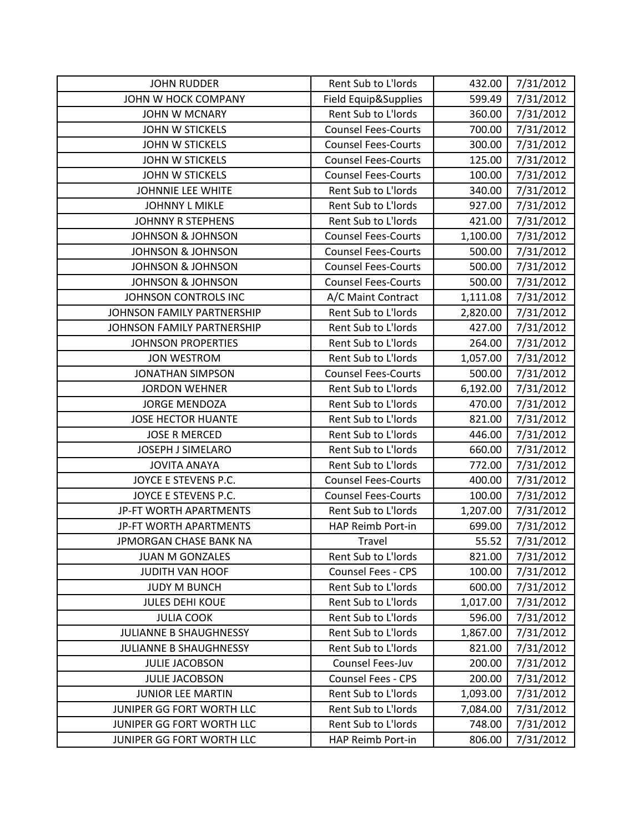| <b>JOHN RUDDER</b>            | Rent Sub to L'Iords        | 432.00   | 7/31/2012 |
|-------------------------------|----------------------------|----------|-----------|
| JOHN W HOCK COMPANY           | Field Equip&Supplies       | 599.49   | 7/31/2012 |
| <b>JOHN W MCNARY</b>          | Rent Sub to L'Iords        | 360.00   | 7/31/2012 |
| <b>JOHN W STICKELS</b>        | <b>Counsel Fees-Courts</b> | 700.00   | 7/31/2012 |
| <b>JOHN W STICKELS</b>        | <b>Counsel Fees-Courts</b> | 300.00   | 7/31/2012 |
| <b>JOHN W STICKELS</b>        | <b>Counsel Fees-Courts</b> | 125.00   | 7/31/2012 |
| <b>JOHN W STICKELS</b>        | <b>Counsel Fees-Courts</b> | 100.00   | 7/31/2012 |
| JOHNNIE LEE WHITE             | Rent Sub to L'Iords        | 340.00   | 7/31/2012 |
| <b>JOHNNY L MIKLE</b>         | Rent Sub to L'Iords        | 927.00   | 7/31/2012 |
| <b>JOHNNY R STEPHENS</b>      | Rent Sub to L'Iords        | 421.00   | 7/31/2012 |
| <b>JOHNSON &amp; JOHNSON</b>  | <b>Counsel Fees-Courts</b> | 1,100.00 | 7/31/2012 |
| <b>JOHNSON &amp; JOHNSON</b>  | <b>Counsel Fees-Courts</b> | 500.00   | 7/31/2012 |
| <b>JOHNSON &amp; JOHNSON</b>  | <b>Counsel Fees-Courts</b> | 500.00   | 7/31/2012 |
| <b>JOHNSON &amp; JOHNSON</b>  | <b>Counsel Fees-Courts</b> | 500.00   | 7/31/2012 |
| JOHNSON CONTROLS INC          | A/C Maint Contract         | 1,111.08 | 7/31/2012 |
| JOHNSON FAMILY PARTNERSHIP    | Rent Sub to L'Iords        | 2,820.00 | 7/31/2012 |
| JOHNSON FAMILY PARTNERSHIP    | <b>Rent Sub to L'Iords</b> | 427.00   | 7/31/2012 |
| <b>JOHNSON PROPERTIES</b>     | Rent Sub to L'Iords        | 264.00   | 7/31/2012 |
| <b>JON WESTROM</b>            | Rent Sub to L'Iords        | 1,057.00 | 7/31/2012 |
| <b>JONATHAN SIMPSON</b>       | <b>Counsel Fees-Courts</b> | 500.00   | 7/31/2012 |
| <b>JORDON WEHNER</b>          | Rent Sub to L'Iords        | 6,192.00 | 7/31/2012 |
| <b>JORGE MENDOZA</b>          | Rent Sub to L'Iords        | 470.00   | 7/31/2012 |
| <b>JOSE HECTOR HUANTE</b>     | Rent Sub to L'Iords        | 821.00   | 7/31/2012 |
| <b>JOSE R MERCED</b>          | Rent Sub to L'Iords        | 446.00   | 7/31/2012 |
| <b>JOSEPH J SIMELARO</b>      | Rent Sub to L'Iords        | 660.00   | 7/31/2012 |
| <b>JOVITA ANAYA</b>           | Rent Sub to L'Iords        | 772.00   | 7/31/2012 |
| JOYCE E STEVENS P.C.          | <b>Counsel Fees-Courts</b> | 400.00   | 7/31/2012 |
| JOYCE E STEVENS P.C.          | <b>Counsel Fees-Courts</b> | 100.00   | 7/31/2012 |
| JP-FT WORTH APARTMENTS        | Rent Sub to L'Iords        | 1,207.00 | 7/31/2012 |
| JP-FT WORTH APARTMENTS        | HAP Reimb Port-in          | 699.00   | 7/31/2012 |
| JPMORGAN CHASE BANK NA        | Travel                     | 55.52    | 7/31/2012 |
| <b>JUAN M GONZALES</b>        | Rent Sub to L'Iords        | 821.00   | 7/31/2012 |
| <b>JUDITH VAN HOOF</b>        | <b>Counsel Fees - CPS</b>  | 100.00   | 7/31/2012 |
| <b>JUDY M BUNCH</b>           | Rent Sub to L'Iords        | 600.00   | 7/31/2012 |
| <b>JULES DEHI KOUE</b>        | Rent Sub to L'Iords        | 1,017.00 | 7/31/2012 |
| <b>JULIA COOK</b>             | Rent Sub to L'Iords        | 596.00   | 7/31/2012 |
| <b>JULIANNE B SHAUGHNESSY</b> | Rent Sub to L'Iords        | 1,867.00 | 7/31/2012 |
| JULIANNE B SHAUGHNESSY        | Rent Sub to L'Iords        | 821.00   | 7/31/2012 |
| <b>JULIE JACOBSON</b>         | Counsel Fees-Juv           | 200.00   | 7/31/2012 |
| <b>JULIE JACOBSON</b>         | <b>Counsel Fees - CPS</b>  | 200.00   | 7/31/2012 |
| <b>JUNIOR LEE MARTIN</b>      | Rent Sub to L'Iords        | 1,093.00 | 7/31/2012 |
| JUNIPER GG FORT WORTH LLC     | Rent Sub to L'Iords        | 7,084.00 | 7/31/2012 |
| JUNIPER GG FORT WORTH LLC     | Rent Sub to L'Iords        | 748.00   | 7/31/2012 |
| JUNIPER GG FORT WORTH LLC     | HAP Reimb Port-in          | 806.00   | 7/31/2012 |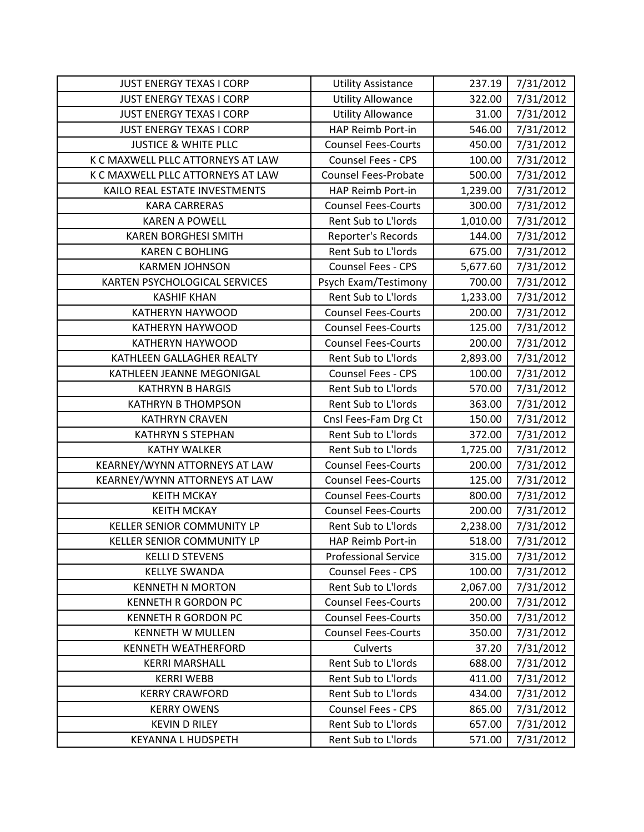| <b>JUST ENERGY TEXAS I CORP</b>   | <b>Utility Assistance</b>   | 237.19   | 7/31/2012 |
|-----------------------------------|-----------------------------|----------|-----------|
| <b>JUST ENERGY TEXAS I CORP</b>   | <b>Utility Allowance</b>    | 322.00   | 7/31/2012 |
| <b>JUST ENERGY TEXAS I CORP</b>   | <b>Utility Allowance</b>    | 31.00    | 7/31/2012 |
| <b>JUST ENERGY TEXAS I CORP</b>   | HAP Reimb Port-in           | 546.00   | 7/31/2012 |
| <b>JUSTICE &amp; WHITE PLLC</b>   | <b>Counsel Fees-Courts</b>  | 450.00   | 7/31/2012 |
| K C MAXWELL PLLC ATTORNEYS AT LAW | <b>Counsel Fees - CPS</b>   | 100.00   | 7/31/2012 |
| K C MAXWELL PLLC ATTORNEYS AT LAW | <b>Counsel Fees-Probate</b> | 500.00   | 7/31/2012 |
| KAILO REAL ESTATE INVESTMENTS     | HAP Reimb Port-in           | 1,239.00 | 7/31/2012 |
| <b>KARA CARRERAS</b>              | <b>Counsel Fees-Courts</b>  | 300.00   | 7/31/2012 |
| <b>KAREN A POWELL</b>             | Rent Sub to L'Iords         | 1,010.00 | 7/31/2012 |
| <b>KAREN BORGHESI SMITH</b>       | Reporter's Records          | 144.00   | 7/31/2012 |
| <b>KAREN C BOHLING</b>            | Rent Sub to L'Iords         | 675.00   | 7/31/2012 |
| <b>KARMEN JOHNSON</b>             | Counsel Fees - CPS          | 5,677.60 | 7/31/2012 |
| KARTEN PSYCHOLOGICAL SERVICES     | Psych Exam/Testimony        | 700.00   | 7/31/2012 |
| <b>KASHIF KHAN</b>                | Rent Sub to L'Iords         | 1,233.00 | 7/31/2012 |
| <b>KATHERYN HAYWOOD</b>           | <b>Counsel Fees-Courts</b>  | 200.00   | 7/31/2012 |
| <b>KATHERYN HAYWOOD</b>           | <b>Counsel Fees-Courts</b>  | 125.00   | 7/31/2012 |
| <b>KATHERYN HAYWOOD</b>           | <b>Counsel Fees-Courts</b>  | 200.00   | 7/31/2012 |
| KATHLEEN GALLAGHER REALTY         | Rent Sub to L'Iords         | 2,893.00 | 7/31/2012 |
| KATHLEEN JEANNE MEGONIGAL         | <b>Counsel Fees - CPS</b>   | 100.00   | 7/31/2012 |
| <b>KATHRYN B HARGIS</b>           | Rent Sub to L'Iords         | 570.00   | 7/31/2012 |
| <b>KATHRYN B THOMPSON</b>         | Rent Sub to L'Iords         | 363.00   | 7/31/2012 |
| <b>KATHRYN CRAVEN</b>             | Cnsl Fees-Fam Drg Ct        | 150.00   | 7/31/2012 |
| <b>KATHRYN S STEPHAN</b>          | Rent Sub to L'Iords         | 372.00   | 7/31/2012 |
| <b>KATHY WALKER</b>               | Rent Sub to L'Iords         | 1,725.00 | 7/31/2012 |
| KEARNEY/WYNN ATTORNEYS AT LAW     | <b>Counsel Fees-Courts</b>  | 200.00   | 7/31/2012 |
| KEARNEY/WYNN ATTORNEYS AT LAW     | <b>Counsel Fees-Courts</b>  | 125.00   | 7/31/2012 |
| <b>KEITH MCKAY</b>                | <b>Counsel Fees-Courts</b>  | 800.00   | 7/31/2012 |
| <b>KEITH MCKAY</b>                | <b>Counsel Fees-Courts</b>  | 200.00   | 7/31/2012 |
| KELLER SENIOR COMMUNITY LP        | Rent Sub to L'Iords         | 2,238.00 | 7/31/2012 |
| KELLER SENIOR COMMUNITY LP        | HAP Reimb Port-in           | 518.00   | 7/31/2012 |
| <b>KELLI D STEVENS</b>            | <b>Professional Service</b> | 315.00   | 7/31/2012 |
| <b>KELLYE SWANDA</b>              | <b>Counsel Fees - CPS</b>   | 100.00   | 7/31/2012 |
| <b>KENNETH N MORTON</b>           | Rent Sub to L'Iords         | 2,067.00 | 7/31/2012 |
| <b>KENNETH R GORDON PC</b>        | <b>Counsel Fees-Courts</b>  | 200.00   | 7/31/2012 |
| <b>KENNETH R GORDON PC</b>        | <b>Counsel Fees-Courts</b>  | 350.00   | 7/31/2012 |
| <b>KENNETH W MULLEN</b>           | <b>Counsel Fees-Courts</b>  | 350.00   | 7/31/2012 |
| <b>KENNETH WEATHERFORD</b>        | Culverts                    | 37.20    | 7/31/2012 |
| <b>KERRI MARSHALL</b>             | Rent Sub to L'Iords         | 688.00   | 7/31/2012 |
| <b>KERRI WEBB</b>                 | Rent Sub to L'Iords         | 411.00   | 7/31/2012 |
| <b>KERRY CRAWFORD</b>             | Rent Sub to L'Iords         | 434.00   | 7/31/2012 |
| <b>KERRY OWENS</b>                | <b>Counsel Fees - CPS</b>   | 865.00   | 7/31/2012 |
| <b>KEVIN D RILEY</b>              | Rent Sub to L'Iords         | 657.00   | 7/31/2012 |
| <b>KEYANNA L HUDSPETH</b>         | Rent Sub to L'Iords         | 571.00   | 7/31/2012 |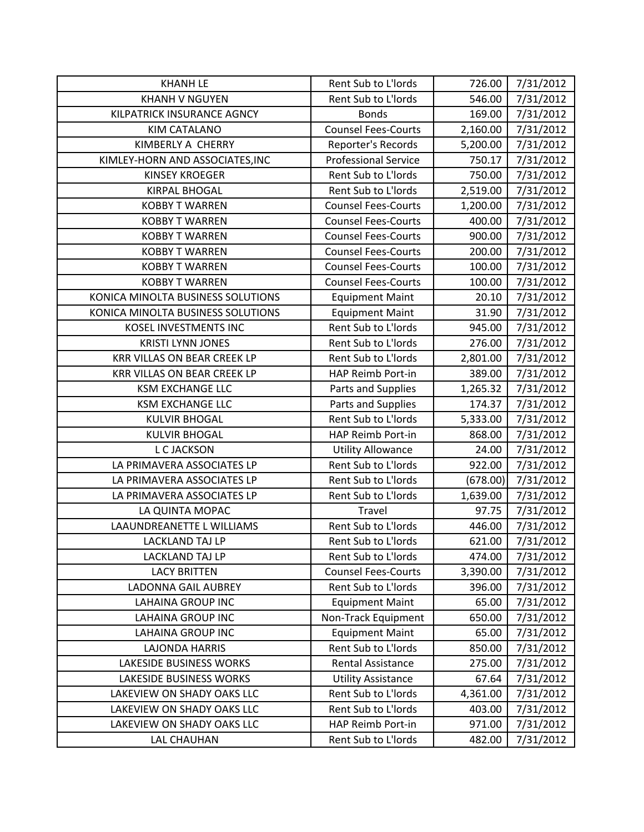| <b>KHANH LE</b>                    | Rent Sub to L'Iords         | 726.00   | 7/31/2012 |
|------------------------------------|-----------------------------|----------|-----------|
| <b>KHANH V NGUYEN</b>              | Rent Sub to L'Iords         | 546.00   | 7/31/2012 |
| KILPATRICK INSURANCE AGNCY         | <b>Bonds</b>                | 169.00   | 7/31/2012 |
| <b>KIM CATALANO</b>                | <b>Counsel Fees-Courts</b>  | 2,160.00 | 7/31/2012 |
| KIMBERLY A CHERRY                  | Reporter's Records          | 5,200.00 | 7/31/2012 |
| KIMLEY-HORN AND ASSOCIATES, INC    | <b>Professional Service</b> | 750.17   | 7/31/2012 |
| <b>KINSEY KROEGER</b>              | Rent Sub to L'Iords         | 750.00   | 7/31/2012 |
| <b>KIRPAL BHOGAL</b>               | Rent Sub to L'Iords         | 2,519.00 | 7/31/2012 |
| <b>KOBBY T WARREN</b>              | <b>Counsel Fees-Courts</b>  | 1,200.00 | 7/31/2012 |
| <b>KOBBY T WARREN</b>              | <b>Counsel Fees-Courts</b>  | 400.00   | 7/31/2012 |
| <b>KOBBY T WARREN</b>              | <b>Counsel Fees-Courts</b>  | 900.00   | 7/31/2012 |
| <b>KOBBY T WARREN</b>              | <b>Counsel Fees-Courts</b>  | 200.00   | 7/31/2012 |
| <b>KOBBY T WARREN</b>              | <b>Counsel Fees-Courts</b>  | 100.00   | 7/31/2012 |
| <b>KOBBY T WARREN</b>              | <b>Counsel Fees-Courts</b>  | 100.00   | 7/31/2012 |
| KONICA MINOLTA BUSINESS SOLUTIONS  | <b>Equipment Maint</b>      | 20.10    | 7/31/2012 |
| KONICA MINOLTA BUSINESS SOLUTIONS  | <b>Equipment Maint</b>      | 31.90    | 7/31/2012 |
| KOSEL INVESTMENTS INC              | <b>Rent Sub to L'Iords</b>  | 945.00   | 7/31/2012 |
| <b>KRISTI LYNN JONES</b>           | Rent Sub to L'Iords         | 276.00   | 7/31/2012 |
| <b>KRR VILLAS ON BEAR CREEK LP</b> | Rent Sub to L'Iords         | 2,801.00 | 7/31/2012 |
| <b>KRR VILLAS ON BEAR CREEK LP</b> | HAP Reimb Port-in           | 389.00   | 7/31/2012 |
| <b>KSM EXCHANGE LLC</b>            | Parts and Supplies          | 1,265.32 | 7/31/2012 |
| <b>KSM EXCHANGE LLC</b>            | Parts and Supplies          | 174.37   | 7/31/2012 |
| <b>KULVIR BHOGAL</b>               | Rent Sub to L'Iords         | 5,333.00 | 7/31/2012 |
| <b>KULVIR BHOGAL</b>               | HAP Reimb Port-in           | 868.00   | 7/31/2012 |
| L C JACKSON                        | <b>Utility Allowance</b>    | 24.00    | 7/31/2012 |
| LA PRIMAVERA ASSOCIATES LP         | Rent Sub to L'Iords         | 922.00   | 7/31/2012 |
| LA PRIMAVERA ASSOCIATES LP         | Rent Sub to L'Iords         | (678.00) | 7/31/2012 |
| LA PRIMAVERA ASSOCIATES LP         | Rent Sub to L'Iords         | 1,639.00 | 7/31/2012 |
| LA QUINTA MOPAC                    | Travel                      | 97.75    | 7/31/2012 |
| LAAUNDREANETTE L WILLIAMS          | Rent Sub to L'Iords         | 446.00   | 7/31/2012 |
| <b>LACKLAND TAJ LP</b>             | Rent Sub to L'Iords         | 621.00   | 7/31/2012 |
| LACKLAND TAJ LP                    | Rent Sub to L'Iords         | 474.00   | 7/31/2012 |
| <b>LACY BRITTEN</b>                | <b>Counsel Fees-Courts</b>  | 3,390.00 | 7/31/2012 |
| <b>LADONNA GAIL AUBREY</b>         | Rent Sub to L'Iords         | 396.00   | 7/31/2012 |
| <b>LAHAINA GROUP INC</b>           | <b>Equipment Maint</b>      | 65.00    | 7/31/2012 |
| <b>LAHAINA GROUP INC</b>           | Non-Track Equipment         | 650.00   | 7/31/2012 |
| <b>LAHAINA GROUP INC</b>           | <b>Equipment Maint</b>      | 65.00    | 7/31/2012 |
| <b>LAJONDA HARRIS</b>              | Rent Sub to L'Iords         | 850.00   | 7/31/2012 |
| <b>LAKESIDE BUSINESS WORKS</b>     | <b>Rental Assistance</b>    | 275.00   | 7/31/2012 |
| <b>LAKESIDE BUSINESS WORKS</b>     | <b>Utility Assistance</b>   | 67.64    | 7/31/2012 |
| LAKEVIEW ON SHADY OAKS LLC         | Rent Sub to L'Iords         | 4,361.00 | 7/31/2012 |
| LAKEVIEW ON SHADY OAKS LLC         | Rent Sub to L'Iords         | 403.00   | 7/31/2012 |
| LAKEVIEW ON SHADY OAKS LLC         | HAP Reimb Port-in           | 971.00   | 7/31/2012 |
| <b>LAL CHAUHAN</b>                 | Rent Sub to L'Iords         | 482.00   | 7/31/2012 |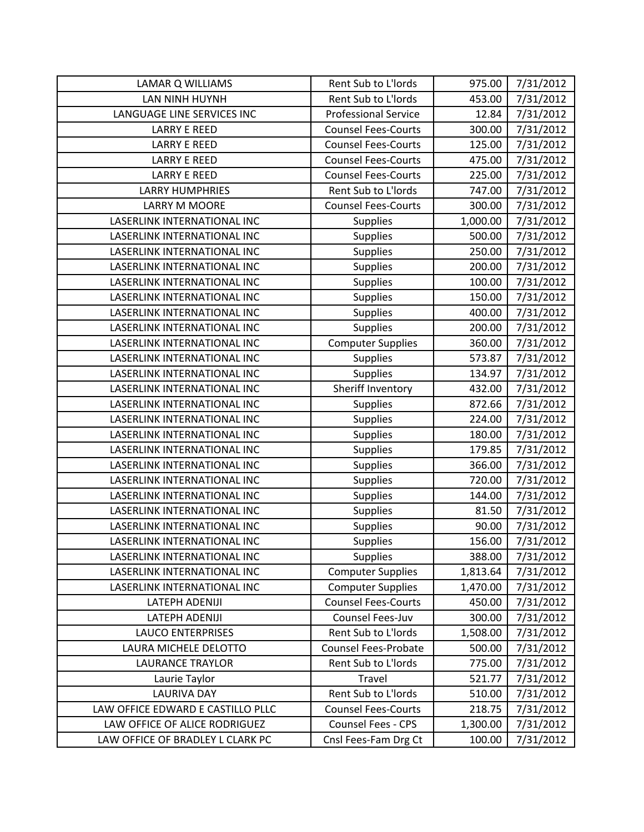| LAMAR Q WILLIAMS                  | Rent Sub to L'Iords         | 975.00   | 7/31/2012 |
|-----------------------------------|-----------------------------|----------|-----------|
| LAN NINH HUYNH                    | Rent Sub to L'Iords         | 453.00   | 7/31/2012 |
| LANGUAGE LINE SERVICES INC        | <b>Professional Service</b> | 12.84    | 7/31/2012 |
| <b>LARRY E REED</b>               | <b>Counsel Fees-Courts</b>  | 300.00   | 7/31/2012 |
| <b>LARRY E REED</b>               | <b>Counsel Fees-Courts</b>  | 125.00   | 7/31/2012 |
| <b>LARRY E REED</b>               | <b>Counsel Fees-Courts</b>  | 475.00   | 7/31/2012 |
| <b>LARRY E REED</b>               | <b>Counsel Fees-Courts</b>  | 225.00   | 7/31/2012 |
| <b>LARRY HUMPHRIES</b>            | Rent Sub to L'Iords         | 747.00   | 7/31/2012 |
| <b>LARRY M MOORE</b>              | <b>Counsel Fees-Courts</b>  | 300.00   | 7/31/2012 |
| LASERLINK INTERNATIONAL INC       | <b>Supplies</b>             | 1,000.00 | 7/31/2012 |
| LASERLINK INTERNATIONAL INC       | <b>Supplies</b>             | 500.00   | 7/31/2012 |
| LASERLINK INTERNATIONAL INC       | <b>Supplies</b>             | 250.00   | 7/31/2012 |
| LASERLINK INTERNATIONAL INC       | Supplies                    | 200.00   | 7/31/2012 |
| LASERLINK INTERNATIONAL INC       | <b>Supplies</b>             | 100.00   | 7/31/2012 |
| LASERLINK INTERNATIONAL INC       | <b>Supplies</b>             | 150.00   | 7/31/2012 |
| LASERLINK INTERNATIONAL INC       | <b>Supplies</b>             | 400.00   | 7/31/2012 |
| LASERLINK INTERNATIONAL INC       | <b>Supplies</b>             | 200.00   | 7/31/2012 |
| LASERLINK INTERNATIONAL INC       | <b>Computer Supplies</b>    | 360.00   | 7/31/2012 |
| LASERLINK INTERNATIONAL INC       | <b>Supplies</b>             | 573.87   | 7/31/2012 |
| LASERLINK INTERNATIONAL INC       | <b>Supplies</b>             | 134.97   | 7/31/2012 |
| LASERLINK INTERNATIONAL INC       | Sheriff Inventory           | 432.00   | 7/31/2012 |
| LASERLINK INTERNATIONAL INC       | <b>Supplies</b>             | 872.66   | 7/31/2012 |
| LASERLINK INTERNATIONAL INC       | Supplies                    | 224.00   | 7/31/2012 |
| LASERLINK INTERNATIONAL INC       | <b>Supplies</b>             | 180.00   | 7/31/2012 |
| LASERLINK INTERNATIONAL INC       | <b>Supplies</b>             | 179.85   | 7/31/2012 |
| LASERLINK INTERNATIONAL INC       | <b>Supplies</b>             | 366.00   | 7/31/2012 |
| LASERLINK INTERNATIONAL INC       | <b>Supplies</b>             | 720.00   | 7/31/2012 |
| LASERLINK INTERNATIONAL INC       | <b>Supplies</b>             | 144.00   | 7/31/2012 |
| LASERLINK INTERNATIONAL INC       | <b>Supplies</b>             | 81.50    | 7/31/2012 |
| LASERLINK INTERNATIONAL INC       | <b>Supplies</b>             | 90.00    | 7/31/2012 |
| LASERLINK INTERNATIONAL INC       | <b>Supplies</b>             | 156.00   | 7/31/2012 |
| LASERLINK INTERNATIONAL INC       | <b>Supplies</b>             | 388.00   | 7/31/2012 |
| LASERLINK INTERNATIONAL INC       | <b>Computer Supplies</b>    | 1,813.64 | 7/31/2012 |
| LASERLINK INTERNATIONAL INC       | <b>Computer Supplies</b>    | 1,470.00 | 7/31/2012 |
| LATEPH ADENIJI                    | <b>Counsel Fees-Courts</b>  | 450.00   | 7/31/2012 |
| <b>LATEPH ADENIJI</b>             | Counsel Fees-Juv            | 300.00   | 7/31/2012 |
| <b>LAUCO ENTERPRISES</b>          | Rent Sub to L'Iords         | 1,508.00 | 7/31/2012 |
| LAURA MICHELE DELOTTO             | <b>Counsel Fees-Probate</b> | 500.00   | 7/31/2012 |
| <b>LAURANCE TRAYLOR</b>           | Rent Sub to L'Iords         | 775.00   | 7/31/2012 |
| Laurie Taylor                     | Travel                      | 521.77   | 7/31/2012 |
| <b>LAURIVA DAY</b>                | Rent Sub to L'Iords         | 510.00   | 7/31/2012 |
| LAW OFFICE EDWARD E CASTILLO PLLC | <b>Counsel Fees-Courts</b>  | 218.75   | 7/31/2012 |
| LAW OFFICE OF ALICE RODRIGUEZ     | Counsel Fees - CPS          | 1,300.00 | 7/31/2012 |
| LAW OFFICE OF BRADLEY L CLARK PC  | Cnsl Fees-Fam Drg Ct        | 100.00   | 7/31/2012 |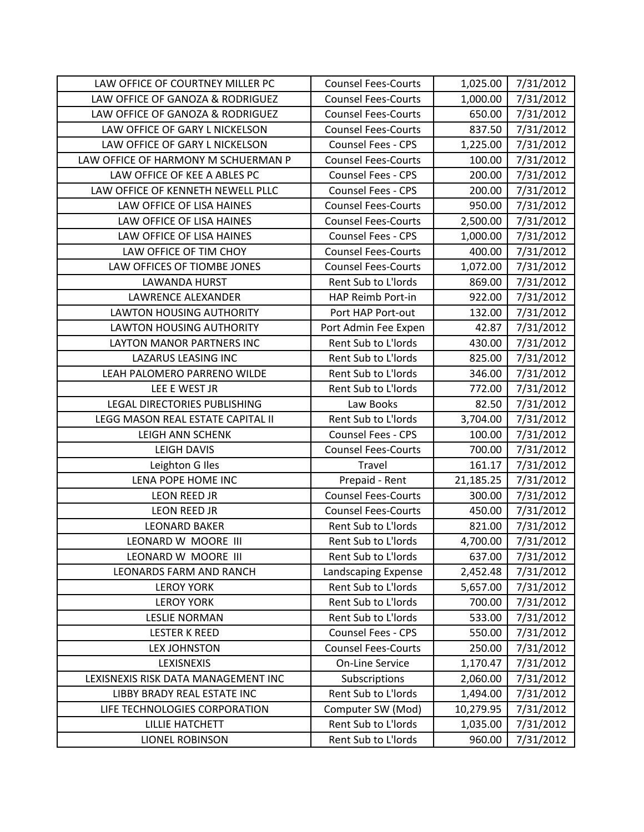| LAW OFFICE OF COURTNEY MILLER PC    | <b>Counsel Fees-Courts</b> | 1,025.00  | 7/31/2012 |
|-------------------------------------|----------------------------|-----------|-----------|
| LAW OFFICE OF GANOZA & RODRIGUEZ    | <b>Counsel Fees-Courts</b> | 1,000.00  | 7/31/2012 |
| LAW OFFICE OF GANOZA & RODRIGUEZ    | <b>Counsel Fees-Courts</b> | 650.00    | 7/31/2012 |
| LAW OFFICE OF GARY L NICKELSON      | <b>Counsel Fees-Courts</b> | 837.50    | 7/31/2012 |
| LAW OFFICE OF GARY L NICKELSON      | <b>Counsel Fees - CPS</b>  | 1,225.00  | 7/31/2012 |
| LAW OFFICE OF HARMONY M SCHUERMAN P | <b>Counsel Fees-Courts</b> | 100.00    | 7/31/2012 |
| LAW OFFICE OF KEE A ABLES PC        | <b>Counsel Fees - CPS</b>  | 200.00    | 7/31/2012 |
| LAW OFFICE OF KENNETH NEWELL PLLC   | <b>Counsel Fees - CPS</b>  | 200.00    | 7/31/2012 |
| LAW OFFICE OF LISA HAINES           | <b>Counsel Fees-Courts</b> | 950.00    | 7/31/2012 |
| LAW OFFICE OF LISA HAINES           | <b>Counsel Fees-Courts</b> | 2,500.00  | 7/31/2012 |
| LAW OFFICE OF LISA HAINES           | Counsel Fees - CPS         | 1,000.00  | 7/31/2012 |
| LAW OFFICE OF TIM CHOY              | <b>Counsel Fees-Courts</b> | 400.00    | 7/31/2012 |
| LAW OFFICES OF TIOMBE JONES         | <b>Counsel Fees-Courts</b> | 1,072.00  | 7/31/2012 |
| <b>LAWANDA HURST</b>                | Rent Sub to L'Iords        | 869.00    | 7/31/2012 |
| LAWRENCE ALEXANDER                  | HAP Reimb Port-in          | 922.00    | 7/31/2012 |
| <b>LAWTON HOUSING AUTHORITY</b>     | Port HAP Port-out          | 132.00    | 7/31/2012 |
| LAWTON HOUSING AUTHORITY            | Port Admin Fee Expen       | 42.87     | 7/31/2012 |
| <b>LAYTON MANOR PARTNERS INC</b>    | Rent Sub to L'Iords        | 430.00    | 7/31/2012 |
| LAZARUS LEASING INC                 | Rent Sub to L'Iords        | 825.00    | 7/31/2012 |
| LEAH PALOMERO PARRENO WILDE         | Rent Sub to L'Iords        | 346.00    | 7/31/2012 |
| LEE E WEST JR                       | Rent Sub to L'Iords        | 772.00    | 7/31/2012 |
| LEGAL DIRECTORIES PUBLISHING        | Law Books                  | 82.50     | 7/31/2012 |
| LEGG MASON REAL ESTATE CAPITAL II   | Rent Sub to L'Iords        | 3,704.00  | 7/31/2012 |
| <b>LEIGH ANN SCHENK</b>             | <b>Counsel Fees - CPS</b>  | 100.00    | 7/31/2012 |
| <b>LEIGH DAVIS</b>                  | <b>Counsel Fees-Courts</b> | 700.00    | 7/31/2012 |
| Leighton G Iles                     | Travel                     | 161.17    | 7/31/2012 |
| LENA POPE HOME INC                  | Prepaid - Rent             | 21,185.25 | 7/31/2012 |
| <b>LEON REED JR</b>                 | <b>Counsel Fees-Courts</b> | 300.00    | 7/31/2012 |
| <b>LEON REED JR</b>                 | <b>Counsel Fees-Courts</b> | 450.00    | 7/31/2012 |
| <b>LEONARD BAKER</b>                | Rent Sub to L'Iords        | 821.00    | 7/31/2012 |
| LEONARD W MOORE III                 | Rent Sub to L'Iords        | 4,700.00  | 7/31/2012 |
| LEONARD W MOORE III                 | Rent Sub to L'Iords        | 637.00    | 7/31/2012 |
| <b>LEONARDS FARM AND RANCH</b>      | Landscaping Expense        | 2,452.48  | 7/31/2012 |
| <b>LEROY YORK</b>                   | Rent Sub to L'Iords        | 5,657.00  | 7/31/2012 |
| <b>LEROY YORK</b>                   | Rent Sub to L'Iords        | 700.00    | 7/31/2012 |
| <b>LESLIE NORMAN</b>                | Rent Sub to L'Iords        | 533.00    | 7/31/2012 |
| <b>LESTER K REED</b>                | Counsel Fees - CPS         | 550.00    | 7/31/2012 |
| <b>LEX JOHNSTON</b>                 | <b>Counsel Fees-Courts</b> | 250.00    | 7/31/2012 |
| LEXISNEXIS                          | <b>On-Line Service</b>     | 1,170.47  | 7/31/2012 |
| LEXISNEXIS RISK DATA MANAGEMENT INC | Subscriptions              | 2,060.00  | 7/31/2012 |
| LIBBY BRADY REAL ESTATE INC         | Rent Sub to L'Iords        | 1,494.00  | 7/31/2012 |
| LIFE TECHNOLOGIES CORPORATION       | Computer SW (Mod)          | 10,279.95 | 7/31/2012 |
| LILLIE HATCHETT                     | Rent Sub to L'Iords        | 1,035.00  | 7/31/2012 |
| <b>LIONEL ROBINSON</b>              | Rent Sub to L'Iords        | 960.00    | 7/31/2012 |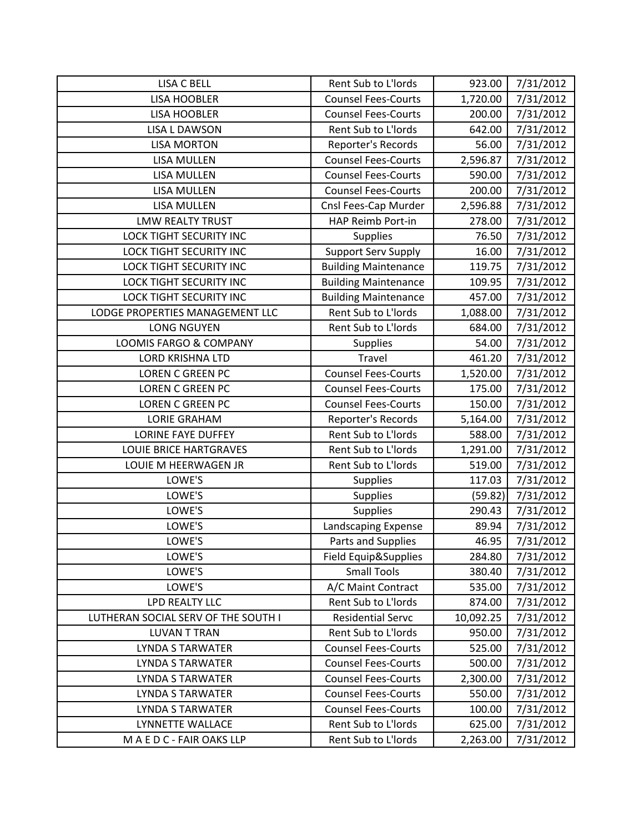| <b>LISA C BELL</b>                  | Rent Sub to L'Iords         | 923.00    | 7/31/2012 |
|-------------------------------------|-----------------------------|-----------|-----------|
| <b>LISA HOOBLER</b>                 | <b>Counsel Fees-Courts</b>  | 1,720.00  | 7/31/2012 |
| <b>LISA HOOBLER</b>                 | <b>Counsel Fees-Courts</b>  | 200.00    | 7/31/2012 |
| <b>LISA L DAWSON</b>                | Rent Sub to L'Iords         | 642.00    | 7/31/2012 |
| <b>LISA MORTON</b>                  | Reporter's Records          | 56.00     | 7/31/2012 |
| <b>LISA MULLEN</b>                  | <b>Counsel Fees-Courts</b>  | 2,596.87  | 7/31/2012 |
| LISA MULLEN                         | <b>Counsel Fees-Courts</b>  | 590.00    | 7/31/2012 |
| <b>LISA MULLEN</b>                  | <b>Counsel Fees-Courts</b>  | 200.00    | 7/31/2012 |
| <b>LISA MULLEN</b>                  | Cnsl Fees-Cap Murder        | 2,596.88  | 7/31/2012 |
| <b>LMW REALTY TRUST</b>             | HAP Reimb Port-in           | 278.00    | 7/31/2012 |
| <b>LOCK TIGHT SECURITY INC</b>      | Supplies                    | 76.50     | 7/31/2012 |
| LOCK TIGHT SECURITY INC             | <b>Support Serv Supply</b>  | 16.00     | 7/31/2012 |
| LOCK TIGHT SECURITY INC             | <b>Building Maintenance</b> | 119.75    | 7/31/2012 |
| <b>LOCK TIGHT SECURITY INC</b>      | <b>Building Maintenance</b> | 109.95    | 7/31/2012 |
| <b>LOCK TIGHT SECURITY INC</b>      | <b>Building Maintenance</b> | 457.00    | 7/31/2012 |
| LODGE PROPERTIES MANAGEMENT LLC     | Rent Sub to L'Iords         | 1,088.00  | 7/31/2012 |
| <b>LONG NGUYEN</b>                  | Rent Sub to L'Iords         | 684.00    | 7/31/2012 |
| LOOMIS FARGO & COMPANY              | Supplies                    | 54.00     | 7/31/2012 |
| <b>LORD KRISHNA LTD</b>             | Travel                      | 461.20    | 7/31/2012 |
| <b>LOREN C GREEN PC</b>             | <b>Counsel Fees-Courts</b>  | 1,520.00  | 7/31/2012 |
| <b>LOREN C GREEN PC</b>             | <b>Counsel Fees-Courts</b>  | 175.00    | 7/31/2012 |
| LOREN C GREEN PC                    | <b>Counsel Fees-Courts</b>  | 150.00    | 7/31/2012 |
| <b>LORIE GRAHAM</b>                 | Reporter's Records          | 5,164.00  | 7/31/2012 |
| <b>LORINE FAYE DUFFEY</b>           | Rent Sub to L'Iords         | 588.00    | 7/31/2012 |
| <b>LOUIE BRICE HARTGRAVES</b>       | Rent Sub to L'Iords         | 1,291.00  | 7/31/2012 |
| LOUIE M HEERWAGEN JR                | Rent Sub to L'Iords         | 519.00    | 7/31/2012 |
| LOWE'S                              | <b>Supplies</b>             | 117.03    | 7/31/2012 |
| LOWE'S                              | <b>Supplies</b>             | (59.82)   | 7/31/2012 |
| LOWE'S                              | <b>Supplies</b>             | 290.43    | 7/31/2012 |
| LOWE'S                              | Landscaping Expense         | 89.94     | 7/31/2012 |
| LOWE'S                              | Parts and Supplies          | 46.95     | 7/31/2012 |
| LOWE'S                              | Field Equip&Supplies        | 284.80    | 7/31/2012 |
| LOWE'S                              | <b>Small Tools</b>          | 380.40    | 7/31/2012 |
| LOWE'S                              | A/C Maint Contract          | 535.00    | 7/31/2012 |
| <b>LPD REALTY LLC</b>               | Rent Sub to L'Iords         | 874.00    | 7/31/2012 |
| LUTHERAN SOCIAL SERV OF THE SOUTH I | <b>Residential Servc</b>    | 10,092.25 | 7/31/2012 |
| <b>LUVAN T TRAN</b>                 | Rent Sub to L'Iords         | 950.00    | 7/31/2012 |
| <b>LYNDA S TARWATER</b>             | <b>Counsel Fees-Courts</b>  | 525.00    | 7/31/2012 |
| <b>LYNDA S TARWATER</b>             | <b>Counsel Fees-Courts</b>  | 500.00    | 7/31/2012 |
| <b>LYNDA S TARWATER</b>             | <b>Counsel Fees-Courts</b>  | 2,300.00  | 7/31/2012 |
| <b>LYNDA S TARWATER</b>             | <b>Counsel Fees-Courts</b>  | 550.00    | 7/31/2012 |
| <b>LYNDA S TARWATER</b>             | <b>Counsel Fees-Courts</b>  | 100.00    | 7/31/2012 |
| LYNNETTE WALLACE                    | Rent Sub to L'Iords         | 625.00    | 7/31/2012 |
| MAEDC-FAIR OAKS LLP                 | Rent Sub to L'Iords         | 2,263.00  | 7/31/2012 |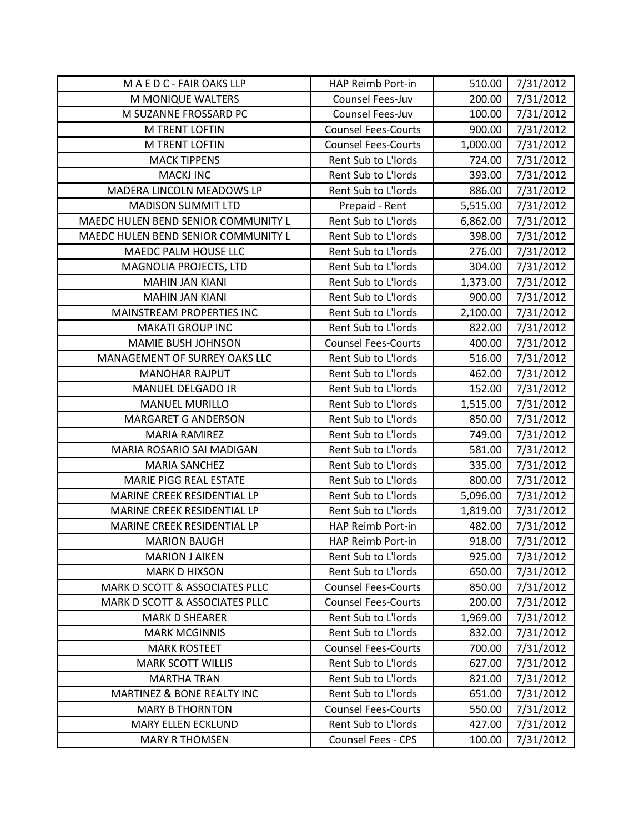| MAEDC-FAIR OAKS LLP                 | HAP Reimb Port-in          | 510.00   | 7/31/2012 |
|-------------------------------------|----------------------------|----------|-----------|
| M MONIQUE WALTERS                   | Counsel Fees-Juv           | 200.00   | 7/31/2012 |
| M SUZANNE FROSSARD PC               | Counsel Fees-Juv           | 100.00   | 7/31/2012 |
| M TRENT LOFTIN                      | <b>Counsel Fees-Courts</b> | 900.00   | 7/31/2012 |
| <b>M TRENT LOFTIN</b>               | <b>Counsel Fees-Courts</b> | 1,000.00 | 7/31/2012 |
| <b>MACK TIPPENS</b>                 | Rent Sub to L'Iords        | 724.00   | 7/31/2012 |
| <b>MACKJ INC</b>                    | Rent Sub to L'Iords        | 393.00   | 7/31/2012 |
| MADERA LINCOLN MEADOWS LP           | Rent Sub to L'Iords        | 886.00   | 7/31/2012 |
| <b>MADISON SUMMIT LTD</b>           | Prepaid - Rent             | 5,515.00 | 7/31/2012 |
| MAEDC HULEN BEND SENIOR COMMUNITY L | Rent Sub to L'Iords        | 6,862.00 | 7/31/2012 |
| MAEDC HULEN BEND SENIOR COMMUNITY L | Rent Sub to L'Iords        | 398.00   | 7/31/2012 |
| MAEDC PALM HOUSE LLC                | Rent Sub to L'Iords        | 276.00   | 7/31/2012 |
| MAGNOLIA PROJECTS, LTD              | Rent Sub to L'Iords        | 304.00   | 7/31/2012 |
| <b>MAHIN JAN KIANI</b>              | Rent Sub to L'Iords        | 1,373.00 | 7/31/2012 |
| <b>MAHIN JAN KIANI</b>              | Rent Sub to L'Iords        | 900.00   | 7/31/2012 |
| MAINSTREAM PROPERTIES INC           | Rent Sub to L'Iords        | 2,100.00 | 7/31/2012 |
| <b>MAKATI GROUP INC</b>             | Rent Sub to L'Iords        | 822.00   | 7/31/2012 |
| <b>MAMIE BUSH JOHNSON</b>           | <b>Counsel Fees-Courts</b> | 400.00   | 7/31/2012 |
| MANAGEMENT OF SURREY OAKS LLC       | Rent Sub to L'Iords        | 516.00   | 7/31/2012 |
| <b>MANOHAR RAJPUT</b>               | Rent Sub to L'Iords        | 462.00   | 7/31/2012 |
| MANUEL DELGADO JR                   | Rent Sub to L'Iords        | 152.00   | 7/31/2012 |
| <b>MANUEL MURILLO</b>               | Rent Sub to L'Iords        | 1,515.00 | 7/31/2012 |
| <b>MARGARET G ANDERSON</b>          | Rent Sub to L'Iords        | 850.00   | 7/31/2012 |
| <b>MARIA RAMIREZ</b>                | Rent Sub to L'Iords        | 749.00   | 7/31/2012 |
| MARIA ROSARIO SAI MADIGAN           | Rent Sub to L'Iords        | 581.00   | 7/31/2012 |
| <b>MARIA SANCHEZ</b>                | Rent Sub to L'Iords        | 335.00   | 7/31/2012 |
| <b>MARIE PIGG REAL ESTATE</b>       | Rent Sub to L'Iords        | 800.00   | 7/31/2012 |
| MARINE CREEK RESIDENTIAL LP         | Rent Sub to L'Iords        | 5,096.00 | 7/31/2012 |
| MARINE CREEK RESIDENTIAL LP         | Rent Sub to L'Iords        | 1,819.00 | 7/31/2012 |
| MARINE CREEK RESIDENTIAL LP         | <b>HAP Reimb Port-in</b>   | 482.00   | 7/31/2012 |
| <b>MARION BAUGH</b>                 | <b>HAP Reimb Port-in</b>   | 918.00   | 7/31/2012 |
| <b>MARION J AIKEN</b>               | Rent Sub to L'Iords        | 925.00   | 7/31/2012 |
| <b>MARK D HIXSON</b>                | Rent Sub to L'Iords        | 650.00   | 7/31/2012 |
| MARK D SCOTT & ASSOCIATES PLLC      | <b>Counsel Fees-Courts</b> | 850.00   | 7/31/2012 |
| MARK D SCOTT & ASSOCIATES PLLC      | <b>Counsel Fees-Courts</b> | 200.00   | 7/31/2012 |
| <b>MARK D SHEARER</b>               | Rent Sub to L'Iords        | 1,969.00 | 7/31/2012 |
| <b>MARK MCGINNIS</b>                | Rent Sub to L'Iords        | 832.00   | 7/31/2012 |
| <b>MARK ROSTEET</b>                 | <b>Counsel Fees-Courts</b> | 700.00   | 7/31/2012 |
| <b>MARK SCOTT WILLIS</b>            | Rent Sub to L'Iords        | 627.00   | 7/31/2012 |
| <b>MARTHA TRAN</b>                  | Rent Sub to L'Iords        | 821.00   | 7/31/2012 |
| MARTINEZ & BONE REALTY INC          | Rent Sub to L'Iords        | 651.00   | 7/31/2012 |
| <b>MARY B THORNTON</b>              | <b>Counsel Fees-Courts</b> | 550.00   | 7/31/2012 |
| MARY ELLEN ECKLUND                  | Rent Sub to L'Iords        | 427.00   | 7/31/2012 |
| <b>MARY R THOMSEN</b>               | Counsel Fees - CPS         | 100.00   | 7/31/2012 |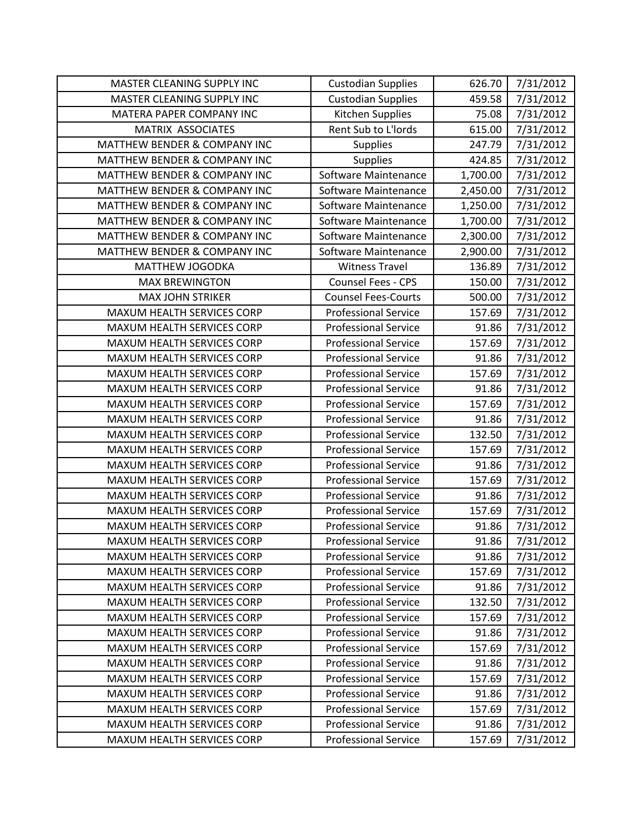| MASTER CLEANING SUPPLY INC              | <b>Custodian Supplies</b>   | 626.70   | 7/31/2012 |
|-----------------------------------------|-----------------------------|----------|-----------|
| MASTER CLEANING SUPPLY INC              | <b>Custodian Supplies</b>   | 459.58   | 7/31/2012 |
| MATERA PAPER COMPANY INC                | Kitchen Supplies            | 75.08    | 7/31/2012 |
| MATRIX ASSOCIATES                       | Rent Sub to L'Iords         | 615.00   | 7/31/2012 |
| <b>MATTHEW BENDER &amp; COMPANY INC</b> | <b>Supplies</b>             | 247.79   | 7/31/2012 |
| MATTHEW BENDER & COMPANY INC            | <b>Supplies</b>             | 424.85   | 7/31/2012 |
| MATTHEW BENDER & COMPANY INC            | Software Maintenance        | 1,700.00 | 7/31/2012 |
| MATTHEW BENDER & COMPANY INC            | Software Maintenance        | 2,450.00 | 7/31/2012 |
| MATTHEW BENDER & COMPANY INC            | Software Maintenance        | 1,250.00 | 7/31/2012 |
| <b>MATTHEW BENDER &amp; COMPANY INC</b> | Software Maintenance        | 1,700.00 | 7/31/2012 |
| MATTHEW BENDER & COMPANY INC            | Software Maintenance        | 2,300.00 | 7/31/2012 |
| MATTHEW BENDER & COMPANY INC            | Software Maintenance        | 2,900.00 | 7/31/2012 |
| MATTHEW JOGODKA                         | <b>Witness Travel</b>       | 136.89   | 7/31/2012 |
| <b>MAX BREWINGTON</b>                   | Counsel Fees - CPS          | 150.00   | 7/31/2012 |
| <b>MAX JOHN STRIKER</b>                 | <b>Counsel Fees-Courts</b>  | 500.00   | 7/31/2012 |
| MAXUM HEALTH SERVICES CORP              | <b>Professional Service</b> | 157.69   | 7/31/2012 |
| MAXUM HEALTH SERVICES CORP              | <b>Professional Service</b> | 91.86    | 7/31/2012 |
| MAXUM HEALTH SERVICES CORP              | <b>Professional Service</b> | 157.69   | 7/31/2012 |
| MAXUM HEALTH SERVICES CORP              | <b>Professional Service</b> | 91.86    | 7/31/2012 |
| MAXUM HEALTH SERVICES CORP              | <b>Professional Service</b> | 157.69   | 7/31/2012 |
| MAXUM HEALTH SERVICES CORP              | <b>Professional Service</b> | 91.86    | 7/31/2012 |
| MAXUM HEALTH SERVICES CORP              | <b>Professional Service</b> | 157.69   | 7/31/2012 |
| MAXUM HEALTH SERVICES CORP              | <b>Professional Service</b> | 91.86    | 7/31/2012 |
| MAXUM HEALTH SERVICES CORP              | <b>Professional Service</b> | 132.50   | 7/31/2012 |
| MAXUM HEALTH SERVICES CORP              | <b>Professional Service</b> | 157.69   | 7/31/2012 |
| MAXUM HEALTH SERVICES CORP              | <b>Professional Service</b> | 91.86    | 7/31/2012 |
| MAXUM HEALTH SERVICES CORP              | <b>Professional Service</b> | 157.69   | 7/31/2012 |
| MAXUM HEALTH SERVICES CORP              | <b>Professional Service</b> | 91.86    | 7/31/2012 |
| MAXUM HEALTH SERVICES CORP              | <b>Professional Service</b> | 157.69   | 7/31/2012 |
| MAXUM HEALTH SERVICES CORP              | <b>Professional Service</b> | 91.86    | 7/31/2012 |
| MAXUM HEALTH SERVICES CORP              | <b>Professional Service</b> | 91.86    | 7/31/2012 |
| MAXUM HEALTH SERVICES CORP              | <b>Professional Service</b> | 91.86    | 7/31/2012 |
| MAXUM HEALTH SERVICES CORP              | <b>Professional Service</b> | 157.69   | 7/31/2012 |
| MAXUM HEALTH SERVICES CORP              | <b>Professional Service</b> | 91.86    | 7/31/2012 |
| MAXUM HEALTH SERVICES CORP              | <b>Professional Service</b> | 132.50   | 7/31/2012 |
| MAXUM HEALTH SERVICES CORP              | <b>Professional Service</b> | 157.69   | 7/31/2012 |
| MAXUM HEALTH SERVICES CORP              | <b>Professional Service</b> | 91.86    | 7/31/2012 |
| MAXUM HEALTH SERVICES CORP              | <b>Professional Service</b> | 157.69   | 7/31/2012 |
| MAXUM HEALTH SERVICES CORP              | <b>Professional Service</b> | 91.86    | 7/31/2012 |
| MAXUM HEALTH SERVICES CORP              | <b>Professional Service</b> | 157.69   | 7/31/2012 |
| <b>MAXUM HEALTH SERVICES CORP</b>       | <b>Professional Service</b> | 91.86    | 7/31/2012 |
| MAXUM HEALTH SERVICES CORP              | <b>Professional Service</b> | 157.69   | 7/31/2012 |
| MAXUM HEALTH SERVICES CORP              | <b>Professional Service</b> | 91.86    | 7/31/2012 |
| MAXUM HEALTH SERVICES CORP              | <b>Professional Service</b> | 157.69   | 7/31/2012 |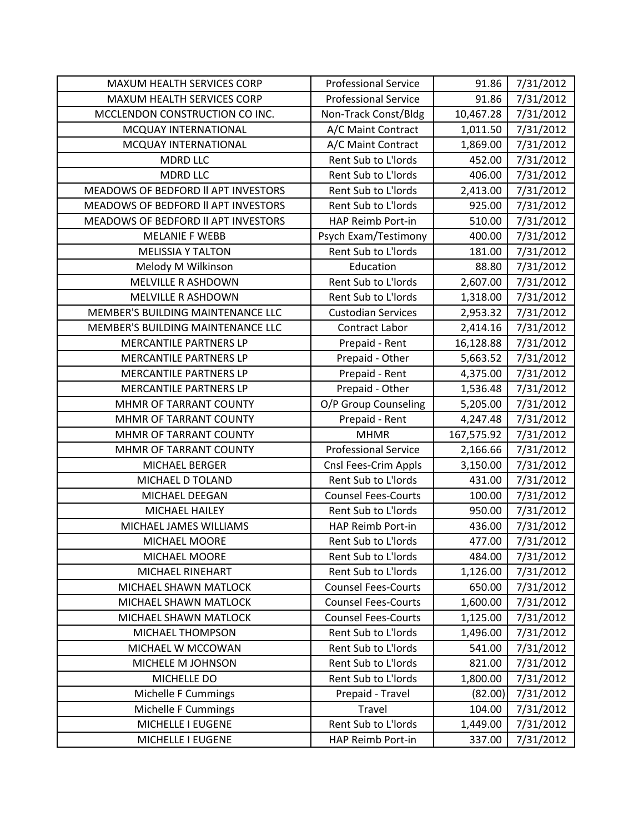| <b>MAXUM HEALTH SERVICES CORP</b>   | <b>Professional Service</b> | 91.86      | 7/31/2012 |
|-------------------------------------|-----------------------------|------------|-----------|
| MAXUM HEALTH SERVICES CORP          | <b>Professional Service</b> | 91.86      | 7/31/2012 |
| MCCLENDON CONSTRUCTION CO INC.      | Non-Track Const/Bldg        | 10,467.28  | 7/31/2012 |
| MCQUAY INTERNATIONAL                | A/C Maint Contract          | 1,011.50   | 7/31/2012 |
| MCQUAY INTERNATIONAL                | A/C Maint Contract          | 1,869.00   | 7/31/2012 |
| <b>MDRD LLC</b>                     | Rent Sub to L'Iords         | 452.00     | 7/31/2012 |
| <b>MDRD LLC</b>                     | Rent Sub to L'Iords         | 406.00     | 7/31/2012 |
| MEADOWS OF BEDFORD II APT INVESTORS | Rent Sub to L'Iords         | 2,413.00   | 7/31/2012 |
| MEADOWS OF BEDFORD II APT INVESTORS | Rent Sub to L'Iords         | 925.00     | 7/31/2012 |
| MEADOWS OF BEDFORD II APT INVESTORS | HAP Reimb Port-in           | 510.00     | 7/31/2012 |
| <b>MELANIE F WEBB</b>               | Psych Exam/Testimony        | 400.00     | 7/31/2012 |
| <b>MELISSIA Y TALTON</b>            | Rent Sub to L'Iords         | 181.00     | 7/31/2012 |
| Melody M Wilkinson                  | Education                   | 88.80      | 7/31/2012 |
| <b>MELVILLE R ASHDOWN</b>           | Rent Sub to L'Iords         | 2,607.00   | 7/31/2012 |
| <b>MELVILLE R ASHDOWN</b>           | Rent Sub to L'Iords         | 1,318.00   | 7/31/2012 |
| MEMBER'S BUILDING MAINTENANCE LLC   | <b>Custodian Services</b>   | 2,953.32   | 7/31/2012 |
| MEMBER'S BUILDING MAINTENANCE LLC   | Contract Labor              | 2,414.16   | 7/31/2012 |
| <b>MERCANTILE PARTNERS LP</b>       | Prepaid - Rent              | 16,128.88  | 7/31/2012 |
| MERCANTILE PARTNERS LP              | Prepaid - Other             | 5,663.52   | 7/31/2012 |
| MERCANTILE PARTNERS LP              | Prepaid - Rent              | 4,375.00   | 7/31/2012 |
| MERCANTILE PARTNERS LP              | Prepaid - Other             | 1,536.48   | 7/31/2012 |
| MHMR OF TARRANT COUNTY              | O/P Group Counseling        | 5,205.00   | 7/31/2012 |
| MHMR OF TARRANT COUNTY              | Prepaid - Rent              | 4,247.48   | 7/31/2012 |
| MHMR OF TARRANT COUNTY              | <b>MHMR</b>                 | 167,575.92 | 7/31/2012 |
| MHMR OF TARRANT COUNTY              | <b>Professional Service</b> | 2,166.66   | 7/31/2012 |
| MICHAEL BERGER                      | Cnsl Fees-Crim Appls        | 3,150.00   | 7/31/2012 |
| MICHAEL D TOLAND                    | Rent Sub to L'Iords         | 431.00     | 7/31/2012 |
| MICHAEL DEEGAN                      | <b>Counsel Fees-Courts</b>  | 100.00     | 7/31/2012 |
| MICHAEL HAILEY                      | Rent Sub to L'Iords         | 950.00     | 7/31/2012 |
| MICHAEL JAMES WILLIAMS              | HAP Reimb Port-in           | 436.00     | 7/31/2012 |
| MICHAEL MOORE                       | Rent Sub to L'Iords         | 477.00     | 7/31/2012 |
| MICHAEL MOORE                       | Rent Sub to L'Iords         | 484.00     | 7/31/2012 |
| MICHAEL RINEHART                    | Rent Sub to L'Iords         | 1,126.00   | 7/31/2012 |
| MICHAEL SHAWN MATLOCK               | <b>Counsel Fees-Courts</b>  | 650.00     | 7/31/2012 |
| MICHAEL SHAWN MATLOCK               | <b>Counsel Fees-Courts</b>  | 1,600.00   | 7/31/2012 |
| MICHAEL SHAWN MATLOCK               | <b>Counsel Fees-Courts</b>  | 1,125.00   | 7/31/2012 |
| MICHAEL THOMPSON                    | Rent Sub to L'Iords         | 1,496.00   | 7/31/2012 |
| MICHAEL W MCCOWAN                   | Rent Sub to L'Iords         | 541.00     | 7/31/2012 |
| MICHELE M JOHNSON                   | Rent Sub to L'Iords         | 821.00     | 7/31/2012 |
| MICHELLE DO                         | Rent Sub to L'Iords         | 1,800.00   | 7/31/2012 |
| Michelle F Cummings                 | Prepaid - Travel            | (82.00)    | 7/31/2012 |
| Michelle F Cummings                 | Travel                      | 104.00     | 7/31/2012 |
| MICHELLE I EUGENE                   | Rent Sub to L'Iords         | 1,449.00   | 7/31/2012 |
| MICHELLE I EUGENE                   | HAP Reimb Port-in           | 337.00     | 7/31/2012 |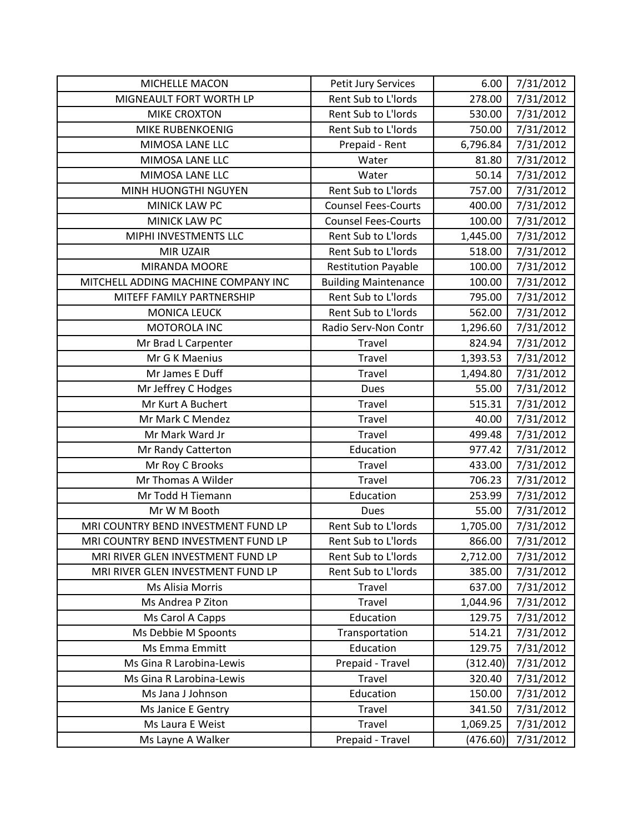| MICHELLE MACON                      | Petit Jury Services         | 6.00     | 7/31/2012 |
|-------------------------------------|-----------------------------|----------|-----------|
| MIGNEAULT FORT WORTH LP             | Rent Sub to L'Iords         | 278.00   | 7/31/2012 |
| <b>MIKE CROXTON</b>                 | Rent Sub to L'Iords         | 530.00   | 7/31/2012 |
| <b>MIKE RUBENKOENIG</b>             | Rent Sub to L'Iords         | 750.00   | 7/31/2012 |
| MIMOSA LANE LLC                     | Prepaid - Rent              | 6,796.84 | 7/31/2012 |
| MIMOSA LANE LLC                     | Water                       | 81.80    | 7/31/2012 |
| MIMOSA LANE LLC                     | Water                       | 50.14    | 7/31/2012 |
| MINH HUONGTHI NGUYEN                | Rent Sub to L'Iords         | 757.00   | 7/31/2012 |
| <b>MINICK LAW PC</b>                | <b>Counsel Fees-Courts</b>  | 400.00   | 7/31/2012 |
| MINICK LAW PC                       | <b>Counsel Fees-Courts</b>  | 100.00   | 7/31/2012 |
| MIPHI INVESTMENTS LLC               | Rent Sub to L'Iords         | 1,445.00 | 7/31/2012 |
| MIR UZAIR                           | Rent Sub to L'Iords         | 518.00   | 7/31/2012 |
| MIRANDA MOORE                       | <b>Restitution Payable</b>  | 100.00   | 7/31/2012 |
| MITCHELL ADDING MACHINE COMPANY INC | <b>Building Maintenance</b> | 100.00   | 7/31/2012 |
| MITEFF FAMILY PARTNERSHIP           | Rent Sub to L'Iords         | 795.00   | 7/31/2012 |
| <b>MONICA LEUCK</b>                 | Rent Sub to L'Iords         | 562.00   | 7/31/2012 |
| MOTOROLA INC                        | Radio Serv-Non Contr        | 1,296.60 | 7/31/2012 |
| Mr Brad L Carpenter                 | Travel                      | 824.94   | 7/31/2012 |
| Mr G K Maenius                      | Travel                      | 1,393.53 | 7/31/2012 |
| Mr James E Duff                     | <b>Travel</b>               | 1,494.80 | 7/31/2012 |
| Mr Jeffrey C Hodges                 | Dues                        | 55.00    | 7/31/2012 |
| Mr Kurt A Buchert                   | Travel                      | 515.31   | 7/31/2012 |
| Mr Mark C Mendez                    | Travel                      | 40.00    | 7/31/2012 |
| Mr Mark Ward Jr                     | <b>Travel</b>               | 499.48   | 7/31/2012 |
| Mr Randy Catterton                  | Education                   | 977.42   | 7/31/2012 |
| Mr Roy C Brooks                     | <b>Travel</b>               | 433.00   | 7/31/2012 |
| Mr Thomas A Wilder                  | Travel                      | 706.23   | 7/31/2012 |
| Mr Todd H Tiemann                   | Education                   | 253.99   | 7/31/2012 |
| Mr W M Booth                        | <b>Dues</b>                 | 55.00    | 7/31/2012 |
| MRI COUNTRY BEND INVESTMENT FUND LP | Rent Sub to L'Iords         | 1,705.00 | 7/31/2012 |
| MRI COUNTRY BEND INVESTMENT FUND LP | Rent Sub to L'Iords         | 866.00   | 7/31/2012 |
| MRI RIVER GLEN INVESTMENT FUND LP   | Rent Sub to L'Iords         | 2,712.00 | 7/31/2012 |
| MRI RIVER GLEN INVESTMENT FUND LP   | Rent Sub to L'Iords         | 385.00   | 7/31/2012 |
| Ms Alisia Morris                    | Travel                      | 637.00   | 7/31/2012 |
| Ms Andrea P Ziton                   | <b>Travel</b>               | 1,044.96 | 7/31/2012 |
| Ms Carol A Capps                    | Education                   | 129.75   | 7/31/2012 |
| Ms Debbie M Spoonts                 | Transportation              | 514.21   | 7/31/2012 |
| Ms Emma Emmitt                      | Education                   | 129.75   | 7/31/2012 |
| Ms Gina R Larobina-Lewis            | Prepaid - Travel            | (312.40) | 7/31/2012 |
| Ms Gina R Larobina-Lewis            | Travel                      | 320.40   | 7/31/2012 |
| Ms Jana J Johnson                   | Education                   | 150.00   | 7/31/2012 |
| Ms Janice E Gentry                  | <b>Travel</b>               | 341.50   | 7/31/2012 |
| Ms Laura E Weist                    | <b>Travel</b>               | 1,069.25 | 7/31/2012 |
| Ms Layne A Walker                   | Prepaid - Travel            | (476.60) | 7/31/2012 |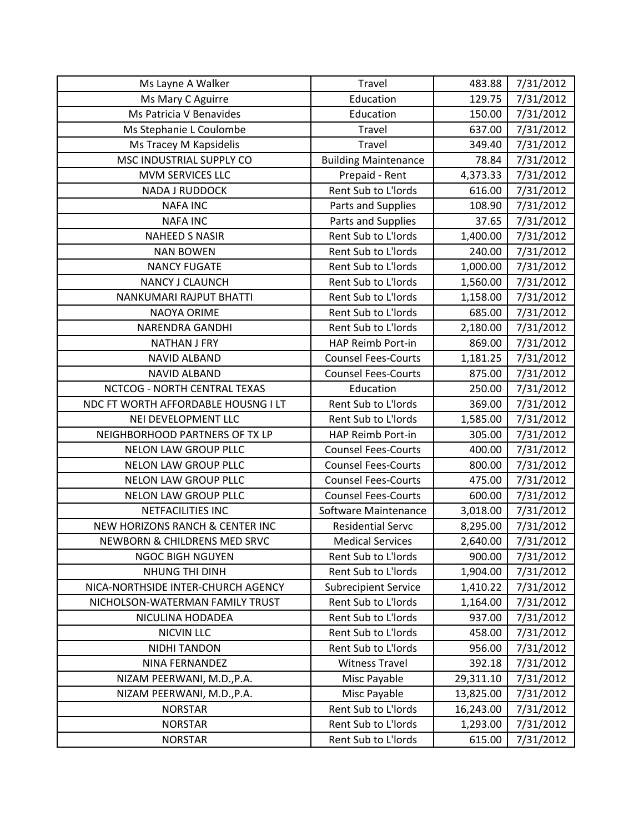| Ms Layne A Walker                   | Travel                      | 483.88    | 7/31/2012 |
|-------------------------------------|-----------------------------|-----------|-----------|
| Ms Mary C Aguirre                   | Education                   | 129.75    | 7/31/2012 |
| Ms Patricia V Benavides             | Education                   | 150.00    | 7/31/2012 |
| Ms Stephanie L Coulombe             | Travel                      | 637.00    | 7/31/2012 |
| Ms Tracey M Kapsidelis              | Travel                      | 349.40    | 7/31/2012 |
| MSC INDUSTRIAL SUPPLY CO            | <b>Building Maintenance</b> | 78.84     | 7/31/2012 |
| MVM SERVICES LLC                    | Prepaid - Rent              | 4,373.33  | 7/31/2012 |
| <b>NADA J RUDDOCK</b>               | Rent Sub to L'Iords         | 616.00    | 7/31/2012 |
| <b>NAFA INC</b>                     | Parts and Supplies          | 108.90    | 7/31/2012 |
| <b>NAFA INC</b>                     | Parts and Supplies          | 37.65     | 7/31/2012 |
| <b>NAHEED S NASIR</b>               | Rent Sub to L'Iords         | 1,400.00  | 7/31/2012 |
| <b>NAN BOWEN</b>                    | Rent Sub to L'Iords         | 240.00    | 7/31/2012 |
| <b>NANCY FUGATE</b>                 | Rent Sub to L'Iords         | 1,000.00  | 7/31/2012 |
| <b>NANCY J CLAUNCH</b>              | Rent Sub to L'Iords         | 1,560.00  | 7/31/2012 |
| NANKUMARI RAJPUT BHATTI             | Rent Sub to L'Iords         | 1,158.00  | 7/31/2012 |
| NAOYA ORIME                         | Rent Sub to L'Iords         | 685.00    | 7/31/2012 |
| <b>NARENDRA GANDHI</b>              | Rent Sub to L'Iords         | 2,180.00  | 7/31/2012 |
| <b>NATHAN J FRY</b>                 | HAP Reimb Port-in           | 869.00    | 7/31/2012 |
| <b>NAVID ALBAND</b>                 | <b>Counsel Fees-Courts</b>  | 1,181.25  | 7/31/2012 |
| <b>NAVID ALBAND</b>                 | <b>Counsel Fees-Courts</b>  | 875.00    | 7/31/2012 |
| NCTCOG - NORTH CENTRAL TEXAS        | Education                   | 250.00    | 7/31/2012 |
| NDC FT WORTH AFFORDABLE HOUSNG I LT | Rent Sub to L'Iords         | 369.00    | 7/31/2012 |
| NEI DEVELOPMENT LLC                 | Rent Sub to L'Iords         | 1,585.00  | 7/31/2012 |
| NEIGHBORHOOD PARTNERS OF TX LP      | HAP Reimb Port-in           | 305.00    | 7/31/2012 |
| <b>NELON LAW GROUP PLLC</b>         | <b>Counsel Fees-Courts</b>  | 400.00    | 7/31/2012 |
| NELON LAW GROUP PLLC                | <b>Counsel Fees-Courts</b>  | 800.00    | 7/31/2012 |
| <b>NELON LAW GROUP PLLC</b>         | <b>Counsel Fees-Courts</b>  | 475.00    | 7/31/2012 |
| <b>NELON LAW GROUP PLLC</b>         | <b>Counsel Fees-Courts</b>  | 600.00    | 7/31/2012 |
| <b>NETFACILITIES INC</b>            | Software Maintenance        | 3,018.00  | 7/31/2012 |
| NEW HORIZONS RANCH & CENTER INC     | <b>Residential Servc</b>    | 8,295.00  | 7/31/2012 |
| NEWBORN & CHILDRENS MED SRVC        | <b>Medical Services</b>     | 2,640.00  | 7/31/2012 |
| <b>NGOC BIGH NGUYEN</b>             | Rent Sub to L'Iords         | 900.00    | 7/31/2012 |
| NHUNG THI DINH                      | Rent Sub to L'Iords         | 1,904.00  | 7/31/2012 |
| NICA-NORTHSIDE INTER-CHURCH AGENCY  | <b>Subrecipient Service</b> | 1,410.22  | 7/31/2012 |
| NICHOLSON-WATERMAN FAMILY TRUST     | Rent Sub to L'Iords         | 1,164.00  | 7/31/2012 |
| NICULINA HODADEA                    | Rent Sub to L'Iords         | 937.00    | 7/31/2012 |
| <b>NICVIN LLC</b>                   | Rent Sub to L'Iords         | 458.00    | 7/31/2012 |
| NIDHI TANDON                        | Rent Sub to L'Iords         | 956.00    | 7/31/2012 |
| NINA FERNANDEZ                      | <b>Witness Travel</b>       | 392.18    | 7/31/2012 |
| NIZAM PEERWANI, M.D., P.A.          | Misc Payable                | 29,311.10 | 7/31/2012 |
| NIZAM PEERWANI, M.D., P.A.          | Misc Payable                | 13,825.00 | 7/31/2012 |
| <b>NORSTAR</b>                      | Rent Sub to L'Iords         | 16,243.00 | 7/31/2012 |
| <b>NORSTAR</b>                      | Rent Sub to L'Iords         | 1,293.00  | 7/31/2012 |
| <b>NORSTAR</b>                      | Rent Sub to L'Iords         | 615.00    | 7/31/2012 |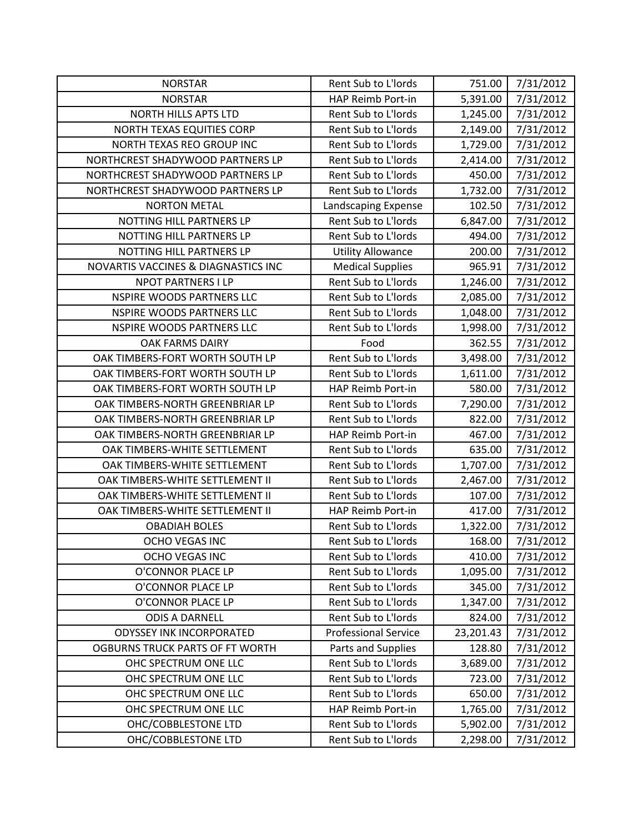| <b>NORSTAR</b>                         | Rent Sub to L'Iords         | 751.00    | 7/31/2012 |
|----------------------------------------|-----------------------------|-----------|-----------|
| <b>NORSTAR</b>                         | HAP Reimb Port-in           | 5,391.00  | 7/31/2012 |
| <b>NORTH HILLS APTS LTD</b>            | Rent Sub to L'Iords         | 1,245.00  | 7/31/2012 |
| NORTH TEXAS EQUITIES CORP              | Rent Sub to L'Iords         | 2,149.00  | 7/31/2012 |
| NORTH TEXAS REO GROUP INC              | Rent Sub to L'Iords         | 1,729.00  | 7/31/2012 |
| NORTHCREST SHADYWOOD PARTNERS LP       | Rent Sub to L'Iords         | 2,414.00  | 7/31/2012 |
| NORTHCREST SHADYWOOD PARTNERS LP       | Rent Sub to L'Iords         | 450.00    | 7/31/2012 |
| NORTHCREST SHADYWOOD PARTNERS LP       | Rent Sub to L'Iords         | 1,732.00  | 7/31/2012 |
| <b>NORTON METAL</b>                    | Landscaping Expense         | 102.50    | 7/31/2012 |
| NOTTING HILL PARTNERS LP               | Rent Sub to L'Iords         | 6,847.00  | 7/31/2012 |
| NOTTING HILL PARTNERS LP               | Rent Sub to L'Iords         | 494.00    | 7/31/2012 |
| NOTTING HILL PARTNERS LP               | <b>Utility Allowance</b>    | 200.00    | 7/31/2012 |
| NOVARTIS VACCINES & DIAGNASTICS INC    | <b>Medical Supplies</b>     | 965.91    | 7/31/2012 |
| <b>NPOT PARTNERS I LP</b>              | Rent Sub to L'Iords         | 1,246.00  | 7/31/2012 |
| <b>NSPIRE WOODS PARTNERS LLC</b>       | Rent Sub to L'Iords         | 2,085.00  | 7/31/2012 |
| <b>NSPIRE WOODS PARTNERS LLC</b>       | Rent Sub to L'Iords         | 1,048.00  | 7/31/2012 |
| NSPIRE WOODS PARTNERS LLC              | Rent Sub to L'Iords         | 1,998.00  | 7/31/2012 |
| OAK FARMS DAIRY                        | Food                        | 362.55    | 7/31/2012 |
| OAK TIMBERS-FORT WORTH SOUTH LP        | Rent Sub to L'Iords         | 3,498.00  | 7/31/2012 |
| OAK TIMBERS-FORT WORTH SOUTH LP        | Rent Sub to L'Iords         | 1,611.00  | 7/31/2012 |
| OAK TIMBERS-FORT WORTH SOUTH LP        | HAP Reimb Port-in           | 580.00    | 7/31/2012 |
| OAK TIMBERS-NORTH GREENBRIAR LP        | Rent Sub to L'Iords         | 7,290.00  | 7/31/2012 |
| OAK TIMBERS-NORTH GREENBRIAR LP        | Rent Sub to L'Iords         | 822.00    | 7/31/2012 |
| OAK TIMBERS-NORTH GREENBRIAR LP        | HAP Reimb Port-in           | 467.00    | 7/31/2012 |
| OAK TIMBERS-WHITE SETTLEMENT           | Rent Sub to L'Iords         | 635.00    | 7/31/2012 |
| OAK TIMBERS-WHITE SETTLEMENT           | Rent Sub to L'Iords         | 1,707.00  | 7/31/2012 |
| OAK TIMBERS-WHITE SETTLEMENT II        | Rent Sub to L'Iords         | 2,467.00  | 7/31/2012 |
| OAK TIMBERS-WHITE SETTLEMENT II        | Rent Sub to L'Iords         | 107.00    | 7/31/2012 |
| OAK TIMBERS-WHITE SETTLEMENT II        | HAP Reimb Port-in           | 417.00    | 7/31/2012 |
| <b>OBADIAH BOLES</b>                   | Rent Sub to L'Iords         | 1,322.00  | 7/31/2012 |
| OCHO VEGAS INC                         | Rent Sub to L'Iords         | 168.00    | 7/31/2012 |
| OCHO VEGAS INC                         | Rent Sub to L'Iords         | 410.00    | 7/31/2012 |
| O'CONNOR PLACE LP                      | Rent Sub to L'Iords         | 1,095.00  | 7/31/2012 |
| O'CONNOR PLACE LP                      | Rent Sub to L'Iords         | 345.00    | 7/31/2012 |
| O'CONNOR PLACE LP                      | Rent Sub to L'Iords         | 1,347.00  | 7/31/2012 |
| <b>ODIS A DARNELL</b>                  | Rent Sub to L'Iords         | 824.00    | 7/31/2012 |
| <b>ODYSSEY INK INCORPORATED</b>        | <b>Professional Service</b> | 23,201.43 | 7/31/2012 |
| <b>OGBURNS TRUCK PARTS OF FT WORTH</b> | Parts and Supplies          | 128.80    | 7/31/2012 |
| OHC SPECTRUM ONE LLC                   | Rent Sub to L'Iords         | 3,689.00  | 7/31/2012 |
| OHC SPECTRUM ONE LLC                   | Rent Sub to L'Iords         | 723.00    | 7/31/2012 |
| OHC SPECTRUM ONE LLC                   | Rent Sub to L'Iords         | 650.00    | 7/31/2012 |
| OHC SPECTRUM ONE LLC                   | HAP Reimb Port-in           | 1,765.00  | 7/31/2012 |
| OHC/COBBLESTONE LTD                    | Rent Sub to L'Iords         | 5,902.00  | 7/31/2012 |
| OHC/COBBLESTONE LTD                    | Rent Sub to L'Iords         | 2,298.00  | 7/31/2012 |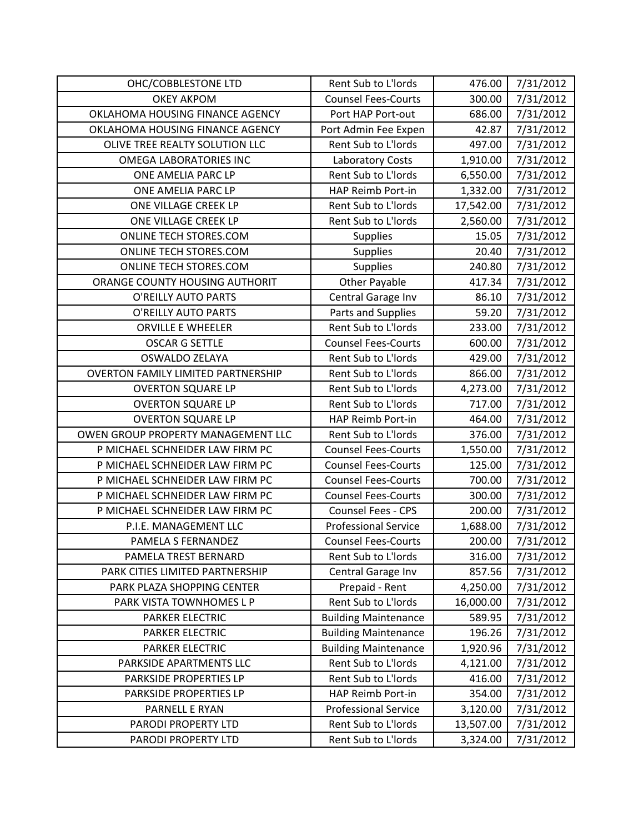| OHC/COBBLESTONE LTD                       | Rent Sub to L'Iords         | 476.00    | 7/31/2012 |
|-------------------------------------------|-----------------------------|-----------|-----------|
| <b>OKEY AKPOM</b>                         | <b>Counsel Fees-Courts</b>  | 300.00    | 7/31/2012 |
| OKLAHOMA HOUSING FINANCE AGENCY           | Port HAP Port-out           | 686.00    | 7/31/2012 |
| OKLAHOMA HOUSING FINANCE AGENCY           | Port Admin Fee Expen        | 42.87     | 7/31/2012 |
| OLIVE TREE REALTY SOLUTION LLC            | Rent Sub to L'Iords         | 497.00    | 7/31/2012 |
| <b>OMEGA LABORATORIES INC</b>             | <b>Laboratory Costs</b>     | 1,910.00  | 7/31/2012 |
| ONE AMELIA PARC LP                        | Rent Sub to L'Iords         | 6,550.00  | 7/31/2012 |
| ONE AMELIA PARC LP                        | HAP Reimb Port-in           | 1,332.00  | 7/31/2012 |
| ONE VILLAGE CREEK LP                      | Rent Sub to L'Iords         | 17,542.00 | 7/31/2012 |
| ONE VILLAGE CREEK LP                      | Rent Sub to L'Iords         | 2,560.00  | 7/31/2012 |
| ONLINE TECH STORES.COM                    | <b>Supplies</b>             | 15.05     | 7/31/2012 |
| ONLINE TECH STORES.COM                    | Supplies                    | 20.40     | 7/31/2012 |
| ONLINE TECH STORES.COM                    | Supplies                    | 240.80    | 7/31/2012 |
| ORANGE COUNTY HOUSING AUTHORIT            | <b>Other Payable</b>        | 417.34    | 7/31/2012 |
| O'REILLY AUTO PARTS                       | Central Garage Inv          | 86.10     | 7/31/2012 |
| <b>O'REILLY AUTO PARTS</b>                | Parts and Supplies          | 59.20     | 7/31/2012 |
| <b>ORVILLE E WHEELER</b>                  | Rent Sub to L'Iords         | 233.00    | 7/31/2012 |
| <b>OSCAR G SETTLE</b>                     | <b>Counsel Fees-Courts</b>  | 600.00    | 7/31/2012 |
| <b>OSWALDO ZELAYA</b>                     | Rent Sub to L'Iords         | 429.00    | 7/31/2012 |
| <b>OVERTON FAMILY LIMITED PARTNERSHIP</b> | Rent Sub to L'Iords         | 866.00    | 7/31/2012 |
| <b>OVERTON SQUARE LP</b>                  | Rent Sub to L'Iords         | 4,273.00  | 7/31/2012 |
| <b>OVERTON SQUARE LP</b>                  | Rent Sub to L'Iords         | 717.00    | 7/31/2012 |
| <b>OVERTON SQUARE LP</b>                  | HAP Reimb Port-in           | 464.00    | 7/31/2012 |
| OWEN GROUP PROPERTY MANAGEMENT LLC        | Rent Sub to L'Iords         | 376.00    | 7/31/2012 |
| P MICHAEL SCHNEIDER LAW FIRM PC           | <b>Counsel Fees-Courts</b>  | 1,550.00  | 7/31/2012 |
| P MICHAEL SCHNEIDER LAW FIRM PC           | <b>Counsel Fees-Courts</b>  | 125.00    | 7/31/2012 |
| P MICHAEL SCHNEIDER LAW FIRM PC           | <b>Counsel Fees-Courts</b>  | 700.00    | 7/31/2012 |
| P MICHAEL SCHNEIDER LAW FIRM PC           | <b>Counsel Fees-Courts</b>  | 300.00    | 7/31/2012 |
| P MICHAEL SCHNEIDER LAW FIRM PC           | <b>Counsel Fees - CPS</b>   | 200.00    | 7/31/2012 |
| P.I.E. MANAGEMENT LLC                     | <b>Professional Service</b> | 1,688.00  | 7/31/2012 |
| PAMELA S FERNANDEZ                        | <b>Counsel Fees-Courts</b>  | 200.00    | 7/31/2012 |
| PAMELA TREST BERNARD                      | Rent Sub to L'Iords         | 316.00    | 7/31/2012 |
| PARK CITIES LIMITED PARTNERSHIP           | Central Garage Inv          | 857.56    | 7/31/2012 |
| PARK PLAZA SHOPPING CENTER                | Prepaid - Rent              | 4,250.00  | 7/31/2012 |
| PARK VISTA TOWNHOMES L P                  | Rent Sub to L'Iords         | 16,000.00 | 7/31/2012 |
| PARKER ELECTRIC                           | <b>Building Maintenance</b> | 589.95    | 7/31/2012 |
| PARKER ELECTRIC                           | <b>Building Maintenance</b> | 196.26    | 7/31/2012 |
| <b>PARKER ELECTRIC</b>                    | <b>Building Maintenance</b> | 1,920.96  | 7/31/2012 |
| PARKSIDE APARTMENTS LLC                   | Rent Sub to L'Iords         | 4,121.00  | 7/31/2012 |
| PARKSIDE PROPERTIES LP                    | Rent Sub to L'Iords         | 416.00    | 7/31/2012 |
| PARKSIDE PROPERTIES LP                    | HAP Reimb Port-in           | 354.00    | 7/31/2012 |
| PARNELL E RYAN                            | <b>Professional Service</b> | 3,120.00  | 7/31/2012 |
| PARODI PROPERTY LTD                       | Rent Sub to L'Iords         | 13,507.00 | 7/31/2012 |
| PARODI PROPERTY LTD                       | Rent Sub to L'Iords         | 3,324.00  | 7/31/2012 |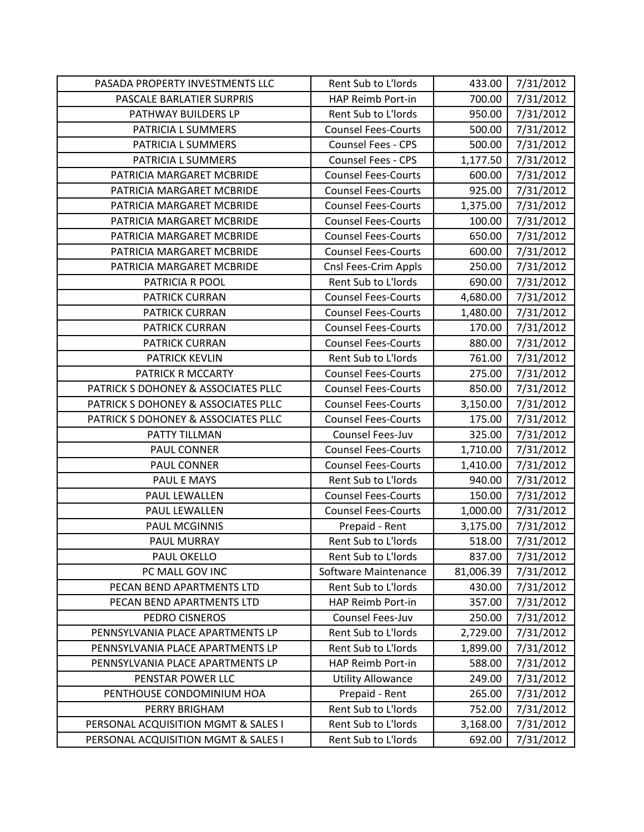| PASADA PROPERTY INVESTMENTS LLC     | Rent Sub to L'Iords        | 433.00    | 7/31/2012 |
|-------------------------------------|----------------------------|-----------|-----------|
| PASCALE BARLATIER SURPRIS           | HAP Reimb Port-in          | 700.00    | 7/31/2012 |
| PATHWAY BUILDERS LP                 | Rent Sub to L'Iords        | 950.00    | 7/31/2012 |
| PATRICIA L SUMMERS                  | <b>Counsel Fees-Courts</b> | 500.00    | 7/31/2012 |
| PATRICIA L SUMMERS                  | <b>Counsel Fees - CPS</b>  | 500.00    | 7/31/2012 |
| PATRICIA L SUMMERS                  | <b>Counsel Fees - CPS</b>  | 1,177.50  | 7/31/2012 |
| PATRICIA MARGARET MCBRIDE           | <b>Counsel Fees-Courts</b> | 600.00    | 7/31/2012 |
| PATRICIA MARGARET MCBRIDE           | <b>Counsel Fees-Courts</b> | 925.00    | 7/31/2012 |
| PATRICIA MARGARET MCBRIDE           | <b>Counsel Fees-Courts</b> | 1,375.00  | 7/31/2012 |
| PATRICIA MARGARET MCBRIDE           | <b>Counsel Fees-Courts</b> | 100.00    | 7/31/2012 |
| PATRICIA MARGARET MCBRIDE           | <b>Counsel Fees-Courts</b> | 650.00    | 7/31/2012 |
| PATRICIA MARGARET MCBRIDE           | <b>Counsel Fees-Courts</b> | 600.00    | 7/31/2012 |
| PATRICIA MARGARET MCBRIDE           | Cnsl Fees-Crim Appls       | 250.00    | 7/31/2012 |
| PATRICIA R POOL                     | Rent Sub to L'Iords        | 690.00    | 7/31/2012 |
| <b>PATRICK CURRAN</b>               | <b>Counsel Fees-Courts</b> | 4,680.00  | 7/31/2012 |
| PATRICK CURRAN                      | <b>Counsel Fees-Courts</b> | 1,480.00  | 7/31/2012 |
| <b>PATRICK CURRAN</b>               | <b>Counsel Fees-Courts</b> | 170.00    | 7/31/2012 |
| <b>PATRICK CURRAN</b>               | <b>Counsel Fees-Courts</b> | 880.00    | 7/31/2012 |
| <b>PATRICK KEVLIN</b>               | Rent Sub to L'Iords        | 761.00    | 7/31/2012 |
| PATRICK R MCCARTY                   | <b>Counsel Fees-Courts</b> | 275.00    | 7/31/2012 |
| PATRICK S DOHONEY & ASSOCIATES PLLC | <b>Counsel Fees-Courts</b> | 850.00    | 7/31/2012 |
| PATRICK S DOHONEY & ASSOCIATES PLLC | <b>Counsel Fees-Courts</b> | 3,150.00  | 7/31/2012 |
| PATRICK S DOHONEY & ASSOCIATES PLLC | <b>Counsel Fees-Courts</b> | 175.00    | 7/31/2012 |
| PATTY TILLMAN                       | Counsel Fees-Juv           | 325.00    | 7/31/2012 |
| PAUL CONNER                         | <b>Counsel Fees-Courts</b> | 1,710.00  | 7/31/2012 |
| PAUL CONNER                         | <b>Counsel Fees-Courts</b> | 1,410.00  | 7/31/2012 |
| PAUL E MAYS                         | Rent Sub to L'Iords        | 940.00    | 7/31/2012 |
| PAUL LEWALLEN                       | <b>Counsel Fees-Courts</b> | 150.00    | 7/31/2012 |
| PAUL LEWALLEN                       | <b>Counsel Fees-Courts</b> | 1,000.00  | 7/31/2012 |
| <b>PAUL MCGINNIS</b>                | Prepaid - Rent             | 3,175.00  | 7/31/2012 |
| <b>PAUL MURRAY</b>                  | Rent Sub to L'Iords        | 518.00    | 7/31/2012 |
| PAUL OKELLO                         | Rent Sub to L'Iords        | 837.00    | 7/31/2012 |
| PC MALL GOV INC                     | Software Maintenance       | 81,006.39 | 7/31/2012 |
| PECAN BEND APARTMENTS LTD           | Rent Sub to L'Iords        | 430.00    | 7/31/2012 |
| PECAN BEND APARTMENTS LTD           | HAP Reimb Port-in          | 357.00    | 7/31/2012 |
| PEDRO CISNEROS                      | Counsel Fees-Juv           | 250.00    | 7/31/2012 |
| PENNSYLVANIA PLACE APARTMENTS LP    | Rent Sub to L'Iords        | 2,729.00  | 7/31/2012 |
| PENNSYLVANIA PLACE APARTMENTS LP    | Rent Sub to L'Iords        | 1,899.00  | 7/31/2012 |
| PENNSYLVANIA PLACE APARTMENTS LP    | HAP Reimb Port-in          | 588.00    | 7/31/2012 |
| PENSTAR POWER LLC                   | <b>Utility Allowance</b>   | 249.00    | 7/31/2012 |
| PENTHOUSE CONDOMINIUM HOA           | Prepaid - Rent             | 265.00    | 7/31/2012 |
| PERRY BRIGHAM                       | Rent Sub to L'Iords        | 752.00    | 7/31/2012 |
| PERSONAL ACQUISITION MGMT & SALES I | Rent Sub to L'Iords        | 3,168.00  | 7/31/2012 |
| PERSONAL ACQUISITION MGMT & SALES I | Rent Sub to L'Iords        | 692.00    | 7/31/2012 |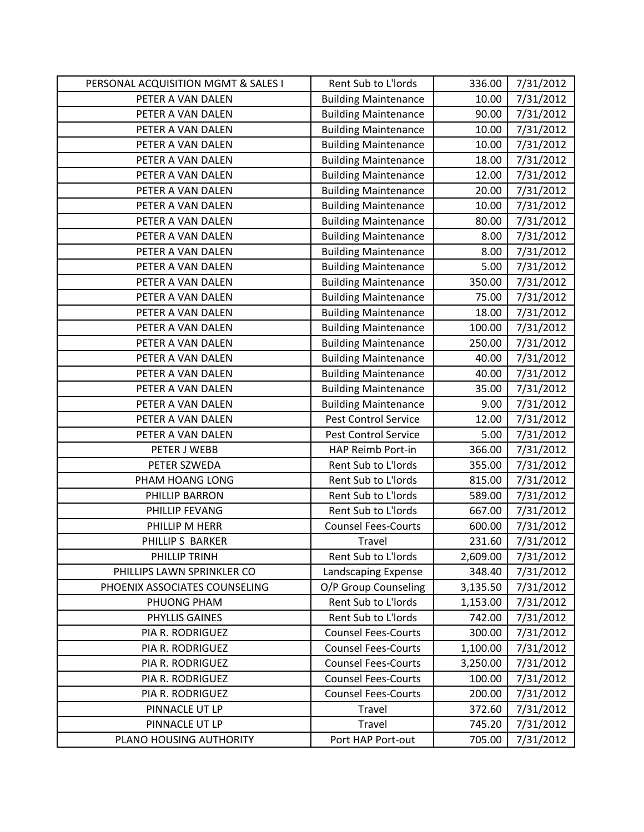| PERSONAL ACQUISITION MGMT & SALES I | Rent Sub to L'Iords         | 336.00   | 7/31/2012 |
|-------------------------------------|-----------------------------|----------|-----------|
| PETER A VAN DALEN                   | <b>Building Maintenance</b> | 10.00    | 7/31/2012 |
| PETER A VAN DALEN                   | <b>Building Maintenance</b> | 90.00    | 7/31/2012 |
| PETER A VAN DALEN                   | <b>Building Maintenance</b> | 10.00    | 7/31/2012 |
| PETER A VAN DALEN                   | <b>Building Maintenance</b> | 10.00    | 7/31/2012 |
| PETER A VAN DALEN                   | <b>Building Maintenance</b> | 18.00    | 7/31/2012 |
| PETER A VAN DALEN                   | <b>Building Maintenance</b> | 12.00    | 7/31/2012 |
| PETER A VAN DALEN                   | <b>Building Maintenance</b> | 20.00    | 7/31/2012 |
| PETER A VAN DALEN                   | <b>Building Maintenance</b> | 10.00    | 7/31/2012 |
| PETER A VAN DALEN                   | <b>Building Maintenance</b> | 80.00    | 7/31/2012 |
| PETER A VAN DALEN                   | <b>Building Maintenance</b> | 8.00     | 7/31/2012 |
| PETER A VAN DALEN                   | <b>Building Maintenance</b> | 8.00     | 7/31/2012 |
| PETER A VAN DALEN                   | <b>Building Maintenance</b> | 5.00     | 7/31/2012 |
| PETER A VAN DALEN                   | <b>Building Maintenance</b> | 350.00   | 7/31/2012 |
| PETER A VAN DALEN                   | <b>Building Maintenance</b> | 75.00    | 7/31/2012 |
| PETER A VAN DALEN                   | <b>Building Maintenance</b> | 18.00    | 7/31/2012 |
| PETER A VAN DALEN                   | <b>Building Maintenance</b> | 100.00   | 7/31/2012 |
| PETER A VAN DALEN                   | <b>Building Maintenance</b> | 250.00   | 7/31/2012 |
| PETER A VAN DALEN                   | <b>Building Maintenance</b> | 40.00    | 7/31/2012 |
| PETER A VAN DALEN                   | <b>Building Maintenance</b> | 40.00    | 7/31/2012 |
| PETER A VAN DALEN                   | <b>Building Maintenance</b> | 35.00    | 7/31/2012 |
| PETER A VAN DALEN                   | <b>Building Maintenance</b> | 9.00     | 7/31/2012 |
| PETER A VAN DALEN                   | <b>Pest Control Service</b> | 12.00    | 7/31/2012 |
| PETER A VAN DALEN                   | <b>Pest Control Service</b> | 5.00     | 7/31/2012 |
| PETER J WEBB                        | HAP Reimb Port-in           | 366.00   | 7/31/2012 |
| PETER SZWEDA                        | Rent Sub to L'Iords         | 355.00   | 7/31/2012 |
| PHAM HOANG LONG                     | Rent Sub to L'Iords         | 815.00   | 7/31/2012 |
| PHILLIP BARRON                      | Rent Sub to L'Iords         | 589.00   | 7/31/2012 |
| PHILLIP FEVANG                      | Rent Sub to L'Iords         | 667.00   | 7/31/2012 |
| PHILLIP M HERR                      | <b>Counsel Fees-Courts</b>  | 600.00   | 7/31/2012 |
| PHILLIP S BARKER                    | Travel                      | 231.60   | 7/31/2012 |
| PHILLIP TRINH                       | Rent Sub to L'Iords         | 2,609.00 | 7/31/2012 |
| PHILLIPS LAWN SPRINKLER CO          | Landscaping Expense         | 348.40   | 7/31/2012 |
| PHOENIX ASSOCIATES COUNSELING       | O/P Group Counseling        | 3,135.50 | 7/31/2012 |
| PHUONG PHAM                         | Rent Sub to L'Iords         | 1,153.00 | 7/31/2012 |
| PHYLLIS GAINES                      | Rent Sub to L'Iords         | 742.00   | 7/31/2012 |
| PIA R. RODRIGUEZ                    | <b>Counsel Fees-Courts</b>  | 300.00   | 7/31/2012 |
| PIA R. RODRIGUEZ                    | <b>Counsel Fees-Courts</b>  | 1,100.00 | 7/31/2012 |
| PIA R. RODRIGUEZ                    | <b>Counsel Fees-Courts</b>  | 3,250.00 | 7/31/2012 |
| PIA R. RODRIGUEZ                    | <b>Counsel Fees-Courts</b>  | 100.00   | 7/31/2012 |
| PIA R. RODRIGUEZ                    | <b>Counsel Fees-Courts</b>  | 200.00   | 7/31/2012 |
| PINNACLE UT LP                      | Travel                      | 372.60   | 7/31/2012 |
| PINNACLE UT LP                      | Travel                      | 745.20   | 7/31/2012 |
| PLANO HOUSING AUTHORITY             | Port HAP Port-out           | 705.00   | 7/31/2012 |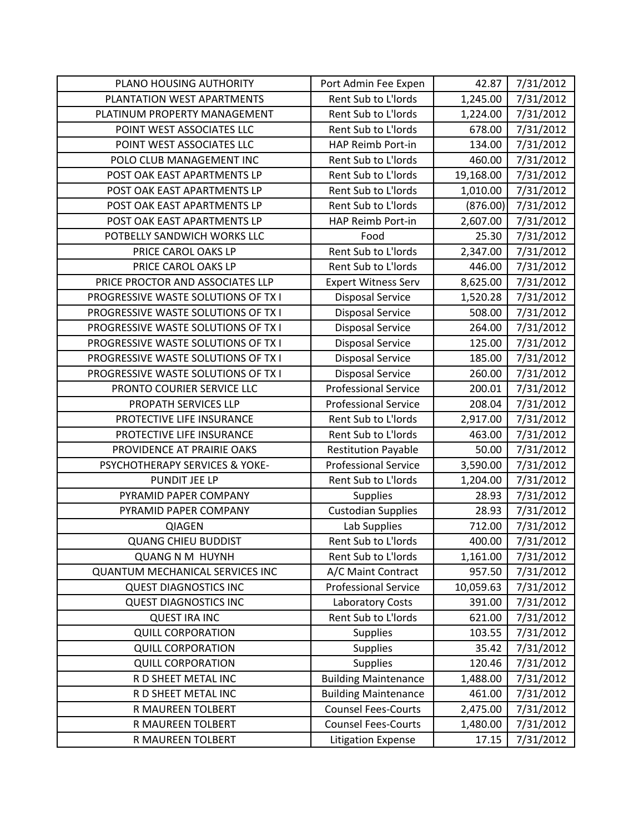| PLANO HOUSING AUTHORITY                | Port Admin Fee Expen        | 42.87     | 7/31/2012 |
|----------------------------------------|-----------------------------|-----------|-----------|
| PLANTATION WEST APARTMENTS             | Rent Sub to L'Iords         | 1,245.00  | 7/31/2012 |
| PLATINUM PROPERTY MANAGEMENT           | Rent Sub to L'Iords         | 1,224.00  | 7/31/2012 |
| POINT WEST ASSOCIATES LLC              | Rent Sub to L'Iords         | 678.00    | 7/31/2012 |
| POINT WEST ASSOCIATES LLC              | HAP Reimb Port-in           | 134.00    | 7/31/2012 |
| POLO CLUB MANAGEMENT INC               | Rent Sub to L'Iords         | 460.00    | 7/31/2012 |
| POST OAK EAST APARTMENTS LP            | Rent Sub to L'Iords         | 19,168.00 | 7/31/2012 |
| POST OAK EAST APARTMENTS LP            | Rent Sub to L'Iords         | 1,010.00  | 7/31/2012 |
| POST OAK EAST APARTMENTS LP            | Rent Sub to L'Iords         | (876.00)  | 7/31/2012 |
| POST OAK EAST APARTMENTS LP            | HAP Reimb Port-in           | 2,607.00  | 7/31/2012 |
| POTBELLY SANDWICH WORKS LLC            | Food                        | 25.30     | 7/31/2012 |
| PRICE CAROL OAKS LP                    | Rent Sub to L'Iords         | 2,347.00  | 7/31/2012 |
| PRICE CAROL OAKS LP                    | Rent Sub to L'Iords         | 446.00    | 7/31/2012 |
| PRICE PROCTOR AND ASSOCIATES LLP       | <b>Expert Witness Serv</b>  | 8,625.00  | 7/31/2012 |
| PROGRESSIVE WASTE SOLUTIONS OF TX I    | <b>Disposal Service</b>     | 1,520.28  | 7/31/2012 |
| PROGRESSIVE WASTE SOLUTIONS OF TX I    | <b>Disposal Service</b>     | 508.00    | 7/31/2012 |
| PROGRESSIVE WASTE SOLUTIONS OF TX I    | <b>Disposal Service</b>     | 264.00    | 7/31/2012 |
| PROGRESSIVE WASTE SOLUTIONS OF TX I    | <b>Disposal Service</b>     | 125.00    | 7/31/2012 |
| PROGRESSIVE WASTE SOLUTIONS OF TX I    | <b>Disposal Service</b>     | 185.00    | 7/31/2012 |
| PROGRESSIVE WASTE SOLUTIONS OF TX I    | <b>Disposal Service</b>     | 260.00    | 7/31/2012 |
| PRONTO COURIER SERVICE LLC             | <b>Professional Service</b> | 200.01    | 7/31/2012 |
| PROPATH SERVICES LLP                   | <b>Professional Service</b> | 208.04    | 7/31/2012 |
| PROTECTIVE LIFE INSURANCE              | Rent Sub to L'Iords         | 2,917.00  | 7/31/2012 |
| PROTECTIVE LIFE INSURANCE              | Rent Sub to L'Iords         | 463.00    | 7/31/2012 |
| PROVIDENCE AT PRAIRIE OAKS             | <b>Restitution Payable</b>  | 50.00     | 7/31/2012 |
| PSYCHOTHERAPY SERVICES & YOKE-         | <b>Professional Service</b> | 3,590.00  | 7/31/2012 |
| PUNDIT JEE LP                          | Rent Sub to L'Iords         | 1,204.00  | 7/31/2012 |
| PYRAMID PAPER COMPANY                  | <b>Supplies</b>             | 28.93     | 7/31/2012 |
| PYRAMID PAPER COMPANY                  | <b>Custodian Supplies</b>   | 28.93     | 7/31/2012 |
| <b>QIAGEN</b>                          | Lab Supplies                | 712.00    | 7/31/2012 |
| <b>QUANG CHIEU BUDDIST</b>             | Rent Sub to L'Iords         | 400.00    | 7/31/2012 |
| <b>QUANG N M HUYNH</b>                 | Rent Sub to L'Iords         | 1,161.00  | 7/31/2012 |
| <b>QUANTUM MECHANICAL SERVICES INC</b> | A/C Maint Contract          | 957.50    | 7/31/2012 |
| <b>QUEST DIAGNOSTICS INC</b>           | <b>Professional Service</b> | 10,059.63 | 7/31/2012 |
| <b>QUEST DIAGNOSTICS INC</b>           | Laboratory Costs            | 391.00    | 7/31/2012 |
| <b>QUEST IRA INC</b>                   | Rent Sub to L'Iords         | 621.00    | 7/31/2012 |
| <b>QUILL CORPORATION</b>               | <b>Supplies</b>             | 103.55    | 7/31/2012 |
| <b>QUILL CORPORATION</b>               | <b>Supplies</b>             | 35.42     | 7/31/2012 |
| <b>QUILL CORPORATION</b>               | <b>Supplies</b>             | 120.46    | 7/31/2012 |
| R D SHEET METAL INC                    | <b>Building Maintenance</b> | 1,488.00  | 7/31/2012 |
| R D SHEET METAL INC                    | <b>Building Maintenance</b> | 461.00    | 7/31/2012 |
| R MAUREEN TOLBERT                      | <b>Counsel Fees-Courts</b>  | 2,475.00  | 7/31/2012 |
| R MAUREEN TOLBERT                      | <b>Counsel Fees-Courts</b>  | 1,480.00  | 7/31/2012 |
| R MAUREEN TOLBERT                      | <b>Litigation Expense</b>   | 17.15     | 7/31/2012 |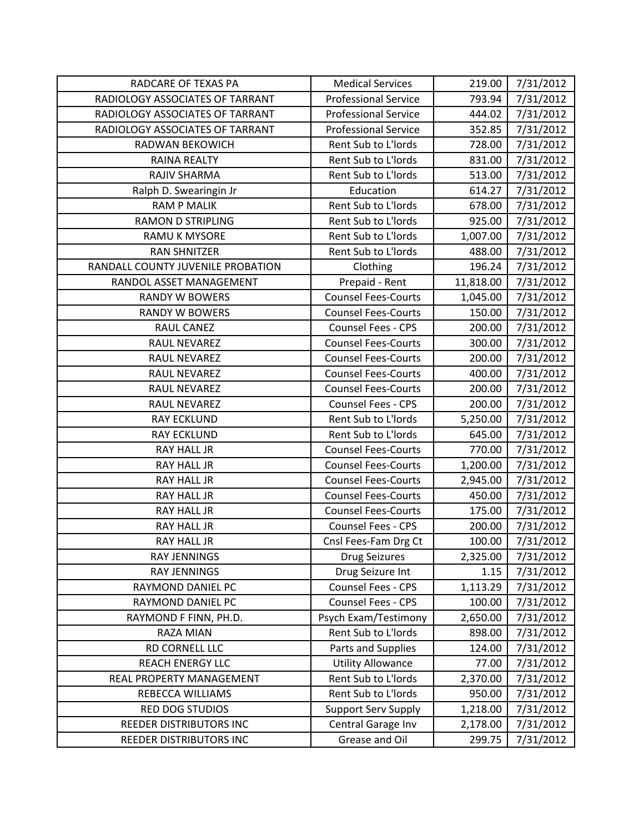| RADCARE OF TEXAS PA               | <b>Medical Services</b>     | 219.00    | 7/31/2012 |
|-----------------------------------|-----------------------------|-----------|-----------|
| RADIOLOGY ASSOCIATES OF TARRANT   | <b>Professional Service</b> | 793.94    | 7/31/2012 |
| RADIOLOGY ASSOCIATES OF TARRANT   | <b>Professional Service</b> | 444.02    | 7/31/2012 |
| RADIOLOGY ASSOCIATES OF TARRANT   | <b>Professional Service</b> | 352.85    | 7/31/2012 |
| RADWAN BEKOWICH                   | Rent Sub to L'Iords         | 728.00    | 7/31/2012 |
| RAINA REALTY                      | Rent Sub to L'Iords         | 831.00    | 7/31/2012 |
| RAJIV SHARMA                      | Rent Sub to L'Iords         | 513.00    | 7/31/2012 |
| Ralph D. Swearingin Jr            | Education                   | 614.27    | 7/31/2012 |
| <b>RAM P MALIK</b>                | Rent Sub to L'Iords         | 678.00    | 7/31/2012 |
| <b>RAMON D STRIPLING</b>          | Rent Sub to L'Iords         | 925.00    | 7/31/2012 |
| RAMU K MYSORE                     | Rent Sub to L'Iords         | 1,007.00  | 7/31/2012 |
| <b>RAN SHNITZER</b>               | Rent Sub to L'Iords         | 488.00    | 7/31/2012 |
| RANDALL COUNTY JUVENILE PROBATION | Clothing                    | 196.24    | 7/31/2012 |
| RANDOL ASSET MANAGEMENT           | Prepaid - Rent              | 11,818.00 | 7/31/2012 |
| <b>RANDY W BOWERS</b>             | <b>Counsel Fees-Courts</b>  | 1,045.00  | 7/31/2012 |
| <b>RANDY W BOWERS</b>             | <b>Counsel Fees-Courts</b>  | 150.00    | 7/31/2012 |
| <b>RAUL CANEZ</b>                 | <b>Counsel Fees - CPS</b>   | 200.00    | 7/31/2012 |
| RAUL NEVAREZ                      | <b>Counsel Fees-Courts</b>  | 300.00    | 7/31/2012 |
| RAUL NEVAREZ                      | <b>Counsel Fees-Courts</b>  | 200.00    | 7/31/2012 |
| RAUL NEVAREZ                      | <b>Counsel Fees-Courts</b>  | 400.00    | 7/31/2012 |
| RAUL NEVAREZ                      | <b>Counsel Fees-Courts</b>  | 200.00    | 7/31/2012 |
| RAUL NEVAREZ                      | Counsel Fees - CPS          | 200.00    | 7/31/2012 |
| <b>RAY ECKLUND</b>                | Rent Sub to L'Iords         | 5,250.00  | 7/31/2012 |
| <b>RAY ECKLUND</b>                | Rent Sub to L'Iords         | 645.00    | 7/31/2012 |
| RAY HALL JR                       | <b>Counsel Fees-Courts</b>  | 770.00    | 7/31/2012 |
| <b>RAY HALL JR</b>                | <b>Counsel Fees-Courts</b>  | 1,200.00  | 7/31/2012 |
| <b>RAY HALL JR</b>                | <b>Counsel Fees-Courts</b>  | 2,945.00  | 7/31/2012 |
| <b>RAY HALL JR</b>                | <b>Counsel Fees-Courts</b>  | 450.00    | 7/31/2012 |
| RAY HALL JR                       | <b>Counsel Fees-Courts</b>  | 175.00    | 7/31/2012 |
| <b>RAY HALL JR</b>                | Counsel Fees - CPS          | 200.00    | 7/31/2012 |
| RAY HALL JR                       | Cnsl Fees-Fam Drg Ct        | 100.00    | 7/31/2012 |
| <b>RAY JENNINGS</b>               | <b>Drug Seizures</b>        | 2,325.00  | 7/31/2012 |
| RAY JENNINGS                      | Drug Seizure Int            | 1.15      | 7/31/2012 |
| RAYMOND DANIEL PC                 | Counsel Fees - CPS          | 1,113.29  | 7/31/2012 |
| RAYMOND DANIEL PC                 | Counsel Fees - CPS          | 100.00    | 7/31/2012 |
| RAYMOND F FINN, PH.D.             | Psych Exam/Testimony        | 2,650.00  | 7/31/2012 |
| RAZA MIAN                         | Rent Sub to L'Iords         | 898.00    | 7/31/2012 |
| RD CORNELL LLC                    | Parts and Supplies          | 124.00    | 7/31/2012 |
| <b>REACH ENERGY LLC</b>           | <b>Utility Allowance</b>    | 77.00     | 7/31/2012 |
| REAL PROPERTY MANAGEMENT          | Rent Sub to L'Iords         | 2,370.00  | 7/31/2012 |
| REBECCA WILLIAMS                  | Rent Sub to L'Iords         | 950.00    | 7/31/2012 |
| <b>RED DOG STUDIOS</b>            | <b>Support Serv Supply</b>  | 1,218.00  | 7/31/2012 |
| REEDER DISTRIBUTORS INC           | Central Garage Inv          | 2,178.00  | 7/31/2012 |
| REEDER DISTRIBUTORS INC           | Grease and Oil              | 299.75    | 7/31/2012 |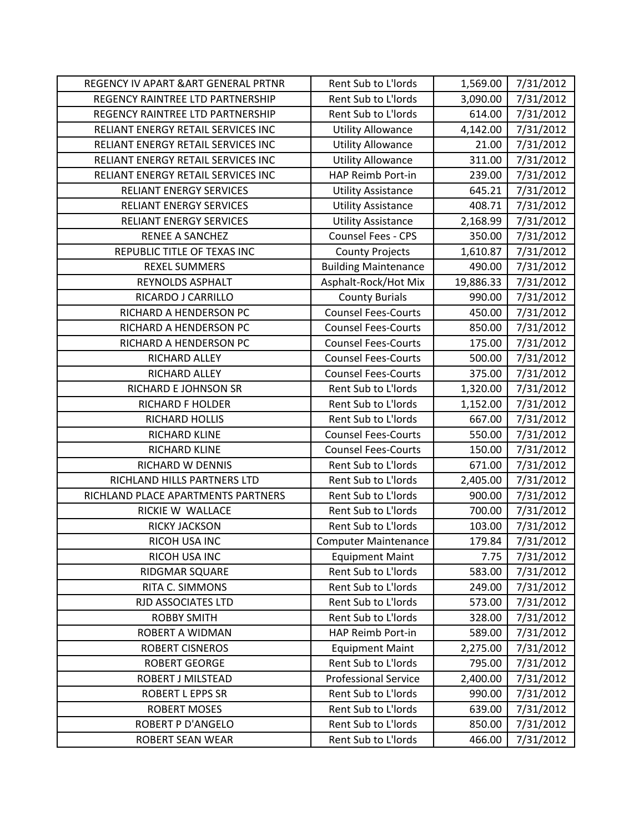| REGENCY IV APART & ART GENERAL PRTNR | Rent Sub to L'Iords         | 1,569.00  | 7/31/2012 |
|--------------------------------------|-----------------------------|-----------|-----------|
| REGENCY RAINTREE LTD PARTNERSHIP     | Rent Sub to L'Iords         | 3,090.00  | 7/31/2012 |
| REGENCY RAINTREE LTD PARTNERSHIP     | Rent Sub to L'Iords         | 614.00    | 7/31/2012 |
| RELIANT ENERGY RETAIL SERVICES INC   | <b>Utility Allowance</b>    | 4,142.00  | 7/31/2012 |
| RELIANT ENERGY RETAIL SERVICES INC   | <b>Utility Allowance</b>    | 21.00     | 7/31/2012 |
| RELIANT ENERGY RETAIL SERVICES INC   | <b>Utility Allowance</b>    | 311.00    | 7/31/2012 |
| RELIANT ENERGY RETAIL SERVICES INC   | HAP Reimb Port-in           | 239.00    | 7/31/2012 |
| <b>RELIANT ENERGY SERVICES</b>       | <b>Utility Assistance</b>   | 645.21    | 7/31/2012 |
| <b>RELIANT ENERGY SERVICES</b>       | <b>Utility Assistance</b>   | 408.71    | 7/31/2012 |
| <b>RELIANT ENERGY SERVICES</b>       | <b>Utility Assistance</b>   | 2,168.99  | 7/31/2012 |
| <b>RENEE A SANCHEZ</b>               | Counsel Fees - CPS          | 350.00    | 7/31/2012 |
| REPUBLIC TITLE OF TEXAS INC          | <b>County Projects</b>      | 1,610.87  | 7/31/2012 |
| <b>REXEL SUMMERS</b>                 | <b>Building Maintenance</b> | 490.00    | 7/31/2012 |
| REYNOLDS ASPHALT                     | Asphalt-Rock/Hot Mix        | 19,886.33 | 7/31/2012 |
| RICARDO J CARRILLO                   | <b>County Burials</b>       | 990.00    | 7/31/2012 |
| RICHARD A HENDERSON PC               | <b>Counsel Fees-Courts</b>  | 450.00    | 7/31/2012 |
| RICHARD A HENDERSON PC               | <b>Counsel Fees-Courts</b>  | 850.00    | 7/31/2012 |
| RICHARD A HENDERSON PC               | <b>Counsel Fees-Courts</b>  | 175.00    | 7/31/2012 |
| RICHARD ALLEY                        | <b>Counsel Fees-Courts</b>  | 500.00    | 7/31/2012 |
| RICHARD ALLEY                        | <b>Counsel Fees-Courts</b>  | 375.00    | 7/31/2012 |
| RICHARD E JOHNSON SR                 | Rent Sub to L'Iords         | 1,320.00  | 7/31/2012 |
| <b>RICHARD F HOLDER</b>              | Rent Sub to L'Iords         | 1,152.00  | 7/31/2012 |
| RICHARD HOLLIS                       | Rent Sub to L'Iords         | 667.00    | 7/31/2012 |
| RICHARD KLINE                        | <b>Counsel Fees-Courts</b>  | 550.00    | 7/31/2012 |
| RICHARD KLINE                        | <b>Counsel Fees-Courts</b>  | 150.00    | 7/31/2012 |
| RICHARD W DENNIS                     | Rent Sub to L'Iords         | 671.00    | 7/31/2012 |
| RICHLAND HILLS PARTNERS LTD          | Rent Sub to L'Iords         | 2,405.00  | 7/31/2012 |
| RICHLAND PLACE APARTMENTS PARTNERS   | Rent Sub to L'Iords         | 900.00    | 7/31/2012 |
| RICKIE W WALLACE                     | Rent Sub to L'Iords         | 700.00    | 7/31/2012 |
| RICKY JACKSON                        | Rent Sub to L'Iords         | 103.00    | 7/31/2012 |
| RICOH USA INC                        | <b>Computer Maintenance</b> | 179.84    | 7/31/2012 |
| RICOH USA INC                        | <b>Equipment Maint</b>      | 7.75      | 7/31/2012 |
| RIDGMAR SQUARE                       | Rent Sub to L'Iords         | 583.00    | 7/31/2012 |
| RITA C. SIMMONS                      | Rent Sub to L'Iords         | 249.00    | 7/31/2012 |
| RJD ASSOCIATES LTD                   | Rent Sub to L'Iords         | 573.00    | 7/31/2012 |
| <b>ROBBY SMITH</b>                   | Rent Sub to L'Iords         | 328.00    | 7/31/2012 |
| ROBERT A WIDMAN                      | HAP Reimb Port-in           | 589.00    | 7/31/2012 |
| <b>ROBERT CISNEROS</b>               | <b>Equipment Maint</b>      | 2,275.00  | 7/31/2012 |
| <b>ROBERT GEORGE</b>                 | Rent Sub to L'Iords         | 795.00    | 7/31/2012 |
| ROBERT J MILSTEAD                    | <b>Professional Service</b> | 2,400.00  | 7/31/2012 |
| <b>ROBERT L EPPS SR</b>              | Rent Sub to L'Iords         | 990.00    | 7/31/2012 |
| <b>ROBERT MOSES</b>                  | Rent Sub to L'Iords         | 639.00    | 7/31/2012 |
| ROBERT P D'ANGELO                    | Rent Sub to L'Iords         | 850.00    | 7/31/2012 |
| ROBERT SEAN WEAR                     | Rent Sub to L'Iords         | 466.00    | 7/31/2012 |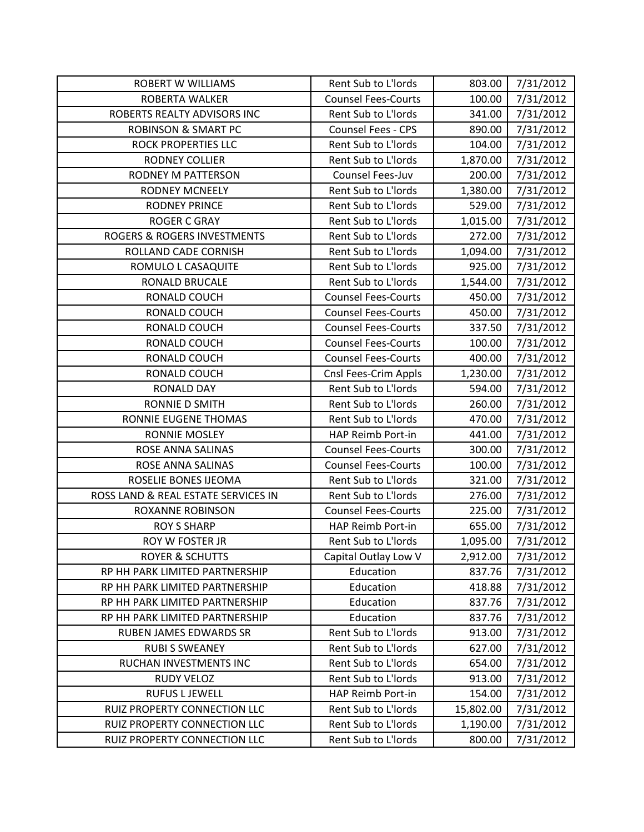| <b>ROBERT W WILLIAMS</b>               | Rent Sub to L'Iords        | 803.00    | 7/31/2012 |
|----------------------------------------|----------------------------|-----------|-----------|
| ROBERTA WALKER                         | <b>Counsel Fees-Courts</b> | 100.00    | 7/31/2012 |
| ROBERTS REALTY ADVISORS INC            | Rent Sub to L'Iords        | 341.00    | 7/31/2012 |
| <b>ROBINSON &amp; SMART PC</b>         | Counsel Fees - CPS         | 890.00    | 7/31/2012 |
| <b>ROCK PROPERTIES LLC</b>             | Rent Sub to L'Iords        | 104.00    | 7/31/2012 |
| <b>RODNEY COLLIER</b>                  | Rent Sub to L'Iords        | 1,870.00  | 7/31/2012 |
| RODNEY M PATTERSON                     | Counsel Fees-Juv           | 200.00    | 7/31/2012 |
| <b>RODNEY MCNEELY</b>                  | Rent Sub to L'Iords        | 1,380.00  | 7/31/2012 |
| <b>RODNEY PRINCE</b>                   | Rent Sub to L'Iords        | 529.00    | 7/31/2012 |
| <b>ROGER C GRAY</b>                    | Rent Sub to L'Iords        | 1,015.00  | 7/31/2012 |
| <b>ROGERS &amp; ROGERS INVESTMENTS</b> | Rent Sub to L'Iords        | 272.00    | 7/31/2012 |
| ROLLAND CADE CORNISH                   | Rent Sub to L'Iords        | 1,094.00  | 7/31/2012 |
| ROMULO L CASAQUITE                     | Rent Sub to L'Iords        | 925.00    | 7/31/2012 |
| RONALD BRUCALE                         | Rent Sub to L'Iords        | 1,544.00  | 7/31/2012 |
| RONALD COUCH                           | <b>Counsel Fees-Courts</b> | 450.00    | 7/31/2012 |
| RONALD COUCH                           | <b>Counsel Fees-Courts</b> | 450.00    | 7/31/2012 |
| RONALD COUCH                           | <b>Counsel Fees-Courts</b> | 337.50    | 7/31/2012 |
| RONALD COUCH                           | <b>Counsel Fees-Courts</b> | 100.00    | 7/31/2012 |
| RONALD COUCH                           | <b>Counsel Fees-Courts</b> | 400.00    | 7/31/2012 |
| RONALD COUCH                           | Cnsl Fees-Crim Appls       | 1,230.00  | 7/31/2012 |
| <b>RONALD DAY</b>                      | Rent Sub to L'Iords        | 594.00    | 7/31/2012 |
| RONNIE D SMITH                         | Rent Sub to L'Iords        | 260.00    | 7/31/2012 |
| RONNIE EUGENE THOMAS                   | Rent Sub to L'Iords        | 470.00    | 7/31/2012 |
| <b>RONNIE MOSLEY</b>                   | HAP Reimb Port-in          | 441.00    | 7/31/2012 |
| ROSE ANNA SALINAS                      | <b>Counsel Fees-Courts</b> | 300.00    | 7/31/2012 |
| ROSE ANNA SALINAS                      | <b>Counsel Fees-Courts</b> | 100.00    | 7/31/2012 |
| ROSELIE BONES IJEOMA                   | Rent Sub to L'Iords        | 321.00    | 7/31/2012 |
| ROSS LAND & REAL ESTATE SERVICES IN    | Rent Sub to L'Iords        | 276.00    | 7/31/2012 |
| <b>ROXANNE ROBINSON</b>                | <b>Counsel Fees-Courts</b> | 225.00    | 7/31/2012 |
| <b>ROY S SHARP</b>                     | HAP Reimb Port-in          | 655.00    | 7/31/2012 |
| ROY W FOSTER JR                        | Rent Sub to L'Iords        | 1,095.00  | 7/31/2012 |
| <b>ROYER &amp; SCHUTTS</b>             | Capital Outlay Low V       | 2,912.00  | 7/31/2012 |
| RP HH PARK LIMITED PARTNERSHIP         | Education                  | 837.76    | 7/31/2012 |
| RP HH PARK LIMITED PARTNERSHIP         | Education                  | 418.88    | 7/31/2012 |
| RP HH PARK LIMITED PARTNERSHIP         | Education                  | 837.76    | 7/31/2012 |
| RP HH PARK LIMITED PARTNERSHIP         | Education                  | 837.76    | 7/31/2012 |
| RUBEN JAMES EDWARDS SR                 | Rent Sub to L'Iords        | 913.00    | 7/31/2012 |
| <b>RUBI S SWEANEY</b>                  | Rent Sub to L'Iords        | 627.00    | 7/31/2012 |
| RUCHAN INVESTMENTS INC                 | Rent Sub to L'Iords        | 654.00    | 7/31/2012 |
| <b>RUDY VELOZ</b>                      | Rent Sub to L'Iords        | 913.00    | 7/31/2012 |
| <b>RUFUS L JEWELL</b>                  | HAP Reimb Port-in          | 154.00    | 7/31/2012 |
| RUIZ PROPERTY CONNECTION LLC           | Rent Sub to L'Iords        | 15,802.00 | 7/31/2012 |
| RUIZ PROPERTY CONNECTION LLC           | Rent Sub to L'Iords        | 1,190.00  | 7/31/2012 |
| RUIZ PROPERTY CONNECTION LLC           | Rent Sub to L'Iords        | 800.00    | 7/31/2012 |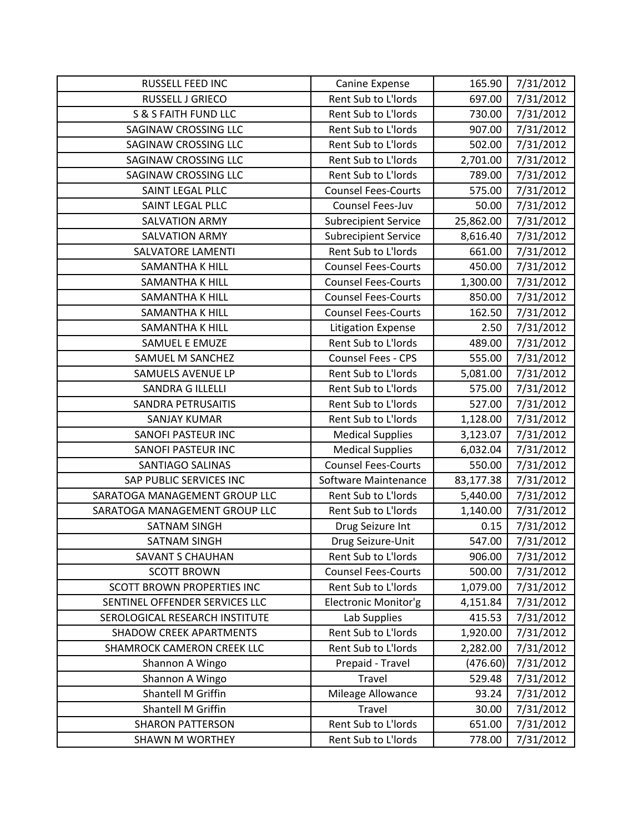| <b>RUSSELL FEED INC</b>           | Canine Expense              | 165.90    | 7/31/2012 |
|-----------------------------------|-----------------------------|-----------|-----------|
| RUSSELL J GRIECO                  | Rent Sub to L'Iords         | 697.00    | 7/31/2012 |
| S & S FAITH FUND LLC              | Rent Sub to L'Iords         | 730.00    | 7/31/2012 |
| <b>SAGINAW CROSSING LLC</b>       | Rent Sub to L'Iords         | 907.00    | 7/31/2012 |
| SAGINAW CROSSING LLC              | Rent Sub to L'Iords         | 502.00    | 7/31/2012 |
| <b>SAGINAW CROSSING LLC</b>       | Rent Sub to L'Iords         | 2,701.00  | 7/31/2012 |
| SAGINAW CROSSING LLC              | Rent Sub to L'Iords         | 789.00    | 7/31/2012 |
| SAINT LEGAL PLLC                  | <b>Counsel Fees-Courts</b>  | 575.00    | 7/31/2012 |
| SAINT LEGAL PLLC                  | Counsel Fees-Juv            | 50.00     | 7/31/2012 |
| <b>SALVATION ARMY</b>             | <b>Subrecipient Service</b> | 25,862.00 | 7/31/2012 |
| <b>SALVATION ARMY</b>             | <b>Subrecipient Service</b> | 8,616.40  | 7/31/2012 |
| SALVATORE LAMENTI                 | Rent Sub to L'Iords         | 661.00    | 7/31/2012 |
| <b>SAMANTHA K HILL</b>            | <b>Counsel Fees-Courts</b>  | 450.00    | 7/31/2012 |
| <b>SAMANTHA K HILL</b>            | <b>Counsel Fees-Courts</b>  | 1,300.00  | 7/31/2012 |
| <b>SAMANTHA K HILL</b>            | <b>Counsel Fees-Courts</b>  | 850.00    | 7/31/2012 |
| <b>SAMANTHA K HILL</b>            | <b>Counsel Fees-Courts</b>  | 162.50    | 7/31/2012 |
| <b>SAMANTHA K HILL</b>            | <b>Litigation Expense</b>   | 2.50      | 7/31/2012 |
| SAMUEL E EMUZE                    | Rent Sub to L'Iords         | 489.00    | 7/31/2012 |
| SAMUEL M SANCHEZ                  | <b>Counsel Fees - CPS</b>   | 555.00    | 7/31/2012 |
| SAMUELS AVENUE LP                 | Rent Sub to L'Iords         | 5,081.00  | 7/31/2012 |
| <b>SANDRA G ILLELLI</b>           | Rent Sub to L'Iords         | 575.00    | 7/31/2012 |
| <b>SANDRA PETRUSAITIS</b>         | Rent Sub to L'Iords         | 527.00    | 7/31/2012 |
| <b>SANJAY KUMAR</b>               | Rent Sub to L'Iords         | 1,128.00  | 7/31/2012 |
| <b>SANOFI PASTEUR INC</b>         | <b>Medical Supplies</b>     | 3,123.07  | 7/31/2012 |
| SANOFI PASTEUR INC                | <b>Medical Supplies</b>     | 6,032.04  | 7/31/2012 |
| <b>SANTIAGO SALINAS</b>           | <b>Counsel Fees-Courts</b>  | 550.00    | 7/31/2012 |
| SAP PUBLIC SERVICES INC           | Software Maintenance        | 83,177.38 | 7/31/2012 |
| SARATOGA MANAGEMENT GROUP LLC     | Rent Sub to L'Iords         | 5,440.00  | 7/31/2012 |
| SARATOGA MANAGEMENT GROUP LLC     | Rent Sub to L'Iords         | 1,140.00  | 7/31/2012 |
| <b>SATNAM SINGH</b>               | Drug Seizure Int            | 0.15      | 7/31/2012 |
| SATNAM SINGH                      | Drug Seizure-Unit           | 547.00    | 7/31/2012 |
| SAVANT S CHAUHAN                  | Rent Sub to L'Iords         | 906.00    | 7/31/2012 |
| <b>SCOTT BROWN</b>                | <b>Counsel Fees-Courts</b>  | 500.00    | 7/31/2012 |
| <b>SCOTT BROWN PROPERTIES INC</b> | Rent Sub to L'Iords         | 1,079.00  | 7/31/2012 |
| SENTINEL OFFENDER SERVICES LLC    | Electronic Monitor'g        | 4,151.84  | 7/31/2012 |
| SEROLOGICAL RESEARCH INSTITUTE    | Lab Supplies                | 415.53    | 7/31/2012 |
| <b>SHADOW CREEK APARTMENTS</b>    | Rent Sub to L'Iords         | 1,920.00  | 7/31/2012 |
| SHAMROCK CAMERON CREEK LLC        | Rent Sub to L'Iords         | 2,282.00  | 7/31/2012 |
| Shannon A Wingo                   | Prepaid - Travel            | (476.60)  | 7/31/2012 |
| Shannon A Wingo                   | Travel                      | 529.48    | 7/31/2012 |
| Shantell M Griffin                | Mileage Allowance           | 93.24     | 7/31/2012 |
| Shantell M Griffin                | Travel                      | 30.00     | 7/31/2012 |
| <b>SHARON PATTERSON</b>           | Rent Sub to L'Iords         | 651.00    | 7/31/2012 |
| <b>SHAWN M WORTHEY</b>            | Rent Sub to L'Iords         | 778.00    | 7/31/2012 |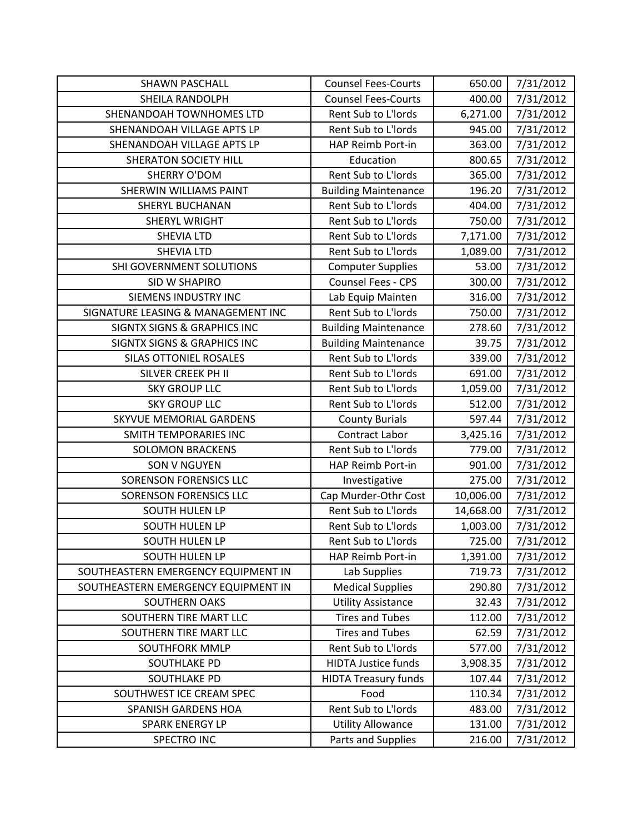| <b>SHAWN PASCHALL</b>                  | <b>Counsel Fees-Courts</b>  | 650.00    | 7/31/2012 |
|----------------------------------------|-----------------------------|-----------|-----------|
| SHEILA RANDOLPH                        | <b>Counsel Fees-Courts</b>  | 400.00    | 7/31/2012 |
| SHENANDOAH TOWNHOMES LTD               | Rent Sub to L'Iords         | 6,271.00  | 7/31/2012 |
| SHENANDOAH VILLAGE APTS LP             | Rent Sub to L'Iords         | 945.00    | 7/31/2012 |
| SHENANDOAH VILLAGE APTS LP             | HAP Reimb Port-in           | 363.00    | 7/31/2012 |
| <b>SHERATON SOCIETY HILL</b>           | Education                   | 800.65    | 7/31/2012 |
| <b>SHERRY O'DOM</b>                    | Rent Sub to L'Iords         | 365.00    | 7/31/2012 |
| SHERWIN WILLIAMS PAINT                 | <b>Building Maintenance</b> | 196.20    | 7/31/2012 |
| <b>SHERYL BUCHANAN</b>                 | Rent Sub to L'Iords         | 404.00    | 7/31/2012 |
| <b>SHERYL WRIGHT</b>                   | Rent Sub to L'Iords         | 750.00    | 7/31/2012 |
| <b>SHEVIA LTD</b>                      | Rent Sub to L'Iords         | 7,171.00  | 7/31/2012 |
| <b>SHEVIA LTD</b>                      | Rent Sub to L'Iords         | 1,089.00  | 7/31/2012 |
| SHI GOVERNMENT SOLUTIONS               | <b>Computer Supplies</b>    | 53.00     | 7/31/2012 |
| SID W SHAPIRO                          | Counsel Fees - CPS          | 300.00    | 7/31/2012 |
| <b>SIEMENS INDUSTRY INC</b>            | Lab Equip Mainten           | 316.00    | 7/31/2012 |
| SIGNATURE LEASING & MANAGEMENT INC     | Rent Sub to L'Iords         | 750.00    | 7/31/2012 |
| <b>SIGNTX SIGNS &amp; GRAPHICS INC</b> | <b>Building Maintenance</b> | 278.60    | 7/31/2012 |
| <b>SIGNTX SIGNS &amp; GRAPHICS INC</b> | <b>Building Maintenance</b> | 39.75     | 7/31/2012 |
| <b>SILAS OTTONIEL ROSALES</b>          | Rent Sub to L'Iords         | 339.00    | 7/31/2012 |
| SILVER CREEK PH II                     | Rent Sub to L'Iords         | 691.00    | 7/31/2012 |
| <b>SKY GROUP LLC</b>                   | Rent Sub to L'Iords         | 1,059.00  | 7/31/2012 |
| <b>SKY GROUP LLC</b>                   | Rent Sub to L'Iords         | 512.00    | 7/31/2012 |
| <b>SKYVUE MEMORIAL GARDENS</b>         | <b>County Burials</b>       | 597.44    | 7/31/2012 |
| SMITH TEMPORARIES INC                  | Contract Labor              | 3,425.16  | 7/31/2012 |
| <b>SOLOMON BRACKENS</b>                | Rent Sub to L'Iords         | 779.00    | 7/31/2012 |
| <b>SON V NGUYEN</b>                    | <b>HAP Reimb Port-in</b>    | 901.00    | 7/31/2012 |
| <b>SORENSON FORENSICS LLC</b>          | Investigative               | 275.00    | 7/31/2012 |
| <b>SORENSON FORENSICS LLC</b>          | Cap Murder-Othr Cost        | 10,006.00 | 7/31/2012 |
| SOUTH HULEN LP                         | Rent Sub to L'Iords         | 14,668.00 | 7/31/2012 |
| SOUTH HULEN LP                         | Rent Sub to L'Iords         | 1,003.00  | 7/31/2012 |
| <b>SOUTH HULEN LP</b>                  | Rent Sub to L'Iords         | 725.00    | 7/31/2012 |
| SOUTH HULEN LP                         | HAP Reimb Port-in           | 1,391.00  | 7/31/2012 |
| SOUTHEASTERN EMERGENCY EQUIPMENT IN    | Lab Supplies                | 719.73    | 7/31/2012 |
| SOUTHEASTERN EMERGENCY EQUIPMENT IN    | <b>Medical Supplies</b>     | 290.80    | 7/31/2012 |
| <b>SOUTHERN OAKS</b>                   | <b>Utility Assistance</b>   | 32.43     | 7/31/2012 |
| SOUTHERN TIRE MART LLC                 | <b>Tires and Tubes</b>      | 112.00    | 7/31/2012 |
| SOUTHERN TIRE MART LLC                 | <b>Tires and Tubes</b>      | 62.59     | 7/31/2012 |
| SOUTHFORK MMLP                         | Rent Sub to L'Iords         | 577.00    | 7/31/2012 |
| SOUTHLAKE PD                           | <b>HIDTA Justice funds</b>  | 3,908.35  | 7/31/2012 |
| SOUTHLAKE PD                           | <b>HIDTA Treasury funds</b> | 107.44    | 7/31/2012 |
| SOUTHWEST ICE CREAM SPEC               | Food                        | 110.34    | 7/31/2012 |
| SPANISH GARDENS HOA                    | Rent Sub to L'Iords         | 483.00    | 7/31/2012 |
| <b>SPARK ENERGY LP</b>                 | <b>Utility Allowance</b>    | 131.00    | 7/31/2012 |
| SPECTRO INC                            | Parts and Supplies          | 216.00    | 7/31/2012 |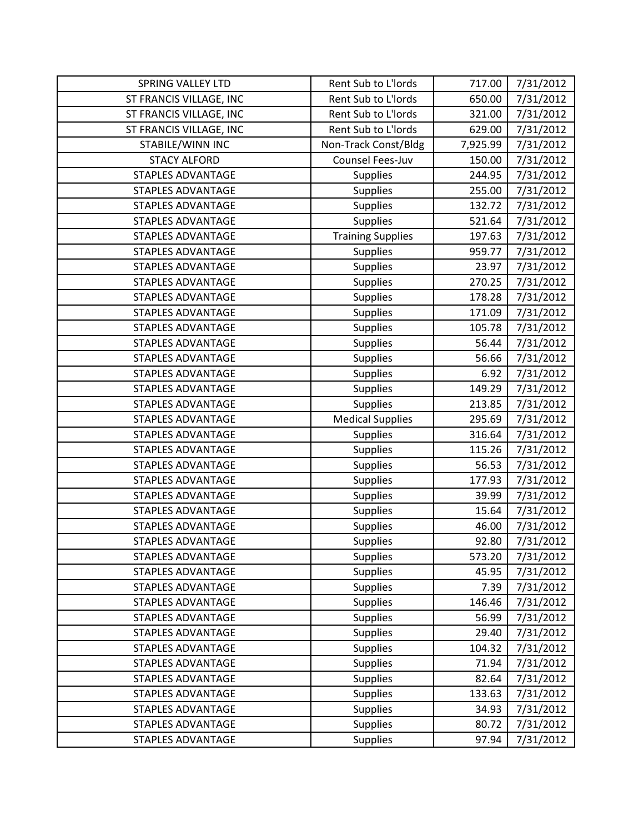| <b>SPRING VALLEY LTD</b> | Rent Sub to L'Iords      | 717.00   | 7/31/2012 |
|--------------------------|--------------------------|----------|-----------|
| ST FRANCIS VILLAGE, INC  | Rent Sub to L'Iords      | 650.00   | 7/31/2012 |
| ST FRANCIS VILLAGE, INC  | Rent Sub to L'Iords      | 321.00   | 7/31/2012 |
| ST FRANCIS VILLAGE, INC  | Rent Sub to L'Iords      | 629.00   | 7/31/2012 |
| STABILE/WINN INC         | Non-Track Const/Bldg     | 7,925.99 | 7/31/2012 |
| <b>STACY ALFORD</b>      | Counsel Fees-Juv         | 150.00   | 7/31/2012 |
| <b>STAPLES ADVANTAGE</b> | <b>Supplies</b>          | 244.95   | 7/31/2012 |
| <b>STAPLES ADVANTAGE</b> | <b>Supplies</b>          | 255.00   | 7/31/2012 |
| <b>STAPLES ADVANTAGE</b> | <b>Supplies</b>          | 132.72   | 7/31/2012 |
| <b>STAPLES ADVANTAGE</b> | <b>Supplies</b>          | 521.64   | 7/31/2012 |
| <b>STAPLES ADVANTAGE</b> | <b>Training Supplies</b> | 197.63   | 7/31/2012 |
| <b>STAPLES ADVANTAGE</b> | <b>Supplies</b>          | 959.77   | 7/31/2012 |
| <b>STAPLES ADVANTAGE</b> | <b>Supplies</b>          | 23.97    | 7/31/2012 |
| <b>STAPLES ADVANTAGE</b> | <b>Supplies</b>          | 270.25   | 7/31/2012 |
| <b>STAPLES ADVANTAGE</b> | <b>Supplies</b>          | 178.28   | 7/31/2012 |
| <b>STAPLES ADVANTAGE</b> | <b>Supplies</b>          | 171.09   | 7/31/2012 |
| <b>STAPLES ADVANTAGE</b> | <b>Supplies</b>          | 105.78   | 7/31/2012 |
| <b>STAPLES ADVANTAGE</b> | <b>Supplies</b>          | 56.44    | 7/31/2012 |
| <b>STAPLES ADVANTAGE</b> | <b>Supplies</b>          | 56.66    | 7/31/2012 |
| <b>STAPLES ADVANTAGE</b> | <b>Supplies</b>          | 6.92     | 7/31/2012 |
| <b>STAPLES ADVANTAGE</b> | <b>Supplies</b>          | 149.29   | 7/31/2012 |
| <b>STAPLES ADVANTAGE</b> | <b>Supplies</b>          | 213.85   | 7/31/2012 |
| <b>STAPLES ADVANTAGE</b> | <b>Medical Supplies</b>  | 295.69   | 7/31/2012 |
| <b>STAPLES ADVANTAGE</b> | <b>Supplies</b>          | 316.64   | 7/31/2012 |
| <b>STAPLES ADVANTAGE</b> | <b>Supplies</b>          | 115.26   | 7/31/2012 |
| <b>STAPLES ADVANTAGE</b> | <b>Supplies</b>          | 56.53    | 7/31/2012 |
| <b>STAPLES ADVANTAGE</b> | <b>Supplies</b>          | 177.93   | 7/31/2012 |
| <b>STAPLES ADVANTAGE</b> | <b>Supplies</b>          | 39.99    | 7/31/2012 |
| <b>STAPLES ADVANTAGE</b> | <b>Supplies</b>          | 15.64    | 7/31/2012 |
| <b>STAPLES ADVANTAGE</b> | <b>Supplies</b>          | 46.00    | 7/31/2012 |
| <b>STAPLES ADVANTAGE</b> | Supplies                 | 92.80    | 7/31/2012 |
| <b>STAPLES ADVANTAGE</b> | <b>Supplies</b>          | 573.20   | 7/31/2012 |
| <b>STAPLES ADVANTAGE</b> | <b>Supplies</b>          | 45.95    | 7/31/2012 |
| <b>STAPLES ADVANTAGE</b> | <b>Supplies</b>          | 7.39     | 7/31/2012 |
| <b>STAPLES ADVANTAGE</b> | <b>Supplies</b>          | 146.46   | 7/31/2012 |
| <b>STAPLES ADVANTAGE</b> | <b>Supplies</b>          | 56.99    | 7/31/2012 |
| <b>STAPLES ADVANTAGE</b> | <b>Supplies</b>          | 29.40    | 7/31/2012 |
| <b>STAPLES ADVANTAGE</b> | <b>Supplies</b>          | 104.32   | 7/31/2012 |
| <b>STAPLES ADVANTAGE</b> | <b>Supplies</b>          | 71.94    | 7/31/2012 |
| <b>STAPLES ADVANTAGE</b> | <b>Supplies</b>          | 82.64    | 7/31/2012 |
| <b>STAPLES ADVANTAGE</b> | <b>Supplies</b>          | 133.63   | 7/31/2012 |
| <b>STAPLES ADVANTAGE</b> | <b>Supplies</b>          | 34.93    | 7/31/2012 |
| <b>STAPLES ADVANTAGE</b> | <b>Supplies</b>          | 80.72    | 7/31/2012 |
| <b>STAPLES ADVANTAGE</b> | <b>Supplies</b>          | 97.94    | 7/31/2012 |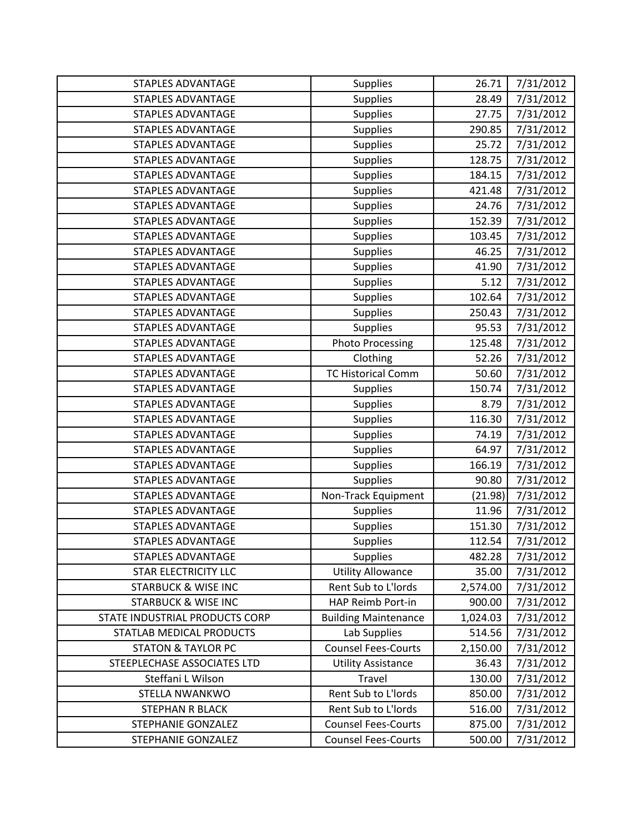| <b>STAPLES ADVANTAGE</b>       | <b>Supplies</b>             | 26.71    | 7/31/2012 |
|--------------------------------|-----------------------------|----------|-----------|
| <b>STAPLES ADVANTAGE</b>       | <b>Supplies</b>             | 28.49    | 7/31/2012 |
| <b>STAPLES ADVANTAGE</b>       | <b>Supplies</b>             | 27.75    | 7/31/2012 |
| <b>STAPLES ADVANTAGE</b>       | <b>Supplies</b>             | 290.85   | 7/31/2012 |
| <b>STAPLES ADVANTAGE</b>       | <b>Supplies</b>             | 25.72    | 7/31/2012 |
| <b>STAPLES ADVANTAGE</b>       | <b>Supplies</b>             | 128.75   | 7/31/2012 |
| <b>STAPLES ADVANTAGE</b>       | <b>Supplies</b>             | 184.15   | 7/31/2012 |
| <b>STAPLES ADVANTAGE</b>       | <b>Supplies</b>             | 421.48   | 7/31/2012 |
| <b>STAPLES ADVANTAGE</b>       | <b>Supplies</b>             | 24.76    | 7/31/2012 |
| <b>STAPLES ADVANTAGE</b>       | <b>Supplies</b>             | 152.39   | 7/31/2012 |
| <b>STAPLES ADVANTAGE</b>       | <b>Supplies</b>             | 103.45   | 7/31/2012 |
| <b>STAPLES ADVANTAGE</b>       | <b>Supplies</b>             | 46.25    | 7/31/2012 |
| <b>STAPLES ADVANTAGE</b>       | <b>Supplies</b>             | 41.90    | 7/31/2012 |
| <b>STAPLES ADVANTAGE</b>       | <b>Supplies</b>             | 5.12     | 7/31/2012 |
| <b>STAPLES ADVANTAGE</b>       | <b>Supplies</b>             | 102.64   | 7/31/2012 |
| <b>STAPLES ADVANTAGE</b>       | <b>Supplies</b>             | 250.43   | 7/31/2012 |
| <b>STAPLES ADVANTAGE</b>       | <b>Supplies</b>             | 95.53    | 7/31/2012 |
| <b>STAPLES ADVANTAGE</b>       | <b>Photo Processing</b>     | 125.48   | 7/31/2012 |
| <b>STAPLES ADVANTAGE</b>       | Clothing                    | 52.26    | 7/31/2012 |
| <b>STAPLES ADVANTAGE</b>       | <b>TC Historical Comm</b>   | 50.60    | 7/31/2012 |
| <b>STAPLES ADVANTAGE</b>       | <b>Supplies</b>             | 150.74   | 7/31/2012 |
| <b>STAPLES ADVANTAGE</b>       | <b>Supplies</b>             | 8.79     | 7/31/2012 |
| <b>STAPLES ADVANTAGE</b>       | <b>Supplies</b>             | 116.30   | 7/31/2012 |
| <b>STAPLES ADVANTAGE</b>       | <b>Supplies</b>             | 74.19    | 7/31/2012 |
| <b>STAPLES ADVANTAGE</b>       | <b>Supplies</b>             | 64.97    | 7/31/2012 |
| <b>STAPLES ADVANTAGE</b>       | <b>Supplies</b>             | 166.19   | 7/31/2012 |
| <b>STAPLES ADVANTAGE</b>       | <b>Supplies</b>             | 90.80    | 7/31/2012 |
| <b>STAPLES ADVANTAGE</b>       | Non-Track Equipment         | (21.98)  | 7/31/2012 |
| <b>STAPLES ADVANTAGE</b>       | <b>Supplies</b>             | 11.96    | 7/31/2012 |
| <b>STAPLES ADVANTAGE</b>       | <b>Supplies</b>             | 151.30   | 7/31/2012 |
| <b>STAPLES ADVANTAGE</b>       | <b>Supplies</b>             | 112.54   | 7/31/2012 |
| <b>STAPLES ADVANTAGE</b>       | <b>Supplies</b>             | 482.28   | 7/31/2012 |
| <b>STAR ELECTRICITY LLC</b>    | <b>Utility Allowance</b>    | 35.00    | 7/31/2012 |
| <b>STARBUCK &amp; WISE INC</b> | Rent Sub to L'Iords         | 2,574.00 | 7/31/2012 |
| <b>STARBUCK &amp; WISE INC</b> | HAP Reimb Port-in           | 900.00   | 7/31/2012 |
| STATE INDUSTRIAL PRODUCTS CORP | <b>Building Maintenance</b> | 1,024.03 | 7/31/2012 |
| STATLAB MEDICAL PRODUCTS       | Lab Supplies                | 514.56   | 7/31/2012 |
| <b>STATON &amp; TAYLOR PC</b>  | <b>Counsel Fees-Courts</b>  | 2,150.00 | 7/31/2012 |
| STEEPLECHASE ASSOCIATES LTD    | <b>Utility Assistance</b>   | 36.43    | 7/31/2012 |
| Steffani L Wilson              | Travel                      | 130.00   | 7/31/2012 |
| STELLA NWANKWO                 | Rent Sub to L'Iords         | 850.00   | 7/31/2012 |
| STEPHAN R BLACK                | Rent Sub to L'Iords         | 516.00   | 7/31/2012 |
| <b>STEPHANIE GONZALEZ</b>      | <b>Counsel Fees-Courts</b>  | 875.00   | 7/31/2012 |
| STEPHANIE GONZALEZ             | <b>Counsel Fees-Courts</b>  | 500.00   | 7/31/2012 |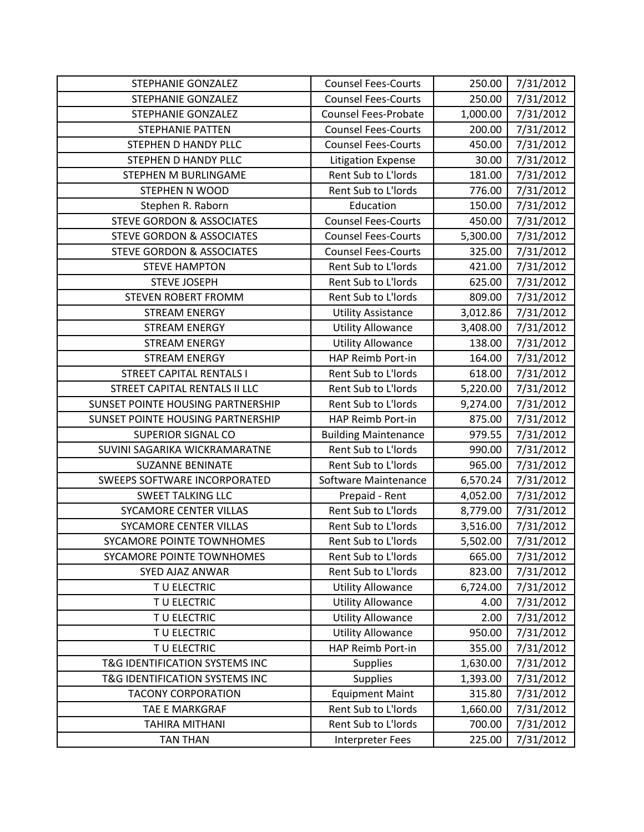| STEPHANIE GONZALEZ                   | <b>Counsel Fees-Courts</b>  | 250.00   | 7/31/2012 |
|--------------------------------------|-----------------------------|----------|-----------|
| <b>STEPHANIE GONZALEZ</b>            | <b>Counsel Fees-Courts</b>  | 250.00   | 7/31/2012 |
| STEPHANIE GONZALEZ                   | <b>Counsel Fees-Probate</b> | 1,000.00 | 7/31/2012 |
| <b>STEPHANIE PATTEN</b>              | <b>Counsel Fees-Courts</b>  | 200.00   | 7/31/2012 |
| STEPHEN D HANDY PLLC                 | <b>Counsel Fees-Courts</b>  | 450.00   | 7/31/2012 |
| STEPHEN D HANDY PLLC                 | <b>Litigation Expense</b>   | 30.00    | 7/31/2012 |
| STEPHEN M BURLINGAME                 | Rent Sub to L'Iords         | 181.00   | 7/31/2012 |
| <b>STEPHEN N WOOD</b>                | Rent Sub to L'Iords         | 776.00   | 7/31/2012 |
| Stephen R. Raborn                    | Education                   | 150.00   | 7/31/2012 |
| <b>STEVE GORDON &amp; ASSOCIATES</b> | <b>Counsel Fees-Courts</b>  | 450.00   | 7/31/2012 |
| <b>STEVE GORDON &amp; ASSOCIATES</b> | <b>Counsel Fees-Courts</b>  | 5,300.00 | 7/31/2012 |
| <b>STEVE GORDON &amp; ASSOCIATES</b> | <b>Counsel Fees-Courts</b>  | 325.00   | 7/31/2012 |
| <b>STEVE HAMPTON</b>                 | Rent Sub to L'Iords         | 421.00   | 7/31/2012 |
| <b>STEVE JOSEPH</b>                  | Rent Sub to L'Iords         | 625.00   | 7/31/2012 |
| <b>STEVEN ROBERT FROMM</b>           | Rent Sub to L'Iords         | 809.00   | 7/31/2012 |
| <b>STREAM ENERGY</b>                 | <b>Utility Assistance</b>   | 3,012.86 | 7/31/2012 |
| <b>STREAM ENERGY</b>                 | <b>Utility Allowance</b>    | 3,408.00 | 7/31/2012 |
| <b>STREAM ENERGY</b>                 | <b>Utility Allowance</b>    | 138.00   | 7/31/2012 |
| <b>STREAM ENERGY</b>                 | HAP Reimb Port-in           | 164.00   | 7/31/2012 |
| <b>STREET CAPITAL RENTALS I</b>      | Rent Sub to L'Iords         | 618.00   | 7/31/2012 |
| STREET CAPITAL RENTALS II LLC        | Rent Sub to L'Iords         | 5,220.00 | 7/31/2012 |
| SUNSET POINTE HOUSING PARTNERSHIP    | Rent Sub to L'Iords         | 9,274.00 | 7/31/2012 |
| SUNSET POINTE HOUSING PARTNERSHIP    | HAP Reimb Port-in           | 875.00   | 7/31/2012 |
| <b>SUPERIOR SIGNAL CO</b>            | <b>Building Maintenance</b> | 979.55   | 7/31/2012 |
| SUVINI SAGARIKA WICKRAMARATNE        | Rent Sub to L'Iords         | 990.00   | 7/31/2012 |
| <b>SUZANNE BENINATE</b>              | Rent Sub to L'Iords         | 965.00   | 7/31/2012 |
| SWEEPS SOFTWARE INCORPORATED         | Software Maintenance        | 6,570.24 | 7/31/2012 |
| <b>SWEET TALKING LLC</b>             | Prepaid - Rent              | 4,052.00 | 7/31/2012 |
| SYCAMORE CENTER VILLAS               | Rent Sub to L'Iords         | 8,779.00 | 7/31/2012 |
| SYCAMORE CENTER VILLAS               | Rent Sub to L'Iords         | 3,516.00 | 7/31/2012 |
| SYCAMORE POINTE TOWNHOMES            | Rent Sub to L'Iords         | 5,502.00 | 7/31/2012 |
| SYCAMORE POINTE TOWNHOMES            | Rent Sub to L'Iords         | 665.00   | 7/31/2012 |
| <b>SYED AJAZ ANWAR</b>               | Rent Sub to L'Iords         | 823.00   | 7/31/2012 |
| TU ELECTRIC                          | <b>Utility Allowance</b>    | 6,724.00 | 7/31/2012 |
| TU ELECTRIC                          | <b>Utility Allowance</b>    | 4.00     | 7/31/2012 |
| TU ELECTRIC                          | <b>Utility Allowance</b>    | 2.00     | 7/31/2012 |
| TU ELECTRIC                          | <b>Utility Allowance</b>    | 950.00   | 7/31/2012 |
| TU ELECTRIC                          | HAP Reimb Port-in           | 355.00   | 7/31/2012 |
| T&G IDENTIFICATION SYSTEMS INC       | <b>Supplies</b>             | 1,630.00 | 7/31/2012 |
| T&G IDENTIFICATION SYSTEMS INC       | <b>Supplies</b>             | 1,393.00 | 7/31/2012 |
| <b>TACONY CORPORATION</b>            | <b>Equipment Maint</b>      | 315.80   | 7/31/2012 |
| TAE E MARKGRAF                       | Rent Sub to L'Iords         | 1,660.00 | 7/31/2012 |
| <b>TAHIRA MITHANI</b>                | Rent Sub to L'Iords         | 700.00   | 7/31/2012 |
| <b>TAN THAN</b>                      | Interpreter Fees            | 225.00   | 7/31/2012 |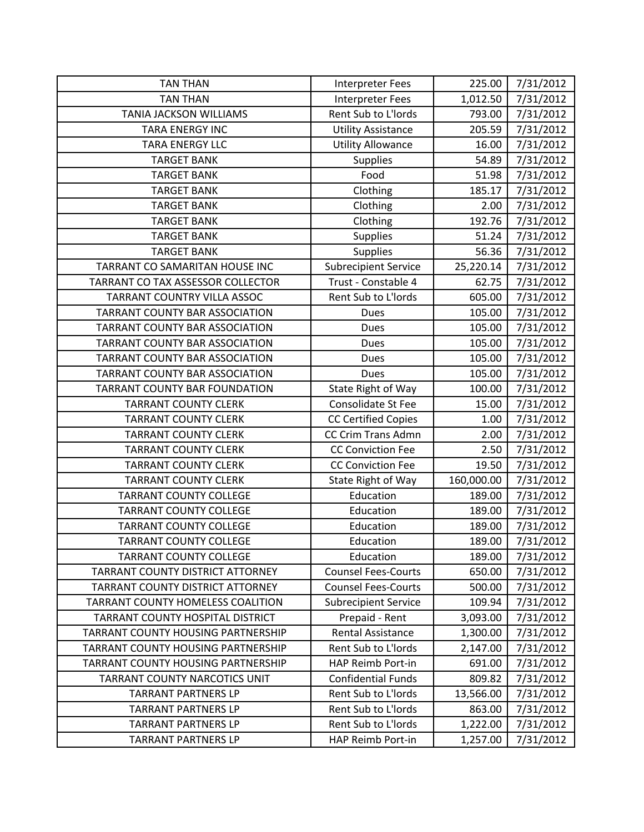| <b>TAN THAN</b>                           | <b>Interpreter Fees</b>     | 225.00     | 7/31/2012 |
|-------------------------------------------|-----------------------------|------------|-----------|
| <b>TAN THAN</b>                           | <b>Interpreter Fees</b>     | 1,012.50   | 7/31/2012 |
| <b>TANIA JACKSON WILLIAMS</b>             | Rent Sub to L'Iords         | 793.00     | 7/31/2012 |
| <b>TARA ENERGY INC</b>                    | <b>Utility Assistance</b>   | 205.59     | 7/31/2012 |
| <b>TARA ENERGY LLC</b>                    | <b>Utility Allowance</b>    | 16.00      | 7/31/2012 |
| <b>TARGET BANK</b>                        | <b>Supplies</b>             | 54.89      | 7/31/2012 |
| <b>TARGET BANK</b>                        | Food                        | 51.98      | 7/31/2012 |
| <b>TARGET BANK</b>                        | Clothing                    | 185.17     | 7/31/2012 |
| <b>TARGET BANK</b>                        | Clothing                    | 2.00       | 7/31/2012 |
| <b>TARGET BANK</b>                        | Clothing                    | 192.76     | 7/31/2012 |
| <b>TARGET BANK</b>                        | <b>Supplies</b>             | 51.24      | 7/31/2012 |
| <b>TARGET BANK</b>                        | <b>Supplies</b>             | 56.36      | 7/31/2012 |
| TARRANT CO SAMARITAN HOUSE INC            | <b>Subrecipient Service</b> | 25,220.14  | 7/31/2012 |
| TARRANT CO TAX ASSESSOR COLLECTOR         | Trust - Constable 4         | 62.75      | 7/31/2012 |
| TARRANT COUNTRY VILLA ASSOC               | Rent Sub to L'Iords         | 605.00     | 7/31/2012 |
| <b>TARRANT COUNTY BAR ASSOCIATION</b>     | <b>Dues</b>                 | 105.00     | 7/31/2012 |
| TARRANT COUNTY BAR ASSOCIATION            | <b>Dues</b>                 | 105.00     | 7/31/2012 |
| TARRANT COUNTY BAR ASSOCIATION            | <b>Dues</b>                 | 105.00     | 7/31/2012 |
| TARRANT COUNTY BAR ASSOCIATION            | Dues                        | 105.00     | 7/31/2012 |
| TARRANT COUNTY BAR ASSOCIATION            | <b>Dues</b>                 | 105.00     | 7/31/2012 |
| <b>TARRANT COUNTY BAR FOUNDATION</b>      | State Right of Way          | 100.00     | 7/31/2012 |
| <b>TARRANT COUNTY CLERK</b>               | Consolidate St Fee          | 15.00      | 7/31/2012 |
| <b>TARRANT COUNTY CLERK</b>               | <b>CC Certified Copies</b>  | 1.00       | 7/31/2012 |
| <b>TARRANT COUNTY CLERK</b>               | <b>CC Crim Trans Admn</b>   | 2.00       | 7/31/2012 |
| <b>TARRANT COUNTY CLERK</b>               | <b>CC Conviction Fee</b>    | 2.50       | 7/31/2012 |
| <b>TARRANT COUNTY CLERK</b>               | <b>CC Conviction Fee</b>    | 19.50      | 7/31/2012 |
| <b>TARRANT COUNTY CLERK</b>               | State Right of Way          | 160,000.00 | 7/31/2012 |
| <b>TARRANT COUNTY COLLEGE</b>             | Education                   | 189.00     | 7/31/2012 |
| <b>TARRANT COUNTY COLLEGE</b>             | Education                   | 189.00     | 7/31/2012 |
| <b>TARRANT COUNTY COLLEGE</b>             | Education                   | 189.00     | 7/31/2012 |
| <b>TARRANT COUNTY COLLEGE</b>             | Education                   | 189.00     | 7/31/2012 |
| <b>TARRANT COUNTY COLLEGE</b>             | Education                   | 189.00     | 7/31/2012 |
| TARRANT COUNTY DISTRICT ATTORNEY          | <b>Counsel Fees-Courts</b>  | 650.00     | 7/31/2012 |
| TARRANT COUNTY DISTRICT ATTORNEY          | <b>Counsel Fees-Courts</b>  | 500.00     | 7/31/2012 |
| <b>TARRANT COUNTY HOMELESS COALITION</b>  | <b>Subrecipient Service</b> | 109.94     | 7/31/2012 |
| TARRANT COUNTY HOSPITAL DISTRICT          | Prepaid - Rent              | 3,093.00   | 7/31/2012 |
| TARRANT COUNTY HOUSING PARTNERSHIP        | <b>Rental Assistance</b>    | 1,300.00   | 7/31/2012 |
| <b>TARRANT COUNTY HOUSING PARTNERSHIP</b> | Rent Sub to L'Iords         | 2,147.00   | 7/31/2012 |
| TARRANT COUNTY HOUSING PARTNERSHIP        | HAP Reimb Port-in           | 691.00     | 7/31/2012 |
| TARRANT COUNTY NARCOTICS UNIT             | <b>Confidential Funds</b>   | 809.82     | 7/31/2012 |
| <b>TARRANT PARTNERS LP</b>                | Rent Sub to L'Iords         | 13,566.00  | 7/31/2012 |
| <b>TARRANT PARTNERS LP</b>                | Rent Sub to L'Iords         | 863.00     | 7/31/2012 |
| <b>TARRANT PARTNERS LP</b>                | Rent Sub to L'Iords         | 1,222.00   | 7/31/2012 |
| <b>TARRANT PARTNERS LP</b>                | HAP Reimb Port-in           | 1,257.00   | 7/31/2012 |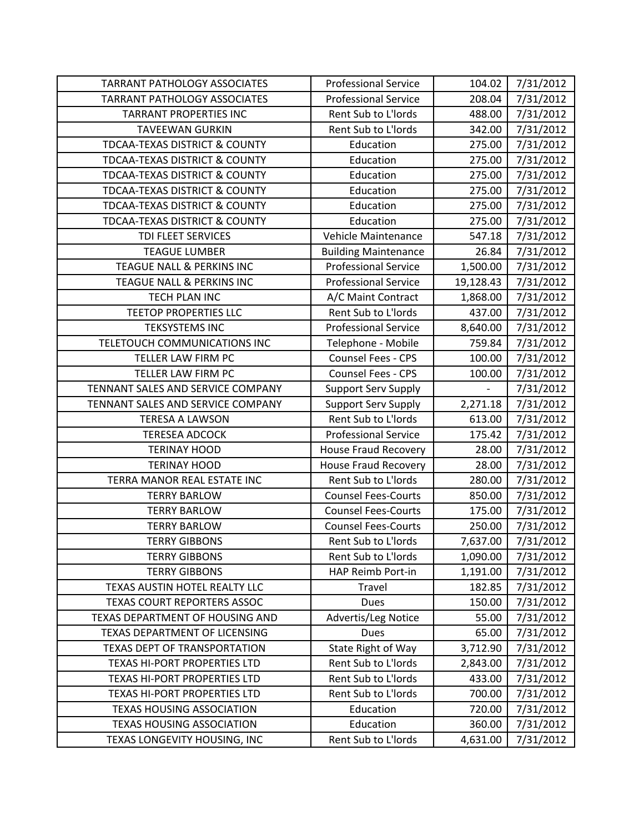| <b>TARRANT PATHOLOGY ASSOCIATES</b>      | <b>Professional Service</b> | 104.02                   | 7/31/2012 |
|------------------------------------------|-----------------------------|--------------------------|-----------|
| <b>TARRANT PATHOLOGY ASSOCIATES</b>      | <b>Professional Service</b> | 208.04                   | 7/31/2012 |
| <b>TARRANT PROPERTIES INC</b>            | Rent Sub to L'Iords         | 488.00                   | 7/31/2012 |
| <b>TAVEEWAN GURKIN</b>                   | Rent Sub to L'Iords         | 342.00                   | 7/31/2012 |
| <b>TDCAA-TEXAS DISTRICT &amp; COUNTY</b> | Education                   | 275.00                   | 7/31/2012 |
| <b>TDCAA-TEXAS DISTRICT &amp; COUNTY</b> | Education                   | 275.00                   | 7/31/2012 |
| <b>TDCAA-TEXAS DISTRICT &amp; COUNTY</b> | Education                   | 275.00                   | 7/31/2012 |
| TDCAA-TEXAS DISTRICT & COUNTY            | Education                   | 275.00                   | 7/31/2012 |
| <b>TDCAA-TEXAS DISTRICT &amp; COUNTY</b> | Education                   | 275.00                   | 7/31/2012 |
| <b>TDCAA-TEXAS DISTRICT &amp; COUNTY</b> | Education                   | 275.00                   | 7/31/2012 |
| TDI FLEET SERVICES                       | Vehicle Maintenance         | 547.18                   | 7/31/2012 |
| <b>TEAGUE LUMBER</b>                     | <b>Building Maintenance</b> | 26.84                    | 7/31/2012 |
| TEAGUE NALL & PERKINS INC                | <b>Professional Service</b> | 1,500.00                 | 7/31/2012 |
| TEAGUE NALL & PERKINS INC                | <b>Professional Service</b> | 19,128.43                | 7/31/2012 |
| TECH PLAN INC                            | A/C Maint Contract          | 1,868.00                 | 7/31/2012 |
| <b>TEETOP PROPERTIES LLC</b>             | Rent Sub to L'Iords         | 437.00                   | 7/31/2012 |
| <b>TEKSYSTEMS INC</b>                    | <b>Professional Service</b> | 8,640.00                 | 7/31/2012 |
| TELETOUCH COMMUNICATIONS INC             | Telephone - Mobile          | 759.84                   | 7/31/2012 |
| TELLER LAW FIRM PC                       | <b>Counsel Fees - CPS</b>   | 100.00                   | 7/31/2012 |
| TELLER LAW FIRM PC                       | <b>Counsel Fees - CPS</b>   | 100.00                   | 7/31/2012 |
| TENNANT SALES AND SERVICE COMPANY        | <b>Support Serv Supply</b>  | $\overline{\phantom{0}}$ | 7/31/2012 |
| TENNANT SALES AND SERVICE COMPANY        | <b>Support Serv Supply</b>  | 2,271.18                 | 7/31/2012 |
| <b>TERESA A LAWSON</b>                   | Rent Sub to L'Iords         | 613.00                   | 7/31/2012 |
| <b>TERESEA ADCOCK</b>                    | <b>Professional Service</b> | 175.42                   | 7/31/2012 |
| <b>TERINAY HOOD</b>                      | <b>House Fraud Recovery</b> | 28.00                    | 7/31/2012 |
| <b>TERINAY HOOD</b>                      | <b>House Fraud Recovery</b> | 28.00                    | 7/31/2012 |
| TERRA MANOR REAL ESTATE INC              | Rent Sub to L'Iords         | 280.00                   | 7/31/2012 |
| <b>TERRY BARLOW</b>                      | <b>Counsel Fees-Courts</b>  | 850.00                   | 7/31/2012 |
| <b>TERRY BARLOW</b>                      | <b>Counsel Fees-Courts</b>  | 175.00                   | 7/31/2012 |
| <b>TERRY BARLOW</b>                      | <b>Counsel Fees-Courts</b>  | 250.00                   | 7/31/2012 |
| <b>TERRY GIBBONS</b>                     | Rent Sub to L'Iords         | 7,637.00                 | 7/31/2012 |
| <b>TERRY GIBBONS</b>                     | Rent Sub to L'Iords         | 1,090.00                 | 7/31/2012 |
| <b>TERRY GIBBONS</b>                     | HAP Reimb Port-in           | 1,191.00                 | 7/31/2012 |
| TEXAS AUSTIN HOTEL REALTY LLC            | Travel                      | 182.85                   | 7/31/2012 |
| <b>TEXAS COURT REPORTERS ASSOC</b>       | <b>Dues</b>                 | 150.00                   | 7/31/2012 |
| TEXAS DEPARTMENT OF HOUSING AND          | Advertis/Leg Notice         | 55.00                    | 7/31/2012 |
| TEXAS DEPARTMENT OF LICENSING            | Dues                        | 65.00                    | 7/31/2012 |
| <b>TEXAS DEPT OF TRANSPORTATION</b>      | State Right of Way          | 3,712.90                 | 7/31/2012 |
| TEXAS HI-PORT PROPERTIES LTD             | Rent Sub to L'Iords         | 2,843.00                 | 7/31/2012 |
| TEXAS HI-PORT PROPERTIES LTD             | Rent Sub to L'Iords         | 433.00                   | 7/31/2012 |
| TEXAS HI-PORT PROPERTIES LTD             | Rent Sub to L'Iords         | 700.00                   | 7/31/2012 |
| <b>TEXAS HOUSING ASSOCIATION</b>         | Education                   | 720.00                   | 7/31/2012 |
| <b>TEXAS HOUSING ASSOCIATION</b>         | Education                   | 360.00                   | 7/31/2012 |
| TEXAS LONGEVITY HOUSING, INC             | Rent Sub to L'Iords         | 4,631.00                 | 7/31/2012 |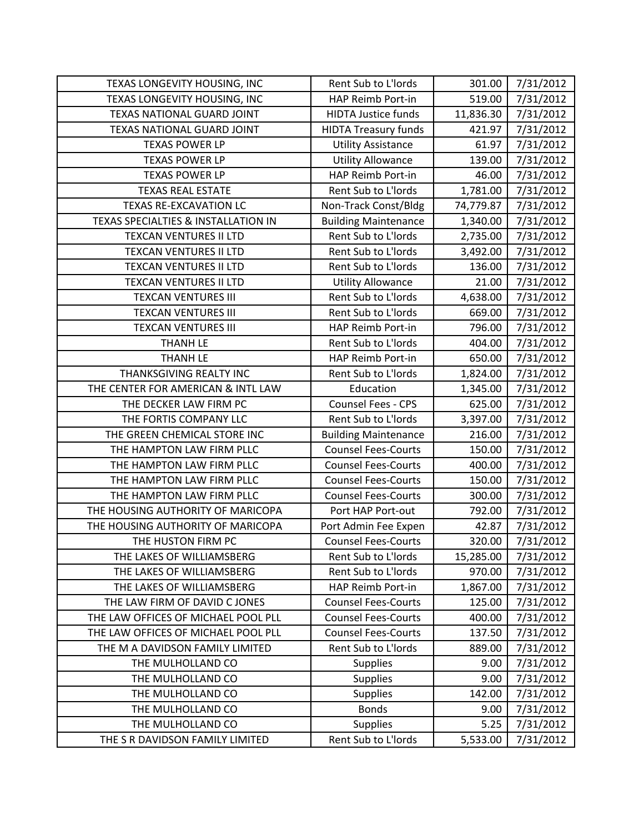| TEXAS LONGEVITY HOUSING, INC        | Rent Sub to L'Iords         | 301.00    | 7/31/2012 |
|-------------------------------------|-----------------------------|-----------|-----------|
| TEXAS LONGEVITY HOUSING, INC        | HAP Reimb Port-in           | 519.00    | 7/31/2012 |
| TEXAS NATIONAL GUARD JOINT          | <b>HIDTA Justice funds</b>  | 11,836.30 | 7/31/2012 |
| TEXAS NATIONAL GUARD JOINT          | <b>HIDTA Treasury funds</b> | 421.97    | 7/31/2012 |
| <b>TEXAS POWER LP</b>               | <b>Utility Assistance</b>   | 61.97     | 7/31/2012 |
| <b>TEXAS POWER LP</b>               | <b>Utility Allowance</b>    | 139.00    | 7/31/2012 |
| <b>TEXAS POWER LP</b>               | HAP Reimb Port-in           | 46.00     | 7/31/2012 |
| <b>TEXAS REAL ESTATE</b>            | Rent Sub to L'Iords         | 1,781.00  | 7/31/2012 |
| <b>TEXAS RE-EXCAVATION LC</b>       | Non-Track Const/Bldg        | 74,779.87 | 7/31/2012 |
| TEXAS SPECIALTIES & INSTALLATION IN | <b>Building Maintenance</b> | 1,340.00  | 7/31/2012 |
| <b>TEXCAN VENTURES II LTD</b>       | Rent Sub to L'Iords         | 2,735.00  | 7/31/2012 |
| TEXCAN VENTURES II LTD              | Rent Sub to L'Iords         | 3,492.00  | 7/31/2012 |
| <b>TEXCAN VENTURES II LTD</b>       | Rent Sub to L'Iords         | 136.00    | 7/31/2012 |
| <b>TEXCAN VENTURES II LTD</b>       | <b>Utility Allowance</b>    | 21.00     | 7/31/2012 |
| <b>TEXCAN VENTURES III</b>          | Rent Sub to L'Iords         | 4,638.00  | 7/31/2012 |
| <b>TEXCAN VENTURES III</b>          | Rent Sub to L'Iords         | 669.00    | 7/31/2012 |
| <b>TEXCAN VENTURES III</b>          | <b>HAP Reimb Port-in</b>    | 796.00    | 7/31/2012 |
| <b>THANH LE</b>                     | Rent Sub to L'Iords         | 404.00    | 7/31/2012 |
| <b>THANH LE</b>                     | HAP Reimb Port-in           | 650.00    | 7/31/2012 |
| THANKSGIVING REALTY INC             | Rent Sub to L'Iords         | 1,824.00  | 7/31/2012 |
| THE CENTER FOR AMERICAN & INTL LAW  | Education                   | 1,345.00  | 7/31/2012 |
| THE DECKER LAW FIRM PC              | Counsel Fees - CPS          | 625.00    | 7/31/2012 |
| THE FORTIS COMPANY LLC              | Rent Sub to L'Iords         | 3,397.00  | 7/31/2012 |
| THE GREEN CHEMICAL STORE INC        | <b>Building Maintenance</b> | 216.00    | 7/31/2012 |
| THE HAMPTON LAW FIRM PLLC           | <b>Counsel Fees-Courts</b>  | 150.00    | 7/31/2012 |
| THE HAMPTON LAW FIRM PLLC           | <b>Counsel Fees-Courts</b>  | 400.00    | 7/31/2012 |
| THE HAMPTON LAW FIRM PLLC           | <b>Counsel Fees-Courts</b>  | 150.00    | 7/31/2012 |
| THE HAMPTON LAW FIRM PLLC           | <b>Counsel Fees-Courts</b>  | 300.00    | 7/31/2012 |
| THE HOUSING AUTHORITY OF MARICOPA   | Port HAP Port-out           | 792.00    | 7/31/2012 |
| THE HOUSING AUTHORITY OF MARICOPA   | Port Admin Fee Expen        | 42.87     | 7/31/2012 |
| THE HUSTON FIRM PC                  | <b>Counsel Fees-Courts</b>  | 320.00    | 7/31/2012 |
| THE LAKES OF WILLIAMSBERG           | Rent Sub to L'Iords         | 15,285.00 | 7/31/2012 |
| THE LAKES OF WILLIAMSBERG           | Rent Sub to L'Iords         | 970.00    | 7/31/2012 |
| THE LAKES OF WILLIAMSBERG           | HAP Reimb Port-in           | 1,867.00  | 7/31/2012 |
| THE LAW FIRM OF DAVID C JONES       | <b>Counsel Fees-Courts</b>  | 125.00    | 7/31/2012 |
| THE LAW OFFICES OF MICHAEL POOL PLL | <b>Counsel Fees-Courts</b>  | 400.00    | 7/31/2012 |
| THE LAW OFFICES OF MICHAEL POOL PLL | <b>Counsel Fees-Courts</b>  | 137.50    | 7/31/2012 |
| THE M A DAVIDSON FAMILY LIMITED     | Rent Sub to L'Iords         | 889.00    | 7/31/2012 |
| THE MULHOLLAND CO                   | <b>Supplies</b>             | 9.00      | 7/31/2012 |
| THE MULHOLLAND CO                   | <b>Supplies</b>             | 9.00      | 7/31/2012 |
| THE MULHOLLAND CO                   | <b>Supplies</b>             | 142.00    | 7/31/2012 |
| THE MULHOLLAND CO                   | <b>Bonds</b>                | 9.00      | 7/31/2012 |
| THE MULHOLLAND CO                   | <b>Supplies</b>             | 5.25      | 7/31/2012 |
| THE S R DAVIDSON FAMILY LIMITED     | Rent Sub to L'Iords         | 5,533.00  | 7/31/2012 |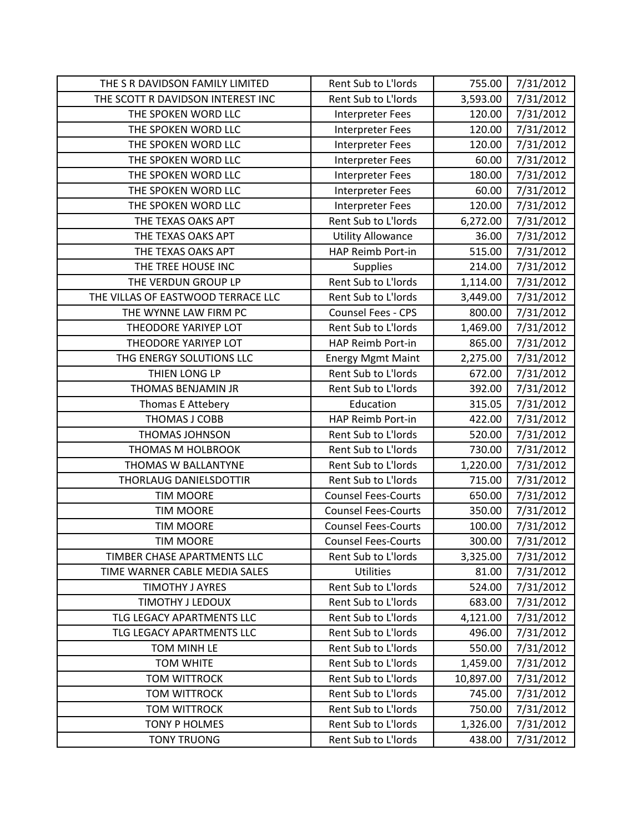| THE S R DAVIDSON FAMILY LIMITED    | Rent Sub to L'Iords        | 755.00    | 7/31/2012 |
|------------------------------------|----------------------------|-----------|-----------|
| THE SCOTT R DAVIDSON INTEREST INC  | Rent Sub to L'Iords        | 3,593.00  | 7/31/2012 |
| THE SPOKEN WORD LLC                | <b>Interpreter Fees</b>    | 120.00    | 7/31/2012 |
| THE SPOKEN WORD LLC                | <b>Interpreter Fees</b>    | 120.00    | 7/31/2012 |
| THE SPOKEN WORD LLC                | <b>Interpreter Fees</b>    | 120.00    | 7/31/2012 |
| THE SPOKEN WORD LLC                | <b>Interpreter Fees</b>    | 60.00     | 7/31/2012 |
| THE SPOKEN WORD LLC                | <b>Interpreter Fees</b>    | 180.00    | 7/31/2012 |
| THE SPOKEN WORD LLC                | <b>Interpreter Fees</b>    | 60.00     | 7/31/2012 |
| THE SPOKEN WORD LLC                | <b>Interpreter Fees</b>    | 120.00    | 7/31/2012 |
| THE TEXAS OAKS APT                 | Rent Sub to L'Iords        | 6,272.00  | 7/31/2012 |
| THE TEXAS OAKS APT                 | <b>Utility Allowance</b>   | 36.00     | 7/31/2012 |
| THE TEXAS OAKS APT                 | HAP Reimb Port-in          | 515.00    | 7/31/2012 |
| THE TREE HOUSE INC                 | Supplies                   | 214.00    | 7/31/2012 |
| THE VERDUN GROUP LP                | Rent Sub to L'Iords        | 1,114.00  | 7/31/2012 |
| THE VILLAS OF EASTWOOD TERRACE LLC | Rent Sub to L'Iords        | 3,449.00  | 7/31/2012 |
| THE WYNNE LAW FIRM PC              | Counsel Fees - CPS         | 800.00    | 7/31/2012 |
| THEODORE YARIYEP LOT               | Rent Sub to L'Iords        | 1,469.00  | 7/31/2012 |
| THEODORE YARIYEP LOT               | HAP Reimb Port-in          | 865.00    | 7/31/2012 |
| THG ENERGY SOLUTIONS LLC           | <b>Energy Mgmt Maint</b>   | 2,275.00  | 7/31/2012 |
| THIEN LONG LP                      | Rent Sub to L'Iords        | 672.00    | 7/31/2012 |
| THOMAS BENJAMIN JR                 | Rent Sub to L'Iords        | 392.00    | 7/31/2012 |
| Thomas E Attebery                  | Education                  | 315.05    | 7/31/2012 |
| THOMAS J COBB                      | HAP Reimb Port-in          | 422.00    | 7/31/2012 |
| <b>THOMAS JOHNSON</b>              | Rent Sub to L'Iords        | 520.00    | 7/31/2012 |
| THOMAS M HOLBROOK                  | Rent Sub to L'Iords        | 730.00    | 7/31/2012 |
| THOMAS W BALLANTYNE                | Rent Sub to L'Iords        | 1,220.00  | 7/31/2012 |
| THORLAUG DANIELSDOTTIR             | Rent Sub to L'Iords        | 715.00    | 7/31/2012 |
| <b>TIM MOORE</b>                   | <b>Counsel Fees-Courts</b> | 650.00    | 7/31/2012 |
| <b>TIM MOORE</b>                   | <b>Counsel Fees-Courts</b> | 350.00    | 7/31/2012 |
| <b>TIM MOORE</b>                   | <b>Counsel Fees-Courts</b> | 100.00    | 7/31/2012 |
| <b>TIM MOORE</b>                   | <b>Counsel Fees-Courts</b> | 300.00    | 7/31/2012 |
| TIMBER CHASE APARTMENTS LLC        | Rent Sub to L'Iords        | 3,325.00  | 7/31/2012 |
| TIME WARNER CABLE MEDIA SALES      | <b>Utilities</b>           | 81.00     | 7/31/2012 |
| <b>TIMOTHY J AYRES</b>             | Rent Sub to L'Iords        | 524.00    | 7/31/2012 |
| <b>TIMOTHY J LEDOUX</b>            | Rent Sub to L'Iords        | 683.00    | 7/31/2012 |
| TLG LEGACY APARTMENTS LLC          | Rent Sub to L'Iords        | 4,121.00  | 7/31/2012 |
| TLG LEGACY APARTMENTS LLC          | Rent Sub to L'Iords        | 496.00    | 7/31/2012 |
| TOM MINH LE                        | Rent Sub to L'Iords        | 550.00    | 7/31/2012 |
| <b>TOM WHITE</b>                   | Rent Sub to L'Iords        | 1,459.00  | 7/31/2012 |
| <b>TOM WITTROCK</b>                | Rent Sub to L'Iords        | 10,897.00 | 7/31/2012 |
| <b>TOM WITTROCK</b>                | Rent Sub to L'Iords        | 745.00    | 7/31/2012 |
| <b>TOM WITTROCK</b>                | Rent Sub to L'Iords        | 750.00    | 7/31/2012 |
| <b>TONY P HOLMES</b>               | Rent Sub to L'Iords        | 1,326.00  | 7/31/2012 |
| <b>TONY TRUONG</b>                 | Rent Sub to L'Iords        | 438.00    | 7/31/2012 |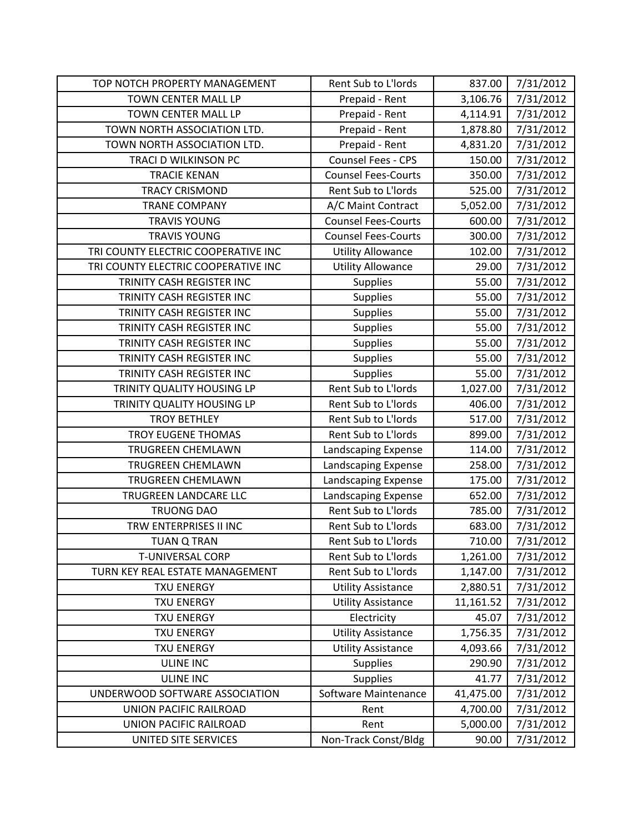| TOP NOTCH PROPERTY MANAGEMENT       | Rent Sub to L'Iords        | 837.00    | 7/31/2012 |
|-------------------------------------|----------------------------|-----------|-----------|
| TOWN CENTER MALL LP                 | Prepaid - Rent             | 3,106.76  | 7/31/2012 |
| <b>TOWN CENTER MALL LP</b>          | Prepaid - Rent             | 4,114.91  | 7/31/2012 |
| TOWN NORTH ASSOCIATION LTD.         | Prepaid - Rent             | 1,878.80  | 7/31/2012 |
| TOWN NORTH ASSOCIATION LTD.         | Prepaid - Rent             | 4,831.20  | 7/31/2012 |
| TRACI D WILKINSON PC                | Counsel Fees - CPS         | 150.00    | 7/31/2012 |
| <b>TRACIE KENAN</b>                 | <b>Counsel Fees-Courts</b> | 350.00    | 7/31/2012 |
| <b>TRACY CRISMOND</b>               | Rent Sub to L'Iords        | 525.00    | 7/31/2012 |
| <b>TRANE COMPANY</b>                | A/C Maint Contract         | 5,052.00  | 7/31/2012 |
| <b>TRAVIS YOUNG</b>                 | <b>Counsel Fees-Courts</b> | 600.00    | 7/31/2012 |
| <b>TRAVIS YOUNG</b>                 | <b>Counsel Fees-Courts</b> | 300.00    | 7/31/2012 |
| TRI COUNTY ELECTRIC COOPERATIVE INC | <b>Utility Allowance</b>   | 102.00    | 7/31/2012 |
| TRI COUNTY ELECTRIC COOPERATIVE INC | <b>Utility Allowance</b>   | 29.00     | 7/31/2012 |
| TRINITY CASH REGISTER INC           | <b>Supplies</b>            | 55.00     | 7/31/2012 |
| TRINITY CASH REGISTER INC           | <b>Supplies</b>            | 55.00     | 7/31/2012 |
| TRINITY CASH REGISTER INC           | Supplies                   | 55.00     | 7/31/2012 |
| TRINITY CASH REGISTER INC           | <b>Supplies</b>            | 55.00     | 7/31/2012 |
| TRINITY CASH REGISTER INC           | <b>Supplies</b>            | 55.00     | 7/31/2012 |
| TRINITY CASH REGISTER INC           | <b>Supplies</b>            | 55.00     | 7/31/2012 |
| TRINITY CASH REGISTER INC           | <b>Supplies</b>            | 55.00     | 7/31/2012 |
| TRINITY QUALITY HOUSING LP          | Rent Sub to L'Iords        | 1,027.00  | 7/31/2012 |
| TRINITY QUALITY HOUSING LP          | Rent Sub to L'Iords        | 406.00    | 7/31/2012 |
| <b>TROY BETHLEY</b>                 | Rent Sub to L'Iords        | 517.00    | 7/31/2012 |
| <b>TROY EUGENE THOMAS</b>           | Rent Sub to L'Iords        | 899.00    | 7/31/2012 |
| <b>TRUGREEN CHEMLAWN</b>            | Landscaping Expense        | 114.00    | 7/31/2012 |
| TRUGREEN CHEMLAWN                   | Landscaping Expense        | 258.00    | 7/31/2012 |
| TRUGREEN CHEMLAWN                   | Landscaping Expense        | 175.00    | 7/31/2012 |
| TRUGREEN LANDCARE LLC               | Landscaping Expense        | 652.00    | 7/31/2012 |
| <b>TRUONG DAO</b>                   | Rent Sub to L'Iords        | 785.00    | 7/31/2012 |
| TRW ENTERPRISES II INC              | Rent Sub to L'Iords        | 683.00    | 7/31/2012 |
| <b>TUAN Q TRAN</b>                  | Rent Sub to L'Iords        | 710.00    | 7/31/2012 |
| T-UNIVERSAL CORP                    | Rent Sub to L'Iords        | 1,261.00  | 7/31/2012 |
| TURN KEY REAL ESTATE MANAGEMENT     | Rent Sub to L'Iords        | 1,147.00  | 7/31/2012 |
| <b>TXU ENERGY</b>                   | <b>Utility Assistance</b>  | 2,880.51  | 7/31/2012 |
| <b>TXU ENERGY</b>                   | <b>Utility Assistance</b>  | 11,161.52 | 7/31/2012 |
| <b>TXU ENERGY</b>                   | Electricity                | 45.07     | 7/31/2012 |
| <b>TXU ENERGY</b>                   | <b>Utility Assistance</b>  | 1,756.35  | 7/31/2012 |
| <b>TXU ENERGY</b>                   | <b>Utility Assistance</b>  | 4,093.66  | 7/31/2012 |
| <b>ULINE INC</b>                    | <b>Supplies</b>            | 290.90    | 7/31/2012 |
| <b>ULINE INC</b>                    | <b>Supplies</b>            | 41.77     | 7/31/2012 |
| UNDERWOOD SOFTWARE ASSOCIATION      | Software Maintenance       | 41,475.00 | 7/31/2012 |
| UNION PACIFIC RAILROAD              | Rent                       | 4,700.00  | 7/31/2012 |
| UNION PACIFIC RAILROAD              | Rent                       | 5,000.00  | 7/31/2012 |
| UNITED SITE SERVICES                | Non-Track Const/Bldg       | 90.00     | 7/31/2012 |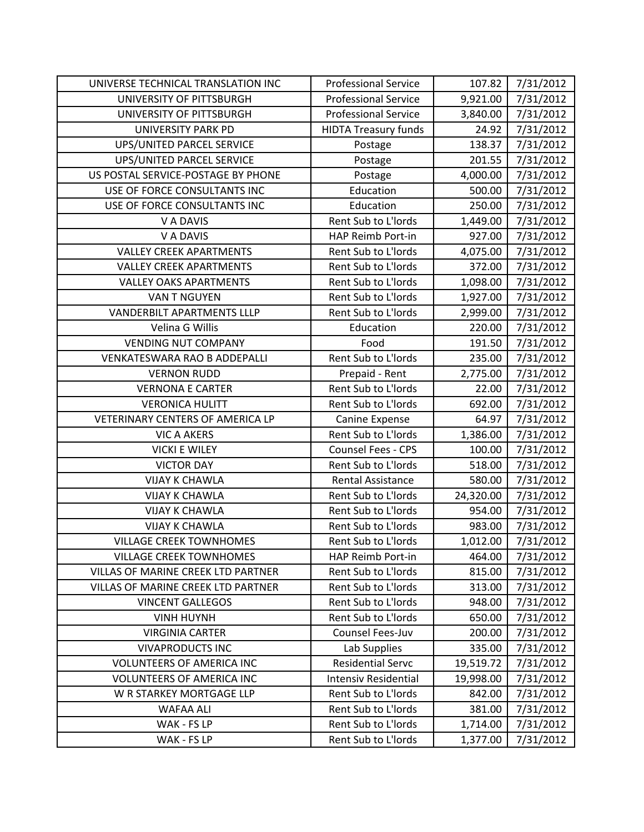| UNIVERSE TECHNICAL TRANSLATION INC  | <b>Professional Service</b> | 107.82    | 7/31/2012 |
|-------------------------------------|-----------------------------|-----------|-----------|
| UNIVERSITY OF PITTSBURGH            | <b>Professional Service</b> | 9,921.00  | 7/31/2012 |
| UNIVERSITY OF PITTSBURGH            | <b>Professional Service</b> | 3,840.00  | 7/31/2012 |
| <b>UNIVERSITY PARK PD</b>           | <b>HIDTA Treasury funds</b> | 24.92     | 7/31/2012 |
| UPS/UNITED PARCEL SERVICE           | Postage                     | 138.37    | 7/31/2012 |
| UPS/UNITED PARCEL SERVICE           | Postage                     | 201.55    | 7/31/2012 |
| US POSTAL SERVICE-POSTAGE BY PHONE  | Postage                     | 4,000.00  | 7/31/2012 |
| USE OF FORCE CONSULTANTS INC        | Education                   | 500.00    | 7/31/2012 |
| USE OF FORCE CONSULTANTS INC        | Education                   | 250.00    | 7/31/2012 |
| V A DAVIS                           | Rent Sub to L'Iords         | 1,449.00  | 7/31/2012 |
| V A DAVIS                           | HAP Reimb Port-in           | 927.00    | 7/31/2012 |
| <b>VALLEY CREEK APARTMENTS</b>      | Rent Sub to L'Iords         | 4,075.00  | 7/31/2012 |
| <b>VALLEY CREEK APARTMENTS</b>      | Rent Sub to L'Iords         | 372.00    | 7/31/2012 |
| <b>VALLEY OAKS APARTMENTS</b>       | Rent Sub to L'Iords         | 1,098.00  | 7/31/2012 |
| VAN T NGUYEN                        | Rent Sub to L'Iords         | 1,927.00  | 7/31/2012 |
| <b>VANDERBILT APARTMENTS LLLP</b>   | Rent Sub to L'Iords         | 2,999.00  | 7/31/2012 |
| Velina G Willis                     | Education                   | 220.00    | 7/31/2012 |
| <b>VENDING NUT COMPANY</b>          | Food                        | 191.50    | 7/31/2012 |
| <b>VENKATESWARA RAO B ADDEPALLI</b> | Rent Sub to L'Iords         | 235.00    | 7/31/2012 |
| <b>VERNON RUDD</b>                  | Prepaid - Rent              | 2,775.00  | 7/31/2012 |
| <b>VERNONA E CARTER</b>             | Rent Sub to L'Iords         | 22.00     | 7/31/2012 |
| <b>VERONICA HULITT</b>              | Rent Sub to L'Iords         | 692.00    | 7/31/2012 |
| VETERINARY CENTERS OF AMERICA LP    | Canine Expense              | 64.97     | 7/31/2012 |
| <b>VIC A AKERS</b>                  | Rent Sub to L'Iords         | 1,386.00  | 7/31/2012 |
| <b>VICKI E WILEY</b>                | <b>Counsel Fees - CPS</b>   | 100.00    | 7/31/2012 |
| <b>VICTOR DAY</b>                   | Rent Sub to L'Iords         | 518.00    | 7/31/2012 |
| <b>VIJAY K CHAWLA</b>               | <b>Rental Assistance</b>    | 580.00    | 7/31/2012 |
| <b>VIJAY K CHAWLA</b>               | Rent Sub to L'Iords         | 24,320.00 | 7/31/2012 |
| <b>VIJAY K CHAWLA</b>               | Rent Sub to L'Iords         | 954.00    | 7/31/2012 |
| <b>VIJAY K CHAWLA</b>               | Rent Sub to L'Iords         | 983.00    | 7/31/2012 |
| <b>VILLAGE CREEK TOWNHOMES</b>      | Rent Sub to L'Iords         | 1,012.00  | 7/31/2012 |
| <b>VILLAGE CREEK TOWNHOMES</b>      | HAP Reimb Port-in           | 464.00    | 7/31/2012 |
| VILLAS OF MARINE CREEK LTD PARTNER  | Rent Sub to L'Iords         | 815.00    | 7/31/2012 |
| VILLAS OF MARINE CREEK LTD PARTNER  | Rent Sub to L'Iords         | 313.00    | 7/31/2012 |
| <b>VINCENT GALLEGOS</b>             | Rent Sub to L'Iords         | 948.00    | 7/31/2012 |
| <b>VINH HUYNH</b>                   | Rent Sub to L'Iords         | 650.00    | 7/31/2012 |
| <b>VIRGINIA CARTER</b>              | Counsel Fees-Juv            | 200.00    | 7/31/2012 |
| <b>VIVAPRODUCTS INC</b>             | Lab Supplies                | 335.00    | 7/31/2012 |
| <b>VOLUNTEERS OF AMERICA INC</b>    | <b>Residential Servc</b>    | 19,519.72 | 7/31/2012 |
| <b>VOLUNTEERS OF AMERICA INC</b>    | <b>Intensiv Residential</b> | 19,998.00 | 7/31/2012 |
| W R STARKEY MORTGAGE LLP            | Rent Sub to L'Iords         | 842.00    | 7/31/2012 |
| <b>WAFAA ALI</b>                    | Rent Sub to L'Iords         | 381.00    | 7/31/2012 |
| WAK - FS LP                         | Rent Sub to L'Iords         | 1,714.00  | 7/31/2012 |
| WAK - FS LP                         | Rent Sub to L'Iords         | 1,377.00  | 7/31/2012 |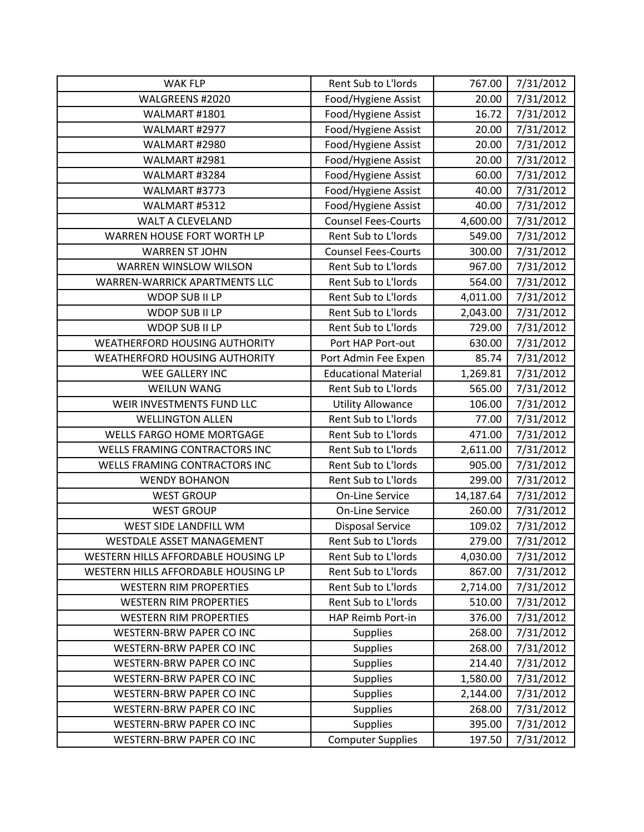| <b>WAK FLP</b>                       | Rent Sub to L'Iords         | 767.00    | 7/31/2012 |
|--------------------------------------|-----------------------------|-----------|-----------|
| WALGREENS #2020                      | Food/Hygiene Assist         | 20.00     | 7/31/2012 |
| WALMART #1801                        | Food/Hygiene Assist         | 16.72     | 7/31/2012 |
| WALMART #2977                        | Food/Hygiene Assist         | 20.00     | 7/31/2012 |
| WALMART #2980                        | Food/Hygiene Assist         | 20.00     | 7/31/2012 |
| WALMART #2981                        | Food/Hygiene Assist         | 20.00     | 7/31/2012 |
| WALMART #3284                        | Food/Hygiene Assist         | 60.00     | 7/31/2012 |
| WALMART #3773                        | Food/Hygiene Assist         | 40.00     | 7/31/2012 |
| WALMART #5312                        | Food/Hygiene Assist         | 40.00     | 7/31/2012 |
| <b>WALT A CLEVELAND</b>              | <b>Counsel Fees-Courts</b>  | 4,600.00  | 7/31/2012 |
| WARREN HOUSE FORT WORTH LP           | Rent Sub to L'Iords         | 549.00    | 7/31/2012 |
| <b>WARREN ST JOHN</b>                | <b>Counsel Fees-Courts</b>  | 300.00    | 7/31/2012 |
| WARREN WINSLOW WILSON                | Rent Sub to L'Iords         | 967.00    | 7/31/2012 |
| WARREN-WARRICK APARTMENTS LLC        | Rent Sub to L'Iords         | 564.00    | 7/31/2012 |
| WDOP SUB II LP                       | Rent Sub to L'Iords         | 4,011.00  | 7/31/2012 |
| WDOP SUB II LP                       | Rent Sub to L'Iords         | 2,043.00  | 7/31/2012 |
| WDOP SUB II LP                       | Rent Sub to L'Iords         | 729.00    | 7/31/2012 |
| <b>WEATHERFORD HOUSING AUTHORITY</b> | Port HAP Port-out           | 630.00    | 7/31/2012 |
| WEATHERFORD HOUSING AUTHORITY        | Port Admin Fee Expen        | 85.74     | 7/31/2012 |
| WEE GALLERY INC                      | <b>Educational Material</b> | 1,269.81  | 7/31/2012 |
| <b>WEILUN WANG</b>                   | Rent Sub to L'Iords         | 565.00    | 7/31/2012 |
| WEIR INVESTMENTS FUND LLC            | <b>Utility Allowance</b>    | 106.00    | 7/31/2012 |
| <b>WELLINGTON ALLEN</b>              | Rent Sub to L'Iords         | 77.00     | 7/31/2012 |
| <b>WELLS FARGO HOME MORTGAGE</b>     | Rent Sub to L'Iords         | 471.00    | 7/31/2012 |
| WELLS FRAMING CONTRACTORS INC        | Rent Sub to L'Iords         | 2,611.00  | 7/31/2012 |
| WELLS FRAMING CONTRACTORS INC        | Rent Sub to L'Iords         | 905.00    | 7/31/2012 |
| <b>WENDY BOHANON</b>                 | Rent Sub to L'Iords         | 299.00    | 7/31/2012 |
| <b>WEST GROUP</b>                    | <b>On-Line Service</b>      | 14,187.64 | 7/31/2012 |
| <b>WEST GROUP</b>                    | <b>On-Line Service</b>      | 260.00    | 7/31/2012 |
| WEST SIDE LANDFILL WM                | <b>Disposal Service</b>     | 109.02    | 7/31/2012 |
| WESTDALE ASSET MANAGEMENT            | Rent Sub to L'Iords         | 279.00    | 7/31/2012 |
| WESTERN HILLS AFFORDABLE HOUSING LP  | Rent Sub to L'Iords         | 4,030.00  | 7/31/2012 |
| WESTERN HILLS AFFORDABLE HOUSING LP  | Rent Sub to L'Iords         | 867.00    | 7/31/2012 |
| <b>WESTERN RIM PROPERTIES</b>        | Rent Sub to L'Iords         | 2,714.00  | 7/31/2012 |
| <b>WESTERN RIM PROPERTIES</b>        | Rent Sub to L'Iords         | 510.00    | 7/31/2012 |
| <b>WESTERN RIM PROPERTIES</b>        | HAP Reimb Port-in           | 376.00    | 7/31/2012 |
| WESTERN-BRW PAPER CO INC             | <b>Supplies</b>             | 268.00    | 7/31/2012 |
| WESTERN-BRW PAPER CO INC             | <b>Supplies</b>             | 268.00    | 7/31/2012 |
| <b>WESTERN-BRW PAPER CO INC</b>      | <b>Supplies</b>             | 214.40    | 7/31/2012 |
| <b>WESTERN-BRW PAPER CO INC</b>      | <b>Supplies</b>             | 1,580.00  | 7/31/2012 |
| WESTERN-BRW PAPER CO INC             | <b>Supplies</b>             | 2,144.00  | 7/31/2012 |
| WESTERN-BRW PAPER CO INC             | <b>Supplies</b>             | 268.00    | 7/31/2012 |
| <b>WESTERN-BRW PAPER CO INC</b>      | <b>Supplies</b>             | 395.00    | 7/31/2012 |
| WESTERN-BRW PAPER CO INC             | <b>Computer Supplies</b>    | 197.50    | 7/31/2012 |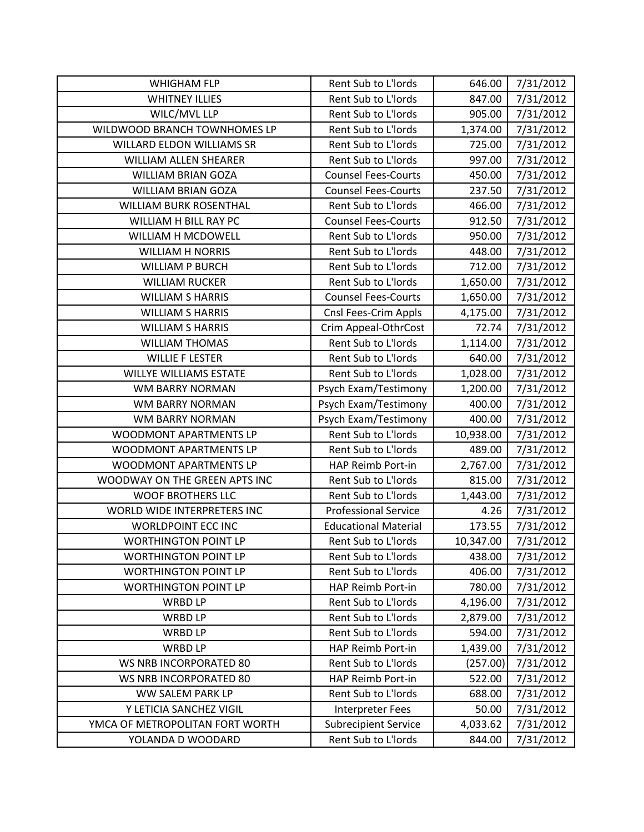| <b>WHIGHAM FLP</b>              | Rent Sub to L'Iords         | 646.00    | 7/31/2012 |
|---------------------------------|-----------------------------|-----------|-----------|
| <b>WHITNEY ILLIES</b>           | Rent Sub to L'Iords         | 847.00    | 7/31/2012 |
| WILC/MVL LLP                    | Rent Sub to L'Iords         | 905.00    | 7/31/2012 |
| WILDWOOD BRANCH TOWNHOMES LP    | Rent Sub to L'Iords         | 1,374.00  | 7/31/2012 |
| WILLARD ELDON WILLIAMS SR       | Rent Sub to L'Iords         | 725.00    | 7/31/2012 |
| <b>WILLIAM ALLEN SHEARER</b>    | Rent Sub to L'Iords         | 997.00    | 7/31/2012 |
| WILLIAM BRIAN GOZA              | <b>Counsel Fees-Courts</b>  | 450.00    | 7/31/2012 |
| <b>WILLIAM BRIAN GOZA</b>       | <b>Counsel Fees-Courts</b>  | 237.50    | 7/31/2012 |
| <b>WILLIAM BURK ROSENTHAL</b>   | Rent Sub to L'Iords         | 466.00    | 7/31/2012 |
| WILLIAM H BILL RAY PC           | <b>Counsel Fees-Courts</b>  | 912.50    | 7/31/2012 |
| WILLIAM H MCDOWELL              | Rent Sub to L'Iords         | 950.00    | 7/31/2012 |
| <b>WILLIAM H NORRIS</b>         | Rent Sub to L'Iords         | 448.00    | 7/31/2012 |
| <b>WILLIAM P BURCH</b>          | Rent Sub to L'Iords         | 712.00    | 7/31/2012 |
| <b>WILLIAM RUCKER</b>           | Rent Sub to L'Iords         | 1,650.00  | 7/31/2012 |
| <b>WILLIAM S HARRIS</b>         | <b>Counsel Fees-Courts</b>  | 1,650.00  | 7/31/2012 |
| <b>WILLIAM S HARRIS</b>         | Cnsl Fees-Crim Appls        | 4,175.00  | 7/31/2012 |
| <b>WILLIAM S HARRIS</b>         | Crim Appeal-OthrCost        | 72.74     | 7/31/2012 |
| <b>WILLIAM THOMAS</b>           | Rent Sub to L'Iords         | 1,114.00  | 7/31/2012 |
| <b>WILLIE F LESTER</b>          | Rent Sub to L'Iords         | 640.00    | 7/31/2012 |
| <b>WILLYE WILLIAMS ESTATE</b>   | Rent Sub to L'Iords         | 1,028.00  | 7/31/2012 |
| <b>WM BARRY NORMAN</b>          | Psych Exam/Testimony        | 1,200.00  | 7/31/2012 |
| WM BARRY NORMAN                 | Psych Exam/Testimony        | 400.00    | 7/31/2012 |
| <b>WM BARRY NORMAN</b>          | Psych Exam/Testimony        | 400.00    | 7/31/2012 |
| WOODMONT APARTMENTS LP          | Rent Sub to L'Iords         | 10,938.00 | 7/31/2012 |
| WOODMONT APARTMENTS LP          | Rent Sub to L'Iords         | 489.00    | 7/31/2012 |
| WOODMONT APARTMENTS LP          | HAP Reimb Port-in           | 2,767.00  | 7/31/2012 |
| WOODWAY ON THE GREEN APTS INC   | Rent Sub to L'Iords         | 815.00    | 7/31/2012 |
| <b>WOOF BROTHERS LLC</b>        | Rent Sub to L'Iords         | 1,443.00  | 7/31/2012 |
| WORLD WIDE INTERPRETERS INC     | <b>Professional Service</b> | 4.26      | 7/31/2012 |
| WORLDPOINT ECC INC              | <b>Educational Material</b> | 173.55    | 7/31/2012 |
| <b>WORTHINGTON POINT LP</b>     | Rent Sub to L'Iords         | 10,347.00 | 7/31/2012 |
| <b>WORTHINGTON POINT LP</b>     | Rent Sub to L'Iords         | 438.00    | 7/31/2012 |
| <b>WORTHINGTON POINT LP</b>     | Rent Sub to L'Iords         | 406.00    | 7/31/2012 |
| <b>WORTHINGTON POINT LP</b>     | <b>HAP Reimb Port-in</b>    | 780.00    | 7/31/2012 |
| <b>WRBD LP</b>                  | Rent Sub to L'Iords         | 4,196.00  | 7/31/2012 |
| <b>WRBD LP</b>                  | Rent Sub to L'Iords         | 2,879.00  | 7/31/2012 |
| <b>WRBD LP</b>                  | Rent Sub to L'Iords         | 594.00    | 7/31/2012 |
| <b>WRBD LP</b>                  | HAP Reimb Port-in           | 1,439.00  | 7/31/2012 |
| WS NRB INCORPORATED 80          | Rent Sub to L'Iords         | (257.00)  | 7/31/2012 |
| WS NRB INCORPORATED 80          | <b>HAP Reimb Port-in</b>    | 522.00    | 7/31/2012 |
| WW SALEM PARK LP                | Rent Sub to L'Iords         | 688.00    | 7/31/2012 |
| Y LETICIA SANCHEZ VIGIL         | <b>Interpreter Fees</b>     | 50.00     | 7/31/2012 |
|                                 |                             |           |           |
| YMCA OF METROPOLITAN FORT WORTH | <b>Subrecipient Service</b> | 4,033.62  | 7/31/2012 |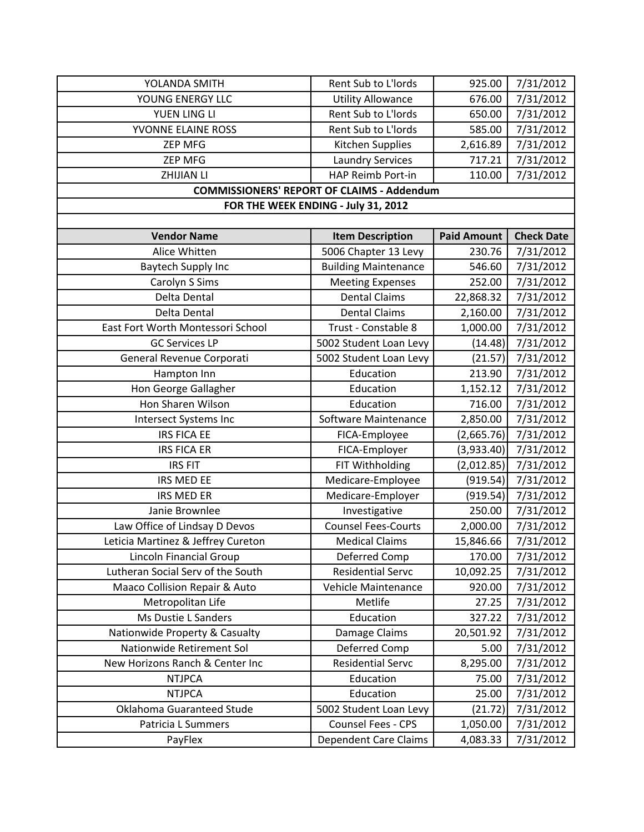| YOLANDA SMITH                      | Rent Sub to L'Iords                               | 925.00             | 7/31/2012         |
|------------------------------------|---------------------------------------------------|--------------------|-------------------|
| YOUNG ENERGY LLC                   | <b>Utility Allowance</b>                          | 676.00             | 7/31/2012         |
| YUEN LING LI                       | Rent Sub to L'Iords                               | 650.00             | 7/31/2012         |
| YVONNE ELAINE ROSS                 | Rent Sub to L'Iords                               | 585.00             | 7/31/2012         |
| <b>ZEP MFG</b>                     | Kitchen Supplies                                  | 2,616.89           | 7/31/2012         |
| <b>ZEP MFG</b>                     | <b>Laundry Services</b>                           | 717.21             | 7/31/2012         |
| <b>ZHIJIAN LI</b>                  | HAP Reimb Port-in                                 | 110.00             | 7/31/2012         |
|                                    | <b>COMMISSIONERS' REPORT OF CLAIMS - Addendum</b> |                    |                   |
|                                    | FOR THE WEEK ENDING - July 31, 2012               |                    |                   |
|                                    |                                                   |                    |                   |
| <b>Vendor Name</b>                 | <b>Item Description</b>                           | <b>Paid Amount</b> | <b>Check Date</b> |
| Alice Whitten                      | 5006 Chapter 13 Levy                              | 230.76             | 7/31/2012         |
| <b>Baytech Supply Inc</b>          | <b>Building Maintenance</b>                       | 546.60             | 7/31/2012         |
| Carolyn S Sims                     | <b>Meeting Expenses</b>                           | 252.00             | 7/31/2012         |
| Delta Dental                       | <b>Dental Claims</b>                              | 22,868.32          | 7/31/2012         |
| Delta Dental                       | <b>Dental Claims</b>                              | 2,160.00           | 7/31/2012         |
| East Fort Worth Montessori School  | Trust - Constable 8                               | 1,000.00           | 7/31/2012         |
| <b>GC Services LP</b>              | 5002 Student Loan Levy                            | (14.48)            | 7/31/2012         |
| General Revenue Corporati          | 5002 Student Loan Levy                            | (21.57)            | 7/31/2012         |
| Hampton Inn                        | Education                                         | 213.90             | 7/31/2012         |
| Hon George Gallagher               | Education                                         | 1,152.12           | 7/31/2012         |
| Hon Sharen Wilson                  | Education                                         | 716.00             | 7/31/2012         |
| Intersect Systems Inc              | Software Maintenance                              | 2,850.00           | 7/31/2012         |
| <b>IRS FICA EE</b>                 | FICA-Employee                                     | (2,665.76)         | 7/31/2012         |
| <b>IRS FICA ER</b>                 | FICA-Employer                                     | (3,933.40)         | 7/31/2012         |
| <b>IRS FIT</b>                     | FIT Withholding                                   | (2,012.85)         | 7/31/2012         |
| <b>IRS MED EE</b>                  | Medicare-Employee                                 | (919.54)           | 7/31/2012         |
| <b>IRS MED ER</b>                  | Medicare-Employer                                 | (919.54)           | 7/31/2012         |
| Janie Brownlee                     | Investigative                                     | 250.00             | 7/31/2012         |
| Law Office of Lindsay D Devos      | <b>Counsel Fees-Courts</b>                        | 2,000.00           | 7/31/2012         |
| Leticia Martinez & Jeffrey Cureton | <b>Medical Claims</b>                             | 15,846.66          | 7/31/2012         |
| Lincoln Financial Group            | Deferred Comp                                     | 170.00             | 7/31/2012         |
| Lutheran Social Serv of the South  | <b>Residential Servc</b>                          | 10,092.25          | 7/31/2012         |
| Maaco Collision Repair & Auto      | Vehicle Maintenance                               | 920.00             | 7/31/2012         |
| Metropolitan Life                  | Metlife                                           | 27.25              | 7/31/2012         |
| Ms Dustie L Sanders                | Education                                         | 327.22             | 7/31/2012         |
| Nationwide Property & Casualty     | Damage Claims                                     | 20,501.92          | 7/31/2012         |
| Nationwide Retirement Sol          | Deferred Comp                                     | 5.00               | 7/31/2012         |
| New Horizons Ranch & Center Inc    | <b>Residential Servc</b>                          | 8,295.00           | 7/31/2012         |
| <b>NTJPCA</b>                      | Education                                         | 75.00              | 7/31/2012         |
| <b>NTJPCA</b>                      | Education                                         | 25.00              | 7/31/2012         |
| Oklahoma Guaranteed Stude          | 5002 Student Loan Levy                            | (21.72)            | 7/31/2012         |
| Patricia L Summers                 | Counsel Fees - CPS                                | 1,050.00           | 7/31/2012         |
| PayFlex                            | <b>Dependent Care Claims</b>                      | 4,083.33           | 7/31/2012         |